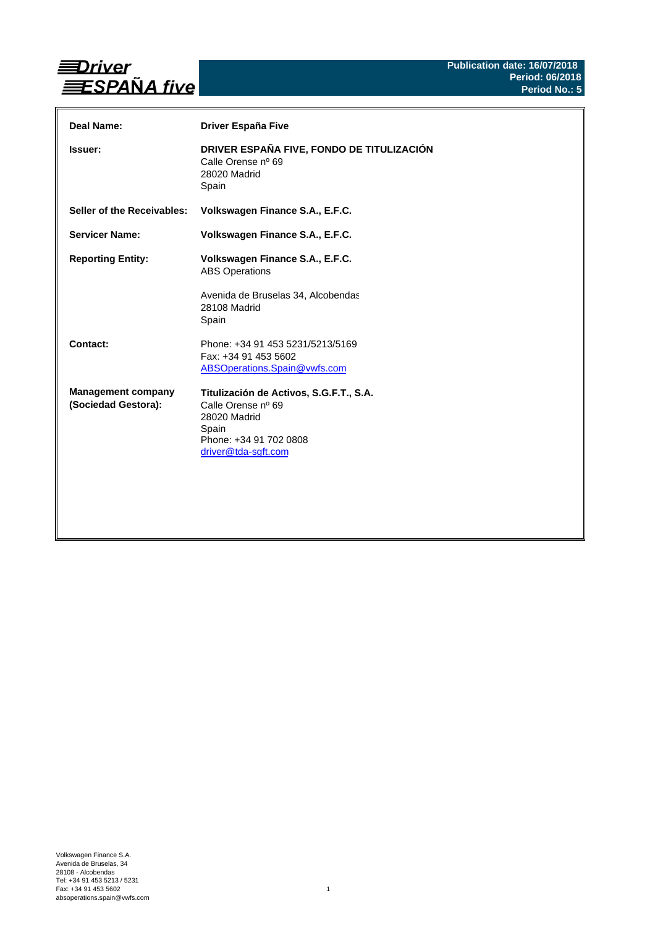

| Deal Name:                                       | Driver España Five                                                                                                                      |
|--------------------------------------------------|-----------------------------------------------------------------------------------------------------------------------------------------|
| Issuer:                                          | DRIVER ESPAÑA FIVE, FONDO DE TITULIZACIÓN<br>Calle Orense nº 69<br>28020 Madrid<br>Spain                                                |
| Seller of the Receivables:                       | Volkswagen Finance S.A., E.F.C.                                                                                                         |
| <b>Servicer Name:</b>                            | Volkswagen Finance S.A., E.F.C.                                                                                                         |
| <b>Reporting Entity:</b>                         | Volkswagen Finance S.A., E.F.C.<br><b>ABS Operations</b><br>Avenida de Bruselas 34, Alcobendas<br>28108 Madrid<br>Spain                 |
| Contact:                                         | Phone: +34 91 453 5231/5213/5169<br>Fax: +34 91 453 5602<br>ABSOperations.Spain@vwfs.com                                                |
| <b>Management company</b><br>(Sociedad Gestora): | Titulización de Activos, S.G.F.T., S.A.<br>Calle Orense nº 69<br>28020 Madrid<br>Spain<br>Phone: +34 91 702 0808<br>driver@tda-sgft.com |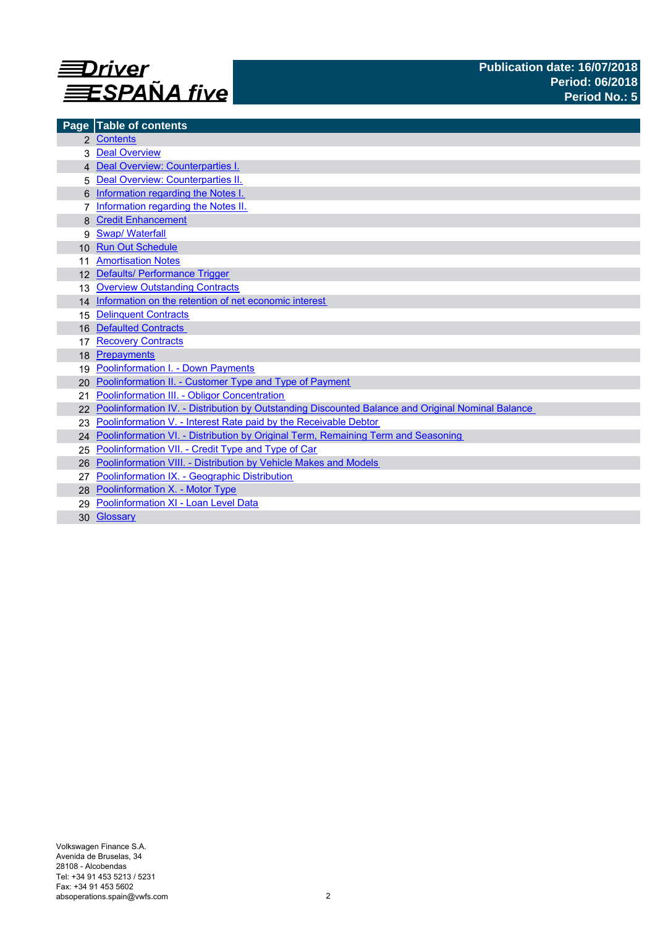

| Page            | <b>Table of contents</b>                                                                          |
|-----------------|---------------------------------------------------------------------------------------------------|
|                 | 2 Contents                                                                                        |
|                 | <b>Deal Overview</b>                                                                              |
|                 | 4 Deal Overview: Counterparties I.                                                                |
|                 | Deal Overview: Counterparties II.                                                                 |
|                 | Information regarding the Notes I.                                                                |
|                 | Information regarding the Notes II.                                                               |
|                 | <b>Credit Enhancement</b>                                                                         |
| 9               | <b>Swap/Waterfall</b>                                                                             |
| 10 <sup>1</sup> | <b>Run Out Schedule</b>                                                                           |
|                 | <b>Amortisation Notes</b>                                                                         |
|                 | 12 Defaults/ Performance Trigger                                                                  |
| 13              | <b>Overview Outstanding Contracts</b>                                                             |
|                 | 14 Information on the retention of net economic interest                                          |
| 15              | <b>Delinquent Contracts</b>                                                                       |
| 16              | <b>Defaulted Contracts</b>                                                                        |
| 17              | <b>Recovery Contracts</b>                                                                         |
| 18              | Prepayments                                                                                       |
| 19              | <b>Poolinformation I. - Down Payments</b>                                                         |
| 20              | Poolinformation II. - Customer Type and Type of Payment                                           |
| 21              | Poolinformation III. - Obligor Concentration                                                      |
|                 | Poolinformation IV. - Distribution by Outstanding Discounted Balance and Original Nominal Balance |
|                 | Poolinformation V. - Interest Rate paid by the Receivable Debtor                                  |
|                 | 24 Poolinformation VI. - Distribution by Original Term, Remaining Term and Seasoning              |
| 25              | Poolinformation VII. - Credit Type and Type of Car                                                |
| 26              | Poolinformation VIII. - Distribution by Vehicle Makes and Models                                  |
|                 | Poolinformation IX. - Geographic Distribution                                                     |
|                 | 28 Poolinformation X. - Motor Type                                                                |
| 29              | Poolinformation XI - Loan Level Data                                                              |
|                 | 30 Glossary                                                                                       |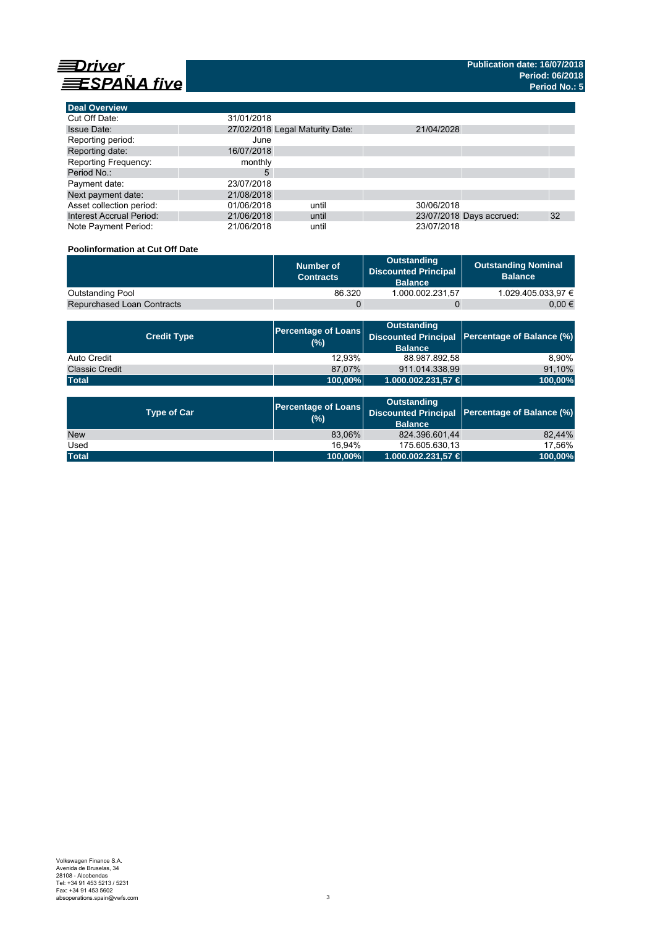



| <b>Deal Overview</b>            |            |                                 |            |                          |    |
|---------------------------------|------------|---------------------------------|------------|--------------------------|----|
| Cut Off Date:                   | 31/01/2018 |                                 |            |                          |    |
| <b>Issue Date:</b>              |            | 27/02/2018 Legal Maturity Date: | 21/04/2028 |                          |    |
| Reporting period:               | June       |                                 |            |                          |    |
| Reporting date:                 | 16/07/2018 |                                 |            |                          |    |
| <b>Reporting Frequency:</b>     | monthly    |                                 |            |                          |    |
| Period No.:                     | 5          |                                 |            |                          |    |
| Payment date:                   | 23/07/2018 |                                 |            |                          |    |
| Next payment date:              | 21/08/2018 |                                 |            |                          |    |
| Asset collection period:        | 01/06/2018 | until                           | 30/06/2018 |                          |    |
| <b>Interest Accrual Period:</b> | 21/06/2018 | until                           |            | 23/07/2018 Days accrued: | 32 |
| Note Payment Period:            | 21/06/2018 | until                           | 23/07/2018 |                          |    |

### **Poolinformation at Cut Off Date**

|                                   | Number of<br><b>Contracts</b> | Outstanding<br><b>Discounted Principal</b><br><b>Balance</b> | <b>Outstanding Nominal</b><br><b>Balance</b> |
|-----------------------------------|-------------------------------|--------------------------------------------------------------|----------------------------------------------|
| <b>Outstanding Pool</b>           | 86.320                        | 1.000.002.231.57                                             | 1.029.405.033.97 €                           |
| <b>Repurchased Loan Contracts</b> |                               |                                                              | 0.00 €                                       |

| <b>Credit Type</b>    | (%)     | <b>Outstanding</b><br><b>Balance</b> | Percentage of Loans Discounted Principal Percentage of Balance (%) |
|-----------------------|---------|--------------------------------------|--------------------------------------------------------------------|
| Auto Credit           | 12.93%  | 88.987.892.58                        | 8.90%                                                              |
| <b>Classic Credit</b> | 87.07%  | 911.014.338.99                       | 91,10%                                                             |
| <b>Total</b>          | 100,00% | 1.000.002.231,57 €                   | 100,00%                                                            |

| <b>Type of Car</b> | <b>Percentage of Loans</b><br>(%) | <b>Outstanding</b><br><b>Balance</b> | Discounted Principal Percentage of Balance (%) |
|--------------------|-----------------------------------|--------------------------------------|------------------------------------------------|
| <b>New</b>         | 83,06%                            | 824.396.601,44                       | 82.44%                                         |
| Used               | 16.94%                            | 175.605.630.13                       | 17.56%                                         |
| <b>Total</b>       | 100,00%                           | 1.000.002.231,57 €                   | 100,00%                                        |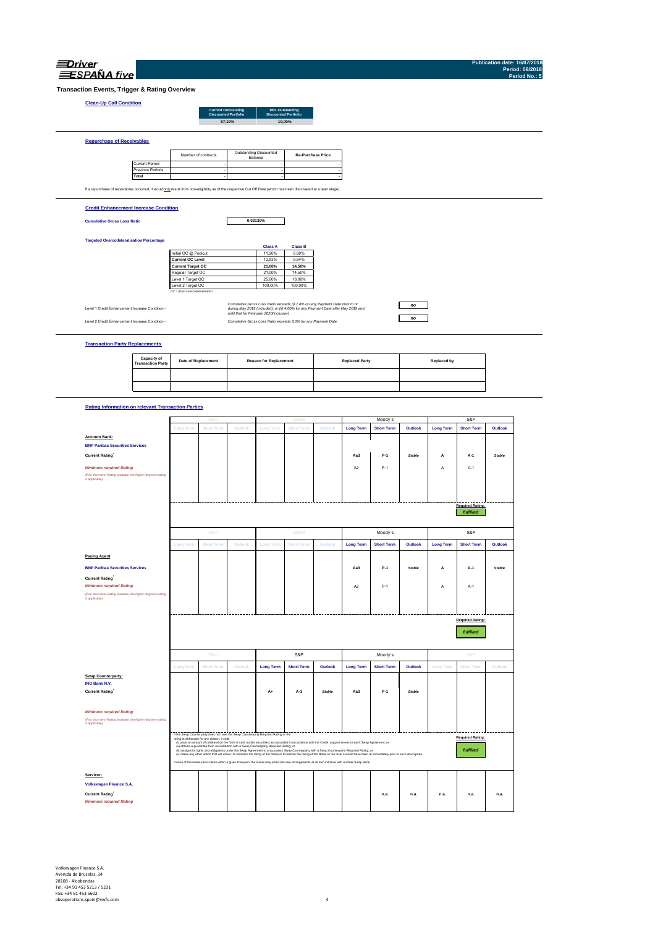| NД |  |
|----|--|

**Publication date: 16/07/2018 Period: 06/2018**

**Required Rating:** *fulfilled*

**Required Rating:** *fulfilled*

**Required Rating:** *fulfilled*

**Aa3 P-1** *Stable* **A A-1** *Stable*

P-1 A2 A-1 A-1 A-1 A-1

**Trans** 

| ESPAÑA five                                                                                                                                                       |                                         |                                  |                             |                            |                                         |                                                                                   |                          |                       |                   |               |                    |                   |               | <b>Period: 06/2018</b><br>Period No.: 5 |
|-------------------------------------------------------------------------------------------------------------------------------------------------------------------|-----------------------------------------|----------------------------------|-----------------------------|----------------------------|-----------------------------------------|-----------------------------------------------------------------------------------|--------------------------|-----------------------|-------------------|---------------|--------------------|-------------------|---------------|-----------------------------------------|
| saction Events, Trigger & Rating Overview                                                                                                                         |                                         |                                  |                             |                            |                                         |                                                                                   |                          |                       |                   |               |                    |                   |               |                                         |
| <b>Clean-Up Call Condition</b>                                                                                                                                    |                                         |                                  |                             |                            |                                         |                                                                                   |                          |                       |                   |               |                    |                   |               |                                         |
|                                                                                                                                                                   |                                         |                                  | <b>Discounted Portfolio</b> | <b>Current Outstanding</b> |                                         | Min. Outstanding<br><b>Discounted Portfolio</b>                                   |                          |                       |                   |               |                    |                   |               |                                         |
|                                                                                                                                                                   |                                         |                                  |                             | 87,10%                     |                                         | 10,00%                                                                            |                          |                       |                   |               |                    |                   |               |                                         |
|                                                                                                                                                                   |                                         |                                  |                             |                            |                                         |                                                                                   |                          |                       |                   |               |                    |                   |               |                                         |
| <b>Repurchase of Receivables</b>                                                                                                                                  |                                         |                                  |                             |                            |                                         |                                                                                   |                          |                       |                   |               |                    |                   |               |                                         |
|                                                                                                                                                                   |                                         |                                  | Number of contracts         |                            | Outstanding Discounted                  |                                                                                   | <b>Re-Purchase Price</b> |                       |                   |               |                    |                   |               |                                         |
|                                                                                                                                                                   | <b>Current Period</b>                   |                                  |                             |                            | Balance                                 |                                                                                   |                          |                       |                   |               |                    |                   |               |                                         |
|                                                                                                                                                                   | Previous Periods                        |                                  |                             |                            |                                         |                                                                                   |                          |                       |                   |               |                    |                   |               |                                         |
|                                                                                                                                                                   | Total                                   |                                  |                             |                            |                                         |                                                                                   |                          |                       |                   |               |                    |                   |               |                                         |
| If a repurchase of receivables occurred, it wouldonly result from non-eligibility as of the respective Cut Off Date (which has been discovered at a later stage). |                                         |                                  |                             |                            |                                         |                                                                                   |                          |                       |                   |               |                    |                   |               |                                         |
| <b>Credit Enhancement Increase Condition</b>                                                                                                                      |                                         |                                  |                             |                            |                                         |                                                                                   |                          |                       |                   |               |                    |                   |               |                                         |
| <b>Cumulative Gross Loss Ratio</b>                                                                                                                                |                                         |                                  |                             |                            | 0,02130%                                |                                                                                   |                          |                       |                   |               |                    |                   |               |                                         |
|                                                                                                                                                                   |                                         |                                  |                             |                            |                                         |                                                                                   |                          |                       |                   |               |                    |                   |               |                                         |
|                                                                                                                                                                   |                                         |                                  |                             |                            |                                         |                                                                                   |                          |                       |                   |               |                    |                   |               |                                         |
| <b>Targeted Overcollateralisation Percentage</b>                                                                                                                  |                                         |                                  |                             |                            | <b>Class A</b>                          | <b>Class B</b>                                                                    |                          |                       |                   |               |                    |                   |               |                                         |
|                                                                                                                                                                   |                                         | Initial OC @ Poolcut             |                             |                            | 11,20%                                  | 8,60%                                                                             |                          |                       |                   |               |                    |                   |               |                                         |
|                                                                                                                                                                   |                                         | <b>Current OC Level</b>          |                             |                            | 12,93%                                  | 9.94%                                                                             |                          |                       |                   |               |                    |                   |               |                                         |
|                                                                                                                                                                   |                                         | <b>Current Target OC</b>         |                             |                            | 21,00%                                  | 14,50%                                                                            |                          |                       |                   |               |                    |                   |               |                                         |
|                                                                                                                                                                   |                                         | Regular Target OC                |                             |                            | 21,00%                                  | 14,50%                                                                            |                          |                       |                   |               |                    |                   |               |                                         |
|                                                                                                                                                                   |                                         | Level 1 Target OC                |                             |                            | 25,00%                                  | 18,00%                                                                            |                          |                       |                   |               |                    |                   |               |                                         |
|                                                                                                                                                                   |                                         | Level 2 Target OC                |                             |                            | 100,00%                                 | 100,00%                                                                           |                          |                       |                   |               |                    |                   |               |                                         |
|                                                                                                                                                                   |                                         | OC = Asset Overcollateral/sation |                             |                            |                                         |                                                                                   |                          |                       |                   |               |                    |                   |               |                                         |
|                                                                                                                                                                   |                                         |                                  |                             |                            |                                         | Cumulative Gross Loss Ratio exceeds (i) 1.8% on any Payment Date prior to or      |                          |                       |                   |               |                    |                   |               |                                         |
| Level 1 Credit Enhancement Increase Condition -                                                                                                                   |                                         |                                  |                             |                            |                                         | during May 2019 (included); or (ii) 4.00% for any Payment Date after May 2019 and |                          |                       |                   | $\mathsf{no}$ |                    |                   |               |                                         |
|                                                                                                                                                                   |                                         |                                  |                             |                            | until that for February 2020(inclusive) |                                                                                   |                          |                       |                   | no            |                    |                   |               |                                         |
| Level 2 Credit Enhancement Increase Condition -                                                                                                                   |                                         |                                  |                             |                            |                                         | Cumulative Gross Loss Ratio exceeds 8.0% for any Payment Date                     |                          |                       |                   |               |                    |                   |               |                                         |
|                                                                                                                                                                   |                                         |                                  |                             |                            |                                         |                                                                                   |                          |                       |                   |               |                    |                   |               |                                         |
|                                                                                                                                                                   |                                         |                                  |                             |                            |                                         |                                                                                   |                          |                       |                   |               |                    |                   |               |                                         |
| <b>Transaction Party Replacements</b>                                                                                                                             |                                         |                                  |                             |                            |                                         |                                                                                   |                          |                       |                   |               |                    |                   |               |                                         |
|                                                                                                                                                                   |                                         |                                  |                             |                            |                                         |                                                                                   |                          |                       |                   |               |                    |                   |               |                                         |
|                                                                                                                                                                   | Capacity of<br><b>Transaction Party</b> |                                  | <b>Date of Replacement</b>  |                            | <b>Reason for Replacement</b>           |                                                                                   |                          | <b>Replaced Party</b> |                   |               | <b>Replaced by</b> |                   |               |                                         |
|                                                                                                                                                                   |                                         |                                  |                             |                            |                                         |                                                                                   |                          |                       |                   |               |                    |                   |               |                                         |
|                                                                                                                                                                   |                                         |                                  |                             |                            |                                         |                                                                                   |                          |                       |                   |               |                    |                   |               |                                         |
|                                                                                                                                                                   |                                         |                                  |                             |                            |                                         |                                                                                   |                          |                       |                   |               |                    |                   |               |                                         |
|                                                                                                                                                                   |                                         |                                  |                             |                            |                                         |                                                                                   |                          |                       |                   |               |                    |                   |               |                                         |
|                                                                                                                                                                   |                                         |                                  |                             |                            |                                         |                                                                                   |                          |                       |                   |               |                    |                   |               |                                         |
| <b>Rating Information on relevant Transaction Parties</b>                                                                                                         |                                         |                                  |                             |                            |                                         |                                                                                   |                          |                       |                   |               |                    |                   |               |                                         |
|                                                                                                                                                                   |                                         |                                  |                             |                            |                                         |                                                                                   |                          |                       |                   |               |                    |                   |               |                                         |
|                                                                                                                                                                   |                                         |                                  | Fitcl                       |                            |                                         | DBRS                                                                              |                          |                       | Moody's           |               |                    | S&P               |               |                                         |
|                                                                                                                                                                   |                                         | <b>Long Term</b>                 | <b>Short Term</b>           | Outlook                    | <b>Long Term</b>                        | <b>Short Term</b>                                                                 | Outlook                  | <b>Long Term</b>      | <b>Short Term</b> | Outlook       | <b>Long Term</b>   | <b>Short Term</b> | Outlook       |                                         |
| <b>Account Bank:</b>                                                                                                                                              |                                         |                                  |                             |                            |                                         |                                                                                   |                          |                       |                   |               |                    |                   |               |                                         |
|                                                                                                                                                                   |                                         |                                  |                             |                            |                                         |                                                                                   |                          |                       |                   |               |                    |                   |               |                                         |
| <b>BNP Paribas Securities Services</b>                                                                                                                            |                                         |                                  |                             |                            |                                         |                                                                                   |                          |                       |                   |               |                    |                   |               |                                         |
| <b>Current Rating</b>                                                                                                                                             |                                         |                                  |                             |                            |                                         |                                                                                   |                          | Aa <sub>3</sub>       | $P-1$             | Stable        | А                  | A-1               | <b>Stable</b> |                                         |
|                                                                                                                                                                   |                                         |                                  |                             |                            |                                         |                                                                                   |                          |                       |                   |               |                    |                   |               |                                         |
| <b>Minimum required Rating</b>                                                                                                                                    |                                         |                                  |                             |                            |                                         |                                                                                   |                          | A <sub>2</sub>        | $P-1$             |               | Α                  | A-1               |               |                                         |
| (if no short term Rating available, the higher long term rating                                                                                                   |                                         |                                  |                             |                            |                                         |                                                                                   |                          |                       |                   |               |                    |                   |               |                                         |

Volkswagen Finance S.A.<br>Avenida de Bruselas, 34<br>28108 - Alcobendas<br>Tel: +34 91 453 5213 / 5231<br>absoperations.spain@vwfs.com 4<br>absoperations.spain@vwfs.com 4

**Paying Agent**

**BNP Paribas Securities Services**

**Swap Counterparty: ING Bank N.V.**

*Minimum required Rating (if no short term Rating available, the higher long term rating is applicable)*

**Servicer:** 

**Volkswagen Finance S.A.** 

 $\blacksquare$  **Current Rating`**<br> *Minimum required Rating<br>
at no short term Rating available, the higher long term rating available)<br>Is applicable)* 

**Long Term Short Term Outlook Long Term Short Term Outlook Long Term Short Term Outlook Long Term Short Term Outlook**

Fitch **S&P (2009)** DBRS Moody's S&P S&P S&P S&P SASES SARE SASES SASES SASES SASES SASES SASES SASES SASES SASES SASES SASES SASES SASES SASES SASES SASES SASES SASES SASES SASES SASES SASES SASES SASES SASES SASES SASES S

**Long Term Short Term Outlook Long Term Short Term Outlook Long Term Short Term Outlook Long Term Short Term Outlook**

Fitch S&P Moody´s S&P

**Current Rating\* A+ A-1** *Stable* **Aa3 P-1** *Stable* AA- A-1+ Negative

if the Sang Counterary does not have the Sang Counterary Register Stating of the Sang Counterparty of the Sang<br>- Michael Sang Counterary of the Sang Counterparty Register Stating or Theoretics with the Credit support Ameri

If none of the measures is taken within a given timespan, the Issuer may enter into new arrangements at its own initiative with another Swap Bank.

**Current Rating\* n.a. n.a. n.a. n.a. n.a. n.a.** *Minimum required Rating*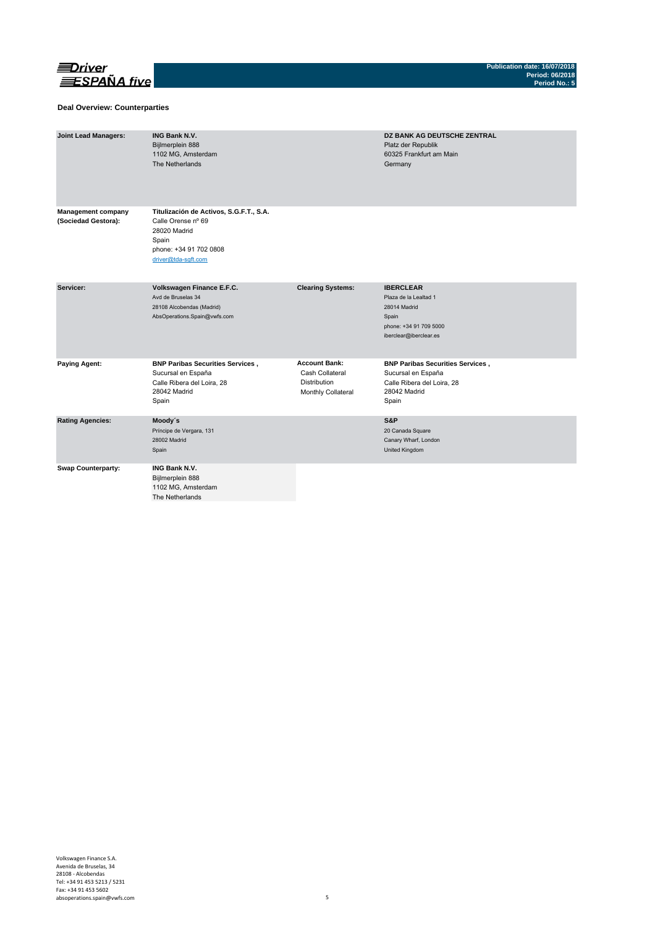

#### **Deal Overview: Counterparties**

| <b>Joint Lead Managers:</b>                      | <b>ING Bank N.V.</b><br>Bijlmerplein 888<br>1102 MG, Amsterdam<br>The Netherlands                                                       |                                                                                      | DZ BANK AG DEUTSCHE ZENTRAL<br>Platz der Republik<br>60325 Frankfurt am Main<br>Germany                                |
|--------------------------------------------------|-----------------------------------------------------------------------------------------------------------------------------------------|--------------------------------------------------------------------------------------|------------------------------------------------------------------------------------------------------------------------|
| <b>Management company</b><br>(Sociedad Gestora): | Titulización de Activos, S.G.F.T., S.A.<br>Calle Orense nº 69<br>28020 Madrid<br>Spain<br>phone: +34 91 702 0808<br>driver@tda-sqft.com |                                                                                      |                                                                                                                        |
| Servicer:                                        | Volkswagen Finance E.F.C.<br>Avd de Bruselas 34<br>28108 Alcobendas (Madrid)<br>AbsOperations.Spain@vwfs.com                            | <b>Clearing Systems:</b>                                                             | <b>IBERCLEAR</b><br>Plaza de la Lealtad 1<br>28014 Madrid<br>Spain<br>phone: +34 91 709 5000<br>iberclear@iberclear.es |
| <b>Paying Agent:</b>                             | <b>BNP Paribas Securities Services,</b><br>Sucursal en España<br>Calle Ribera del Loira, 28<br>28042 Madrid<br>Spain                    | <b>Account Bank:</b><br>Cash Collateral<br><b>Distribution</b><br>Monthly Collateral | <b>BNP Paribas Securities Services,</b><br>Sucursal en España<br>Calle Ribera del Loira, 28<br>28042 Madrid<br>Spain   |
| <b>Rating Agencies:</b>                          | Moody's<br>Príncipe de Vergara, 131<br>28002 Madrid<br>Spain                                                                            |                                                                                      | S&P<br>20 Canada Square<br>Canary Wharf, London<br>United Kingdom                                                      |
| <b>Swap Counterparty:</b>                        | <b>ING Bank N.V.</b><br>Bijlmerplein 888<br>1102 MG, Amsterdam<br>The Netherlands                                                       |                                                                                      |                                                                                                                        |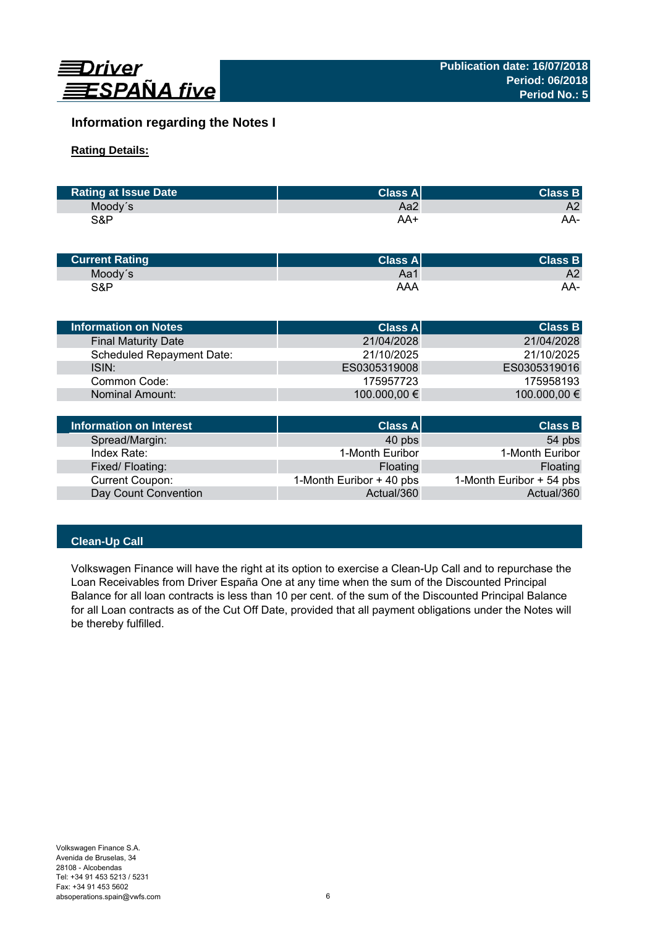

# **Information regarding the Notes I**

# **Rating Details:**

| <b>Rating at Issue Date</b> | <b>Class All</b> | <b>Class B</b> |
|-----------------------------|------------------|----------------|
| Moody's                     | Aa2              | A2             |
| S&P                         | AA+              | AA-            |

| <b>Current Rating</b> | Class Al | <b>Class B</b> |
|-----------------------|----------|----------------|
| Moody's               | Aa1      | A2             |
| S&P                   | AAA      | AA-            |

| Information on Notes             | <b>Class All</b> | <b>Class B</b> |
|----------------------------------|------------------|----------------|
| <b>Final Maturity Date</b>       | 21/04/2028       | 21/04/2028     |
| <b>Scheduled Repayment Date:</b> | 21/10/2025       | 21/10/2025     |
| ISIN:                            | ES0305319008     | ES0305319016   |
| Common Code:                     | 175957723        | 175958193      |
| Nominal Amount:                  | 100.000,00 €     | 100.000,00 €   |
|                                  |                  |                |

| Information on Interest | Class A                  | <b>Class B</b>           |
|-------------------------|--------------------------|--------------------------|
| Spread/Margin:          | 40 pbs                   | 54 pbs                   |
| Index Rate:             | 1-Month Euribor          | 1-Month Euribor          |
| Fixed/Floating:         | Floating                 | Floating                 |
| <b>Current Coupon:</b>  | 1-Month Euribor + 40 pbs | 1-Month Euribor + 54 pbs |
| Day Count Convention    | Actual/360               | Actual/360               |

# **Clean-Up Call**

Volkswagen Finance will have the right at its option to exercise a Clean-Up Call and to repurchase the Loan Receivables from Driver España One at any time when the sum of the Discounted Principal Balance for all loan contracts is less than 10 per cent. of the sum of the Discounted Principal Balance for all Loan contracts as of the Cut Off Date, provided that all payment obligations under the Notes will be thereby fulfilled.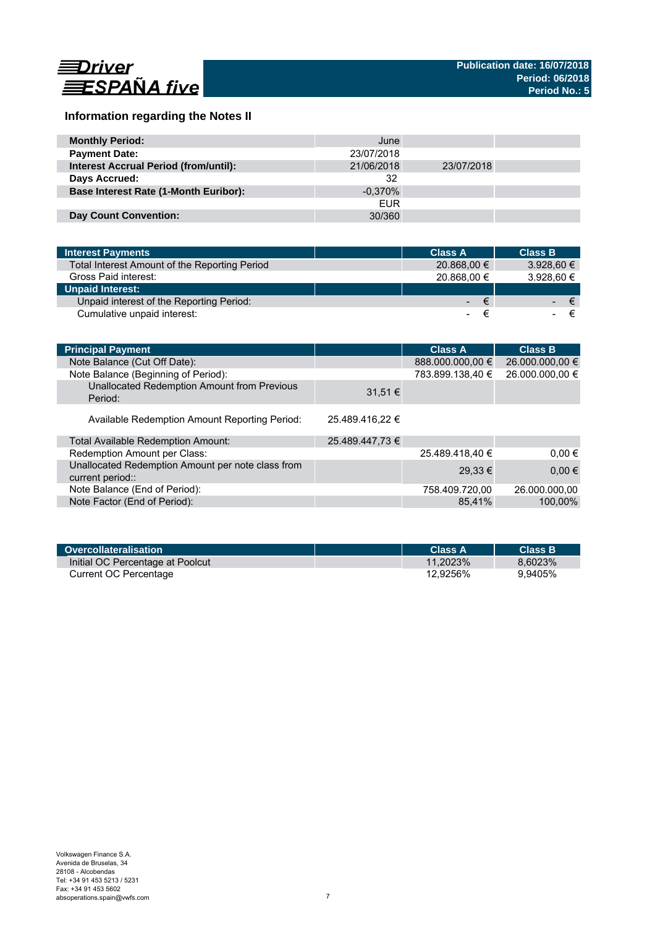

# **Information regarding the Notes II**

| <b>Monthly Period:</b>                       | June       |            |  |
|----------------------------------------------|------------|------------|--|
| <b>Payment Date:</b>                         | 23/07/2018 |            |  |
| <b>Interest Accrual Period (from/until):</b> | 21/06/2018 | 23/07/2018 |  |
| Days Accrued:                                | 32         |            |  |
| <b>Base Interest Rate (1-Month Euribor):</b> | $-0.370\%$ |            |  |
|                                              | <b>EUR</b> |            |  |
| Day Count Convention:                        | 30/360     |            |  |

| <b>Interest Payments</b>                      | <b>Class A</b> | <b>Class B</b>    |
|-----------------------------------------------|----------------|-------------------|
| Total Interest Amount of the Reporting Period | 20.868,00 €    | $3.928.60 \in$    |
| Gross Paid interest:                          | 20.868,00 €    | 3.928.60 €        |
| <b>Unpaid Interest:</b>                       |                |                   |
| Unpaid interest of the Reporting Period:      | /www.          | ∕€7<br>$\epsilon$ |
| Cumulative unpaid interest:                   |                |                   |

| <b>Principal Payment</b>                                              |                 | <b>Class A</b>   | <b>Class B</b>  |
|-----------------------------------------------------------------------|-----------------|------------------|-----------------|
| Note Balance (Cut Off Date):                                          |                 | 888.000.000,00 € | 26.000.000,00 € |
| Note Balance (Beginning of Period):                                   |                 | 783.899.138,40 € | 26.000.000,00 € |
| Unallocated Redemption Amount from Previous<br>Period:                | $31.51 \in$     |                  |                 |
| Available Redemption Amount Reporting Period:                         | 25.489.416,22 € |                  |                 |
| Total Available Redemption Amount:                                    | 25.489.447,73 € |                  |                 |
| Redemption Amount per Class:                                          |                 | 25.489.418,40 €  | $0.00 \in$      |
| Unallocated Redemption Amount per note class from<br>current period:: |                 | $29.33 \in$      | $0,00 \in$      |
| Note Balance (End of Period):                                         |                 | 758.409.720.00   | 26.000.000.00   |
| Note Factor (End of Period):                                          |                 | 85.41%           | 100,00%         |

| Overcollateralisation            | Class A     | <b>Class B</b> |
|----------------------------------|-------------|----------------|
| Initial OC Percentage at Poolcut | $11.2023\%$ | 8.6023%        |
| Current OC Percentage            | 12.9256%    | 9.9405%        |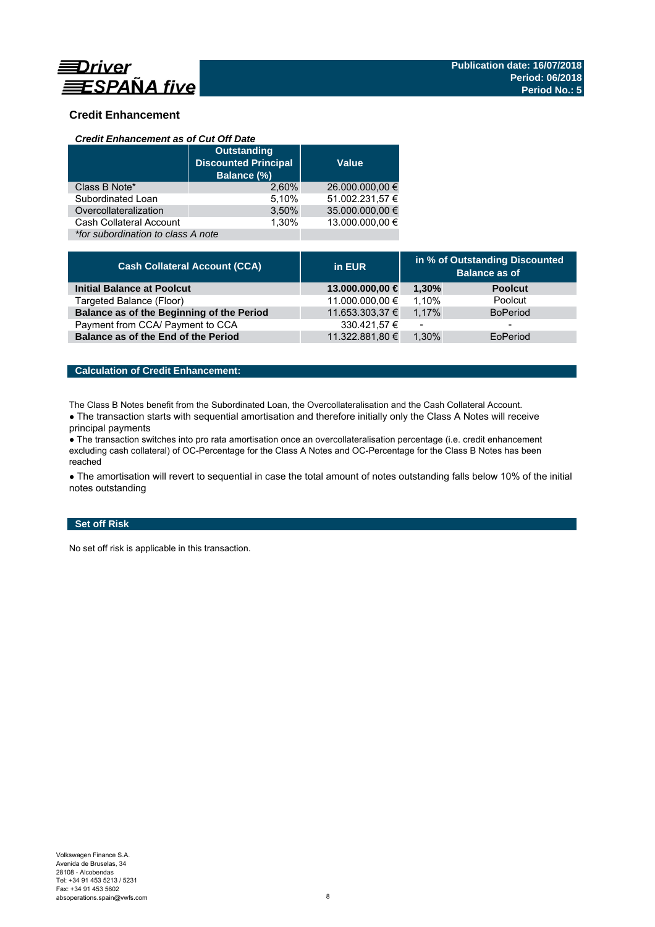

# **Credit Enhancement**

#### *Credit Enhancement as of Cut Off Date*

|                                    | <b>Outstanding</b><br><b>Discounted Principal</b><br>Balance (%) |                 |
|------------------------------------|------------------------------------------------------------------|-----------------|
| Class B Note*                      | 2.60%                                                            | 26.000.000,00 € |
| Subordinated Loan                  | 5,10%                                                            | 51.002.231,57 € |
| Overcollateralization              | 3,50%                                                            | 35.000.000,00 € |
| Cash Collateral Account            | 1.30%                                                            | 13.000.000.00 € |
| *for subordination to class A note |                                                                  |                 |

| <b>Cash Collateral Account (CCA)</b>      | in EUR          | in % of Outstanding Discounted<br><b>Balance as of</b> |                 |
|-------------------------------------------|-----------------|--------------------------------------------------------|-----------------|
| <b>Initial Balance at Poolcut</b>         | 13.000.000,00 € | 1.30%                                                  | <b>Poolcut</b>  |
| Targeted Balance (Floor)                  | 11.000.000,00 € | 1.10%                                                  | Poolcut         |
| Balance as of the Beginning of the Period | 11.653.303,37 € | 1.17%                                                  | <b>BoPeriod</b> |
| Payment from CCA/ Payment to CCA          | 330.421,57 €    | $\overline{\phantom{0}}$                               | -               |
| Balance as of the End of the Period       | 11.322.881,80 € | 1.30%                                                  | EoPeriod        |

### **Calculation of Credit Enhancement:**

The Class B Notes benefit from the Subordinated Loan, the Overcollateralisation and the Cash Collateral Account.

• The transaction starts with sequential amortisation and therefore initially only the Class A Notes will receive principal payments

● The transaction switches into pro rata amortisation once an overcollateralisation percentage (i.e. credit enhancement excluding cash collateral) of OC-Percentage for the Class A Notes and OC-Percentage for the Class B Notes has been reached

• The amortisation will revert to sequential in case the total amount of notes outstanding falls below 10% of the initial notes outstanding

## **Set off Risk**

No set off risk is applicable in this transaction.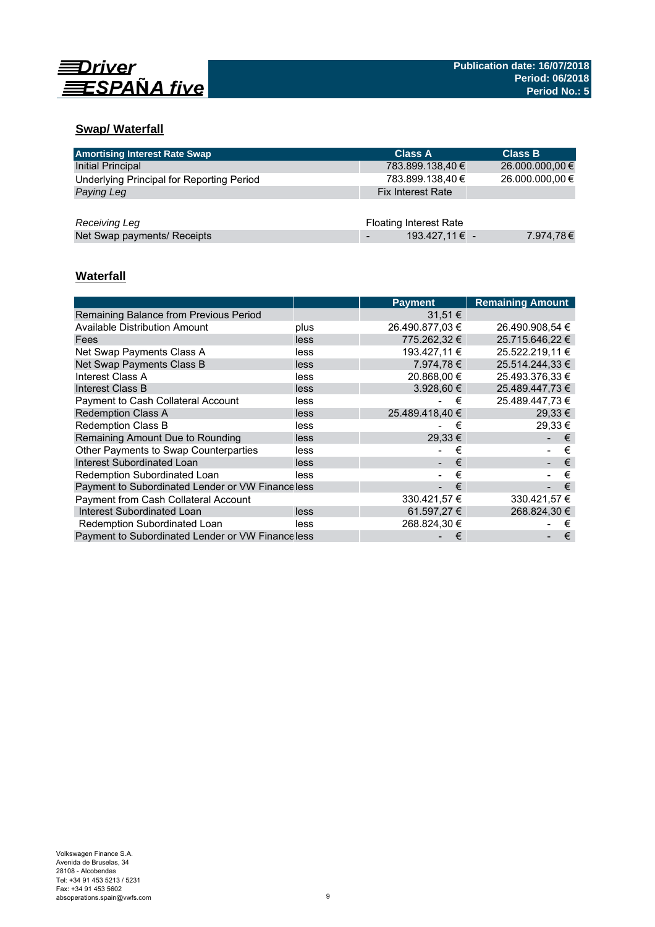

# **Swap/ Waterfall**

| <b>Amortising Interest Rate Swap</b>      | <b>Class A</b>                | <b>Class B</b>  |
|-------------------------------------------|-------------------------------|-----------------|
| Initial Principal                         | 783.899.138,40 €              | 26.000.000,00 € |
| Underlying Principal for Reporting Period | 783.899.138,40 €              | 26.000.000,00 € |
| Paying Leg                                | <b>Fix Interest Rate</b>      |                 |
|                                           |                               |                 |
| Receiving Leg                             | <b>Floating Interest Rate</b> |                 |
| Net Swap payments/ Receipts               | 193.427,11€ -                 | 7.974,78€       |

# **Waterfall**

|                                                   |      | <b>Payment</b>  | <b>Remaining Amount</b> |
|---------------------------------------------------|------|-----------------|-------------------------|
| Remaining Balance from Previous Period            |      | $31.51 \in$     |                         |
| <b>Available Distribution Amount</b>              | plus | 26.490.877,03 € | 26.490.908,54 €         |
| Fees                                              | less | 775.262.32 €    | 25.715.646.22 €         |
| Net Swap Payments Class A                         | less | 193.427,11 €    | 25.522.219.11 €         |
| Net Swap Payments Class B                         | less | 7.974.78 €      | 25.514.244.33 €         |
| Interest Class A                                  | less | 20.868.00 €     | 25.493.376.33 €         |
| Interest Class B                                  | less | $3.928.60 \in$  | 25.489.447.73 €         |
| <b>Payment to Cash Collateral Account</b>         | less | €               | 25.489.447,73 €         |
| <b>Redemption Class A</b>                         | less | 25.489.418.40 € | $29.33 \in$             |
| <b>Redemption Class B</b>                         | less | €               | 29.33 €                 |
| Remaining Amount Due to Rounding                  | less | 29,33 €         | €                       |
| Other Payments to Swap Counterparties             | less | €               | €                       |
| Interest Subordinated Loan                        | less | €               | €                       |
| Redemption Subordinated Loan                      | less | €               | €                       |
| Payment to Subordinated Lender or VW Finance less |      | €               | €                       |
| <b>Payment from Cash Collateral Account</b>       |      | 330.421,57 €    | 330.421,57 €            |
| Interest Subordinated Loan                        | less | 61.597,27 €     | 268.824,30 €            |
| Redemption Subordinated Loan                      | less | 268.824.30 €    | €                       |
| Payment to Subordinated Lender or VW Financeless  |      | €               | €                       |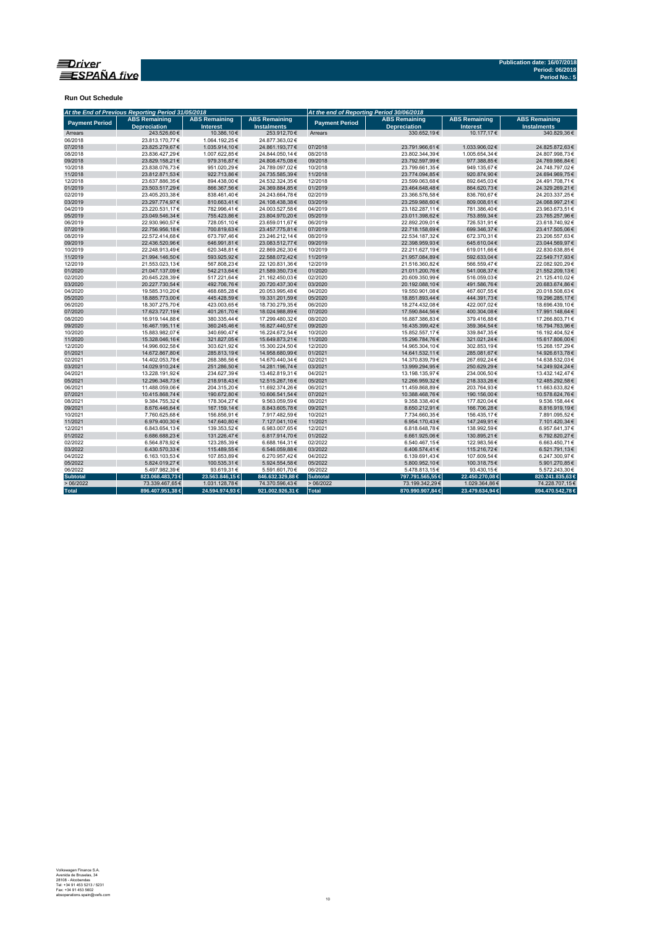

**Run Out Schedule**

|                       | At the End of Previous Reporting Period 31/05/2018 |                                         |                                            | At the end of Reporting Period 30/06/2018 |                                             |                                         |                                            |  |
|-----------------------|----------------------------------------------------|-----------------------------------------|--------------------------------------------|-------------------------------------------|---------------------------------------------|-----------------------------------------|--------------------------------------------|--|
| <b>Payment Period</b> | <b>ABS Remaining</b><br><b>Depreciation</b>        | <b>ABS Remaining</b><br><b>Interest</b> | <b>ABS Remaining</b><br><b>Instalments</b> | <b>Payment Period</b>                     | <b>ABS Remaining</b><br><b>Depreciation</b> | <b>ABS Remaining</b><br><b>Interest</b> | <b>ABS Remaining</b><br><b>Instalments</b> |  |
| Arrears               | 243.526,60€                                        | 10.386,10€                              | 253.912,70€                                | Arrears                                   | 330.652.19€                                 | 10.177,17€                              | 340.829.36€                                |  |
| 06/2018               | 23.813.170,77€                                     | 1.064.192,25€                           | 24.877.363.02€                             |                                           |                                             |                                         |                                            |  |
| 07/2018               | 23.825.279.67€                                     | 1.035.914,10€                           | 24.861.193,77€                             | 07/2018                                   | 23.791.966,61€                              | 1.033.906.02€                           | 24.825.872,63€                             |  |
| 08/2018               | 23.836.427,29€                                     | 1.007.622,85€                           | 24.844.050,14€                             | 08/2018                                   | 23.802.344,39€                              | 1.005.654,34 €                          | 24.807.998,73€                             |  |
| 09/2018               | 23.829.158,21€                                     | 979.316,87€                             | 24.808.475,08€                             | 09/2018                                   | 23.792.597,99€                              | 977.388,85€                             | 24.769.986,84€                             |  |
| 10/2018               | 23.838.076,73€                                     | 951.020,29€                             | 24.789.097,02€                             | 10/2018                                   | 23.799.661,35€                              | 949.135.67€                             | 24.748.797,02€                             |  |
| 11/2018               | 23.812.871,53€                                     | 922.713,86€                             | 24.735.585,39€                             | 11/2018                                   | 23.774.094,85€                              | 920.874,90 €                            | 24.694.969,75€                             |  |
| 12/2018               | 23.637.886,35€                                     | 894.438,00€                             | 24.532.324,35€                             | 12/2018                                   | 23.599.063,68€                              | 892.645,03€                             | 24.491.708,71€                             |  |
| 01/2019               | 23.503.517,29€                                     | 866.367,56€                             | 24.369.884,85€                             | 01/2019                                   | 23.464.648,48€                              | 864.620,73€                             | 24.329.269,21€                             |  |
| 02/2019               | 23.405.203,38€                                     | 838.461,40€                             | 24.243.664,78€                             | 02/2019                                   | 23.366.576,58€                              | 836.760,67€                             | 24.203.337,25€                             |  |
| 03/2019               | 23.297.774,97€                                     | 810.663,41€                             | 24.108.438,38€                             | 03/2019                                   | 23.259.988,60€                              | 809.008,61€                             | 24.068.997,21€                             |  |
| 04/2019               | 23.220.531,17€                                     | 782.996,41€                             | 24.003.527,58€                             | 04/2019                                   | 23.182.287,11€                              | 781.386,40€                             | 23.963.673,51€                             |  |
| 05/2019               | 23.049.546,34€                                     | 755.423,86€                             | 23.804.970,20€                             | 05/2019                                   | 23.011.398,62€                              | 753.859,34 €                            | 23.765.257,96€                             |  |
| 06/2019               | 22.930.960,57€                                     | 728.051,10€                             | 23.659.011,67€                             | 06/2019                                   | 22.892.209,01€                              | 726.531,91€                             | 23.618.740,92€                             |  |
| 07/2019               | 22.756.956.18€                                     | 700.819,63€                             | 23.457.775,81€                             | 07/2019                                   | 22.718.158,69€                              | 699.346,37€                             | 23.417.505,06€                             |  |
| 08/2019               | 22.572.414,68€                                     | 673.797,46€                             | 23.246.212,14€                             | 08/2019                                   | 22.534.187,32€                              | 672.370,31€                             | 23.206.557,63€                             |  |
| 09/2019               | 22.436.520,96€                                     | 646.991,81€                             | 23.083.512,77€                             | 09/2019                                   | 22.398.959,93€                              | 645.610,04€                             | 23.044.569,97€                             |  |
| 10/2019               | 22.248.913.49€                                     | 620.348,81€                             | 22.869.262,30€                             | 10/2019                                   | 22.211.627,19€                              | 619.011,66€                             | 22.830.638,85€                             |  |
| 11/2019               | 21.994.146,50€                                     | 593.925,92€                             | 22.588.072,42€                             | 11/2019                                   | 21.957.084,89€                              | 592.633,04€                             | 22.549.717,93€                             |  |
| 12/2019               | 21.553.023.13€                                     | 567.808.23€                             | 22.120.831,36€                             | 12/2019                                   | 21.516.360.82€                              | 566.559.47€                             | 22.082.920,29€                             |  |
| 01/2020               | 21.047.137,09€                                     | 542.213,64€                             | 21.589.350,73€                             | 01/2020                                   | 21.011.200,76€                              | 541.008,37€                             | 21.552.209,13€                             |  |
| 02/2020               | 20.645.228,39€                                     | 517.221,64€                             | 21.162.450,03€                             | 02/2020                                   | 20.609.350,99€                              | 516.059,03€                             | 21.125.410,02€                             |  |
| 03/2020               | 20.227.730,54€                                     | 492.706,76€                             | 20.720.437,30€                             | 03/2020                                   | 20.192.088,10€                              | 491.586,76€                             | 20.683.674,86€                             |  |
| 04/2020               | 19.585.310.20€                                     | 468.685,28€                             | 20.053.995,48€                             | 04/2020                                   | 19.550.901,08€                              | 467.607,55€                             | 20.018.508,63€                             |  |
| 05/2020               | 18.885.773,00€                                     | 445.428,59€                             | 19.331.201,59€                             | 05/2020                                   | 18.851.893,44 €                             | 444.391,73€                             | 19.296.285,17€                             |  |
| 06/2020               | 18.307.275,70€                                     | 423.003,65€                             | 18.730.279,35€                             | 06/2020                                   | 18.274.432,08€                              | 422.007,02€                             | 18.696.439,10€                             |  |
| 07/2020               | 17.623.727,19€                                     | 401.261,70€                             | 18.024.988,89€                             | 07/2020                                   | 17.590.844,56€                              | 400.304,08€                             | 17.991.148,64€                             |  |
| 08/2020               | 16.919.144,88€                                     | 380.335,44 €                            | 17.299.480,32€                             | 08/2020                                   | 16.887.386,83€                              | 379.416,88€                             | 17.266.803,71€                             |  |
| 09/2020               | 16.467.195,11€                                     | 360.245,46€                             | 16.827.440,57€                             | 09/2020                                   | 16.435.399,42€                              | 359.364,54€                             | 16.794.763,96€                             |  |
| 10/2020               | 15.883.982,07€                                     | 340.690,47€                             | 16.224.672,54€                             | 10/2020                                   | 15.852.557,17€                              | 339.847,35€                             | 16.192.404,52€                             |  |
| 11/2020               | 15.328.046,16€                                     | 321.827,05€                             | 15.649.873,21€                             | 11/2020                                   | 15.296.784,76€                              | 321.021,24€                             | 15.617.806,00€                             |  |
| 12/2020               | 14.996.602.58€                                     | 303.621.92€                             | 15.300.224,50€                             | 12/2020                                   | 14.965.304,10€                              | 302.853,19€                             | 15.268.157,29€                             |  |
| 01/2021               | 14.672.867,80€                                     | 285.813,19€                             | 14.958.680,99€                             | 01/2021                                   | 14.641.532,11€                              | 285.081,67€                             | 14.926.613,78€                             |  |
| 02/2021               | 14.402.053,78€                                     | 268.386,56€                             | 14.670.440,34€                             | 02/2021                                   | 14.370.839,79€                              | 267.692,24€                             | 14.638.532,03€                             |  |
| 03/2021               | 14.029.910,24€                                     | 251.286,50€                             | 14.281.196,74€                             | 03/2021                                   | 13.999.294,95€                              | 250.629,29€                             | 14.249.924,24€                             |  |
| 04/2021               | 13.228.191,92€                                     | 234.627,39€                             | 13.462.819,31€                             | 04/2021                                   | 13.198.135,97€                              | 234.006,50€                             | 13.432.142,47€                             |  |
| 05/2021               | 12.296.348.73€                                     | 218.918,43€                             | 12.515.267,16€                             | 05/2021                                   | 12.266.959,32€                              | 218.333.26€                             | 12.485.292,58€                             |  |
| 06/2021               | 11.488.059,06€                                     | 204.315,20€                             | 11.692.374,26€                             | 06/2021                                   | 11.459.868,89€                              | 203.764,93€                             | 11.663.633,82€                             |  |
| 07/2021               | 10.415.868,74€                                     | 190.672,80 €                            | 10.606.541,54€                             | 07/2021                                   | 10.388.468,76€                              | 190.156,00€                             | 10.578.624,76€                             |  |
| 08/2021               | 9.384.755.32€                                      | 178.304,27€                             | 9.563.059,59€                              | 08/2021                                   | 9.358.338,40€                               | 177.820,04 €                            | 9.536.158,44 €                             |  |
| 09/2021               | 8.676.446,64€                                      | 167.159,14€                             | 8.843.605,78€                              | 09/2021                                   | 8.650.212,91€                               | 166.706,28€                             | 8.816.919,19€                              |  |
| 10/2021               | 7.760.625,68€                                      | 156.856,91€                             | 7.917.482,59€                              | 10/2021                                   | 7.734.660,35€                               | 156.435,17€                             | 7.891.095,52€                              |  |
| 11/2021               | 6.979.400,30€                                      | 147.640,80€                             | 7.127.041,10€                              | 11/2021                                   | 6.954.170,43€                               | 147.249,91€                             | 7.101.420,34€                              |  |
| 12/2021               | 6.843.654,13€                                      | 139.353,52€                             | 6.983.007,65€                              | 12/2021                                   | 6.818.648,78€                               | 138.992,59€                             | 6.957.641,37€                              |  |
| 01/2022               | 6.686.688,23€                                      | 131.226,47€                             | 6.817.914,70€                              | 01/2022                                   | 6.661.925,06€                               | 130.895,21€                             | 6.792.820,27€                              |  |
| 02/2022               | 6.564.878,92€                                      | 123.285,39€                             | 6.688.164,31 €                             | 02/2022                                   | 6.540.467,15€                               | 122.983,56€                             | 6.663.450,71€                              |  |
| 03/2022               | 6.430.570,33€                                      | 115.489,55€                             | 6.546.059,88€                              | 03/2022                                   | 6.406.574,41€                               | 115.216,72€                             | 6.521.791,13€                              |  |
| 04/2022               | 6.163.103,53€                                      | 107.853,89€                             | 6.270.957,42€                              | 04/2022                                   | 6.139.691,43€                               | 107.609,54 €                            | 6.247.300,97€                              |  |
| 05/2022               | 5.824.019.27€                                      | 100.535.31€                             | 5.924.554,58€                              | 05/2022                                   | 5.800.952,10€                               | 100.318,75€                             | 5.901.270,85€                              |  |
| 06/2022               | 5.497.982,39€                                      | 93.619,31€                              | 5.591.601,70€                              | 06/2022                                   | 5.478.813,15€                               | 93.430,15€                              | 5.572.243,30 €                             |  |
| <b>Subtotal</b>       | 823.068.483,73€                                    | 23.563.846,15€                          | 846.632.329,88 €                           | Subtotal                                  | 797.791.565,55 €                            | 22.450.270,08€                          | 820.241.835,63€                            |  |
| >06/2022              | 73.339.467,65€                                     | 1.031.128,78€                           | 74.370.596,43€                             | >06/2022                                  | 73.199.342,29€                              | 1.029.364,86€                           | 74.228.707,15€                             |  |
| <b>Total</b>          | 896.407.951,38€                                    | 24.594.974,93 €                         | 921.002.926,31 €                           | Total                                     | 870.990.907,84 €                            | 23.479.634,94 €                         | 894.470.542,78€                            |  |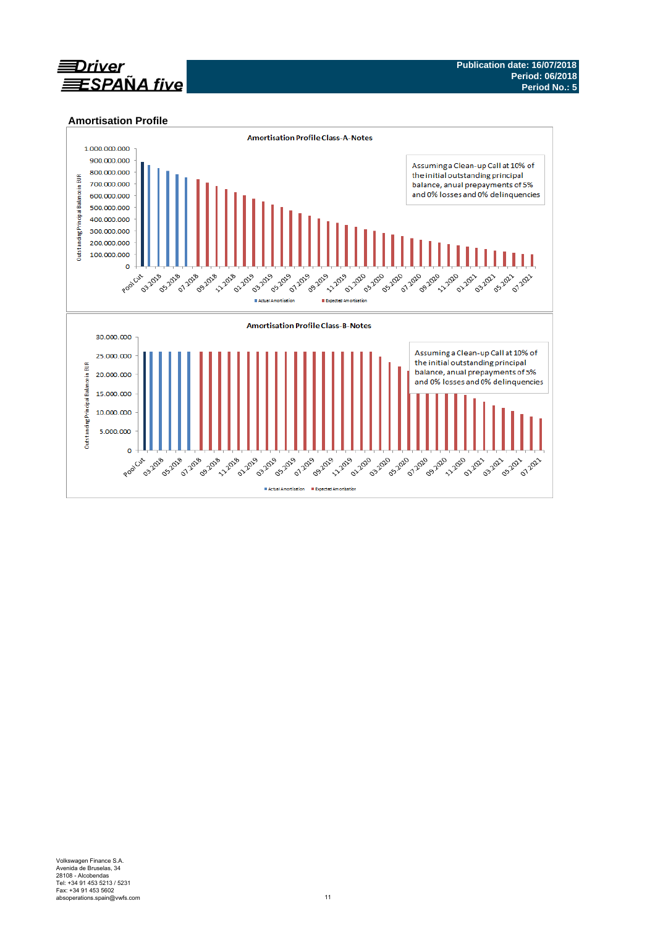

### **Amortisation Profile**

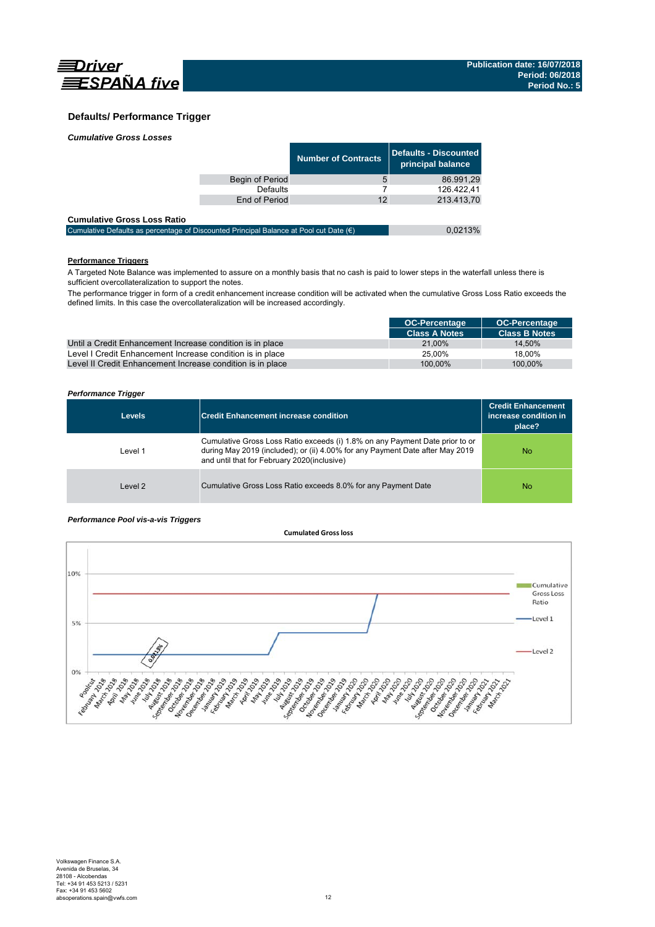

### **Defaults/ Performance Trigger**

| <b>Cumulative Gross Losses</b> |
|--------------------------------|
|--------------------------------|

|                 | <b>Number of Contracts</b> | Defaults - Discounted<br>principal balance |
|-----------------|----------------------------|--------------------------------------------|
| Begin of Period | 5                          | 86.991,29                                  |
| Defaults        |                            | 126.422.41                                 |
| End of Period   | 12                         | 213.413,70                                 |
|                 |                            |                                            |

| <b>Cumulative Gross Loss Ratio</b>                                                              |         |
|-------------------------------------------------------------------------------------------------|---------|
| Cumulative Defaults as percentage of Discounted Principal Balance at Pool cut Date $(\epsilon)$ | 0,0213% |

#### **Performance Triggers**

A Targeted Note Balance was implemented to assure on a monthly basis that no cash is paid to lower steps in the waterfall unless there is sufficient overcollateralization to support the notes.

The performance trigger in form of a credit enhancement increase condition will be activated when the cumulative Gross Loss Ratio exceeds the defined limits. In this case the overcollateralization will be increased accordingly.

|                                                            | <b>OC-Percentage</b> | <b>OC-Percentage</b> |
|------------------------------------------------------------|----------------------|----------------------|
|                                                            | <b>Class A Notes</b> | <b>Class B Notes</b> |
| Until a Credit Enhancement Increase condition is in place  | 21.00%               | 14.50%               |
| Level I Credit Enhancement Increase condition is in place  | 25.00%               | 18.00%               |
| Level II Credit Enhancement Increase condition is in place | 100.00%              | 100.00%              |

#### *Performance Trigger*

| <b>Levels</b> | <b>Credit Enhancement increase condition</b>                                                                                                                                                                 | <b>Credit Enhancement</b><br>increase condition in<br>place? |
|---------------|--------------------------------------------------------------------------------------------------------------------------------------------------------------------------------------------------------------|--------------------------------------------------------------|
| Level 1       | Cumulative Gross Loss Ratio exceeds (i) 1.8% on any Payment Date prior to or<br>during May 2019 (included); or (ii) 4.00% for any Payment Date after May 2019<br>and until that for February 2020(inclusive) | No                                                           |
| Level 2       | Cumulative Gross Loss Ratio exceeds 8.0% for any Payment Date                                                                                                                                                | No                                                           |

#### *Performance Pool vis-a-vis Triggers*

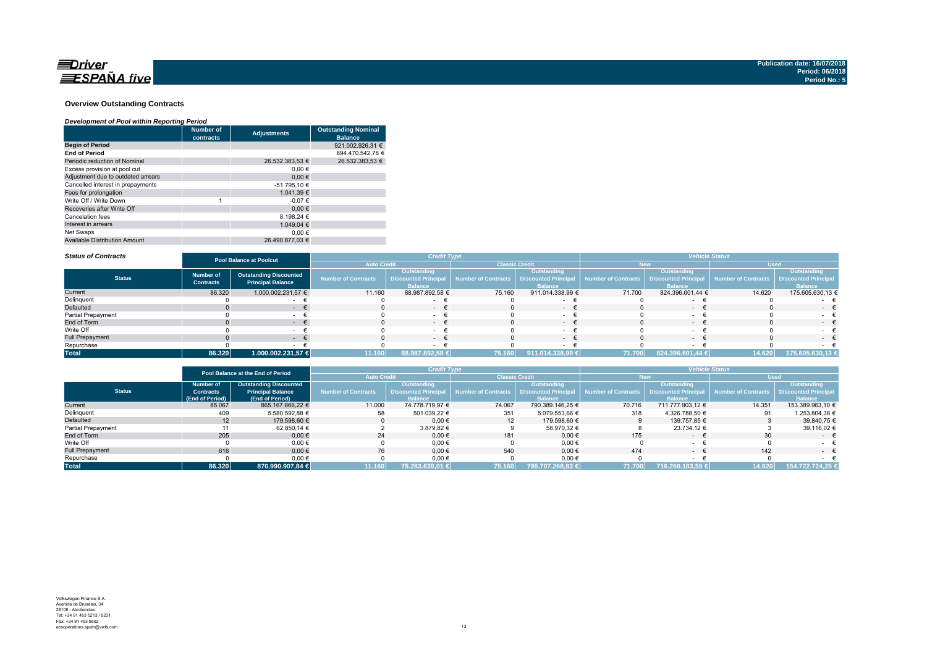

#### **Overview Outstanding Contracts**

#### *Development of Pool within Reporting Period*

|                                      | <b>Number of</b><br>contracts | <b>Adjustments</b> | <b>Outstanding Nominal</b><br><b>Balance</b> |
|--------------------------------------|-------------------------------|--------------------|----------------------------------------------|
| <b>Begin of Period</b>               |                               |                    | 921.002.926.31 €                             |
| <b>End of Period</b>                 |                               |                    | 894.470.542.78 €                             |
| Periodic reduction of Nominal        |                               | 26.532.383.53 €    | 26.532.383.53 €                              |
| Excess provision at pool cut         |                               | 0.00€              |                                              |
| Adjustment due to outdated arrears   |                               | 0.00€              |                                              |
| Cancelled interest in prepayments    |                               | -51.795,10 €       |                                              |
| Fees for prolongation                |                               | 1.041.39 €         |                                              |
| Write Off / Write Down               |                               | $-0.07€$           |                                              |
| Recoveries after Write Off           |                               | 0.00€              |                                              |
| Cancelation fees                     |                               | 8.198.24 €         |                                              |
| Interest in arrears                  |                               | 1.049.04 €         |                                              |
| Net Swaps                            |                               | 0.00€              |                                              |
| <b>Available Distribution Amount</b> |                               | 26.490.877.03 €    |                                              |

#### *Status of Contracts*

| <b>Status of Contracts</b> | <b>Pool Balance at Poolcut</b>                                                                    |                    |                            | <b>Credit Type</b>                                           |                       |                                                              | <b>Vehicle Status</b>      |                                                              |                     |                                                                     |
|----------------------------|---------------------------------------------------------------------------------------------------|--------------------|----------------------------|--------------------------------------------------------------|-----------------------|--------------------------------------------------------------|----------------------------|--------------------------------------------------------------|---------------------|---------------------------------------------------------------------|
|                            |                                                                                                   |                    | <b>Auto Credit</b>         |                                                              | <b>Classic Credit</b> |                                                              |                            | lew                                                          | <b>Used</b>         |                                                                     |
| <b>Status</b>              | <b>Outstanding Discounted</b><br><b>Number of</b><br><b>Principal Balance</b><br><b>Contracts</b> |                    | <b>Number of Contracts</b> | Outstanding<br><b>Discounted Principal</b><br><b>Balance</b> | Number of Contracts   | Outstanding<br><b>Discounted Principal</b><br><b>Balance</b> | <b>Number of Contracts</b> | Outstanding<br><b>Discounted Principal</b><br><b>Balance</b> | Number of Contracts | <b>Outstanding</b><br><b>Discounted Principal</b><br><b>Balance</b> |
| Current                    | 86.320                                                                                            | 1.000.002.231,57 € | 11.160                     | 88.987.892,58 €                                              | 75.160                | 911.014.338,99 €                                             | 71.700                     | 824.396.601,44 €                                             | 14.620              | 175.605.630,13 €                                                    |
| Delinquent                 |                                                                                                   |                    |                            |                                                              |                       |                                                              |                            |                                                              |                     |                                                                     |
| Defaulted                  |                                                                                                   | . .                |                            | $\sim$                                                       |                       | $\sim$                                                       |                            |                                                              |                     | $-$                                                                 |
| <b>Partial Prepayment</b>  |                                                                                                   |                    |                            |                                                              |                       |                                                              |                            |                                                              |                     |                                                                     |
| End of Term                |                                                                                                   |                    |                            | $\sim$                                                       |                       | $\sim$                                                       |                            | $\sim$                                                       |                     | $-1$                                                                |
| Write Off                  |                                                                                                   |                    |                            | $\sim$                                                       |                       |                                                              |                            |                                                              |                     |                                                                     |
| <b>Full Prepayment</b>     |                                                                                                   | . .                |                            | $ \pm$                                                       |                       | $\sim$                                                       |                            | $ -$                                                         |                     | $\sim$                                                              |
| Repurchase                 |                                                                                                   |                    |                            |                                                              |                       |                                                              |                            |                                                              |                     |                                                                     |
| <b>Total</b>               | 86.320                                                                                            | 1.000.002.231,57 € | 11.160                     | 88.987.892,58 €                                              | 75.160                | 911.014.338,99 €                                             | 71.700                     | 824.396.601,44 €                                             | 14.620              | 175.605.630,13 €                                                    |

|                    |                  | Pool Balance at the End of Period |                     | <b>Credit Type</b> |                       |                  | <b>Vehicle Status</b> |                  |                                                                                                                                    |                             |
|--------------------|------------------|-----------------------------------|---------------------|--------------------|-----------------------|------------------|-----------------------|------------------|------------------------------------------------------------------------------------------------------------------------------------|-----------------------------|
|                    |                  |                                   | <b>Auto Credit</b>  |                    | <b>Classic Credit</b> |                  |                       | New              | <b>Used</b>                                                                                                                        |                             |
|                    | <b>Number of</b> | <b>Outstanding Discounted</b>     |                     | Outstanding        |                       | Outstanding      |                       | Outstanding,     |                                                                                                                                    | <b>Outstanding</b>          |
| <b>Status</b>      | <b>Contracts</b> | <b>Principal Balance</b>          | Number of Contracts |                    |                       |                  |                       |                  | Discounted Principal Number of Contracts   Discounted Principal   Number of Contracts   Discounted Principal   Number of Contracts | <b>Discounted Principal</b> |
|                    | (End of Period)  | (End of Period)                   |                     | <b>Balance</b>     |                       | <b>Balance</b>   |                       | <b>Balance</b>   |                                                                                                                                    | <b>Balance</b>              |
| Current            | 85.067           | 865.167.866.22 €                  | 11.000              | 74.778.719.97 €    | 74.067                | 790.389.146.25 € | 70.716                | 711.777.903.12 € | 14.351                                                                                                                             | 153.389.963.10 €            |
| Delinquent         | 409              | 5.580.592,88 €                    | 58                  | 501.039.22 €       | 351                   | 5.079.553,66 €   | 318                   | 4.326.788,50 €   | 91                                                                                                                                 | 1.253.804,38 €              |
| Defaulted          | 12               | 179.598.60 €                      |                     | $0.00 \in$         | 12                    | 179.598.60 €     |                       | 139.757.85 €     |                                                                                                                                    | 39.840.75 €                 |
| Partial Prepayment |                  | 62.850.14 €                       |                     | 3.879.82 €         |                       | 58.970,32 €      |                       | 23.734.12 €      |                                                                                                                                    | 39.116,02 €                 |
| End of Term        | 205              | $0.00 \in$                        | 24                  | $0.00 \in$         | 181                   | $0.00 \in$       | 175                   | $\sim$           | 30                                                                                                                                 | $ \epsilon$                 |
| Write Off          |                  | $0.00 \in$                        |                     | $0,00 \in$         |                       | 0,00€            |                       |                  |                                                                                                                                    |                             |
| Full Prepayment    | 616              | $0.00 \in$                        | 76                  | $0.00 \in$         | 540                   | 0.00€            | 474                   | $\sim$           | 142                                                                                                                                | $ \pm$                      |
| Repurchase         |                  | 0,00€                             |                     | $0,00 \in$         |                       | 0,00€            |                       |                  |                                                                                                                                    |                             |
| <b>Total</b>       | 86.320           | 870.990.907,84 €                  | 11.160              | 75.283.639.01 €    | 75.160                | 795.707.268.83 € | 71.700                | 716.268.183.59 € | 14.620                                                                                                                             | 154.722.724.25 €            |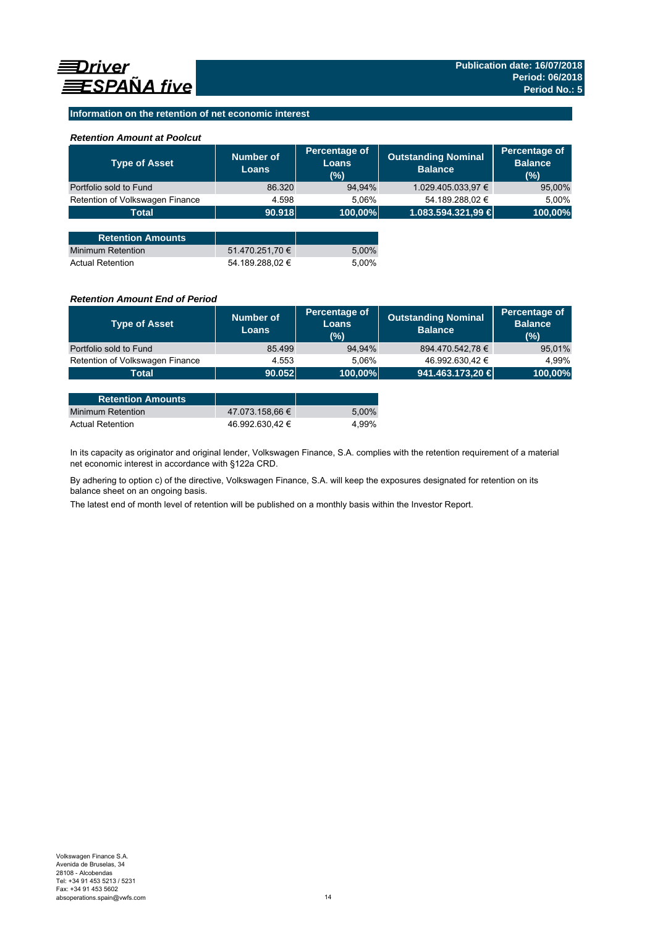### **Information on the retention of net economic interest**

#### *Retention Amount at Poolcut*

| <b>Type of Asset</b>            | Number of<br><b>Loans</b> | Percentage of<br><b>Loans</b><br>(%) | <b>Outstanding Nominal</b><br><b>Balance</b> | Percentage of<br><b>Balance</b><br>(%) |
|---------------------------------|---------------------------|--------------------------------------|----------------------------------------------|----------------------------------------|
| Portfolio sold to Fund          | 86.320                    | 94,94%                               | 1.029.405.033,97 €                           | 95,00%                                 |
| Retention of Volkswagen Finance | 4.598                     | 5.06%                                | 54.189.288,02 €                              | 5,00%                                  |
| <b>Total</b>                    | 90.918                    | 100,00%                              | 1.083.594.321,99 €                           | 100,00%                                |
|                                 |                           |                                      |                                              |                                        |
| <b>Retention Amounts</b>        |                           |                                      |                                              |                                        |
| <b>Minimum Retention</b>        | 51.470.251,70 €           | 5,00%                                |                                              |                                        |
| <b>Actual Retention</b>         | 54.189.288.02 €           | 5.00%                                |                                              |                                        |

#### *Retention Amount End of Period*

| <b>Type of Asset</b>            | <b>Number of</b><br>Loans | Percentage of<br>Loans<br>(%) | <b>Outstanding Nominal</b><br><b>Balance</b> | Percentage of<br><b>Balance</b><br>(%) |
|---------------------------------|---------------------------|-------------------------------|----------------------------------------------|----------------------------------------|
| Portfolio sold to Fund          | 85.499                    | 94.94%                        | 894.470.542,78 €                             | 95,01%                                 |
| Retention of Volkswagen Finance | 4.553                     | 5.06%                         | 46.992.630,42 €                              | 4.99%                                  |
| <b>Total</b>                    | 90.052                    | 100,00%                       | 941.463.173,20 €                             | 100,00%                                |
|                                 |                           |                               |                                              |                                        |

| <b>Retention Amounts</b> |                 |       |
|--------------------------|-----------------|-------|
| Minimum Retention        | 47.073.158.66 € | 5.00% |
| <b>Actual Retention</b>  | 46.992.630.42 € | 4.99% |

In its capacity as originator and original lender, Volkswagen Finance, S.A. complies with the retention requirement of a material net economic interest in accordance with §122a CRD.

By adhering to option c) of the directive, Volkswagen Finance, S.A. will keep the exposures designated for retention on its balance sheet on an ongoing basis.

The latest end of month level of retention will be published on a monthly basis within the Investor Report.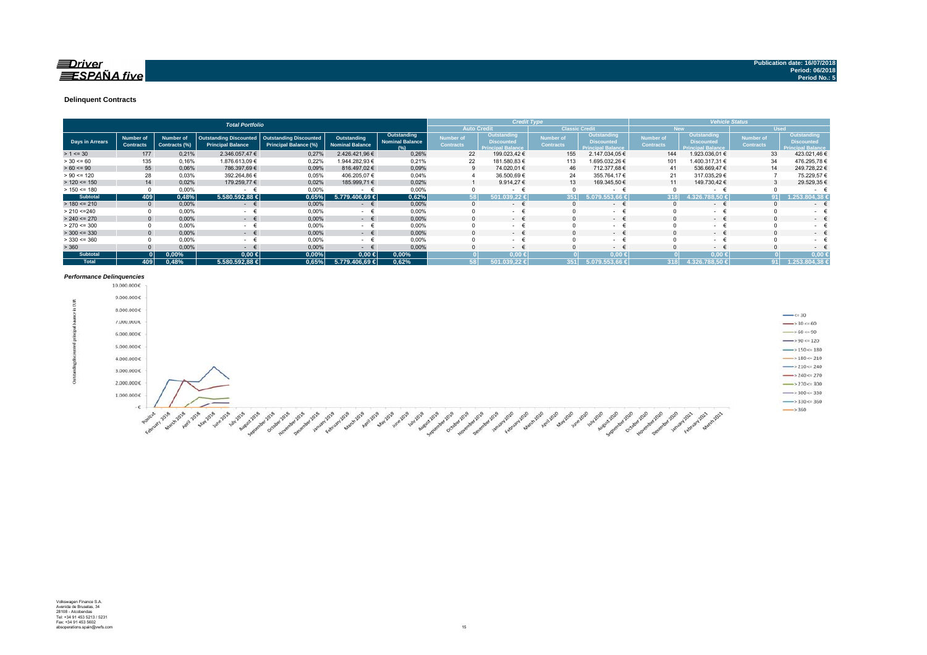#### $\equiv$ Driver **ESPAÑA** five

#### **Delinquent Contracts**

|                 | <b>Total Portfolio</b>               |                            |                                                    |                                                               |                                       |                                              |                               | <b>Credit Type</b>                                            |                                      |                                                                     |                               | <b>Vehicle Status</b>                                        |                                      |                                                                     |
|-----------------|--------------------------------------|----------------------------|----------------------------------------------------|---------------------------------------------------------------|---------------------------------------|----------------------------------------------|-------------------------------|---------------------------------------------------------------|--------------------------------------|---------------------------------------------------------------------|-------------------------------|--------------------------------------------------------------|--------------------------------------|---------------------------------------------------------------------|
|                 |                                      |                            |                                                    |                                                               |                                       |                                              | <b>Auto Credit</b>            |                                                               | <b>Classic Credit</b>                |                                                                     |                               | <b>New</b>                                                   |                                      | <b>Used</b>                                                         |
| Days in Arrears | <b>Number of</b><br><b>Contracts</b> | Number of<br>Contracts (%) | Outstanding Discounted<br><b>Principal Balance</b> | <b>Outstanding Discounted</b><br><b>Principal Balance (%)</b> | Outstanding<br><b>Nominal Balance</b> | Outstanding<br><b>Nominal Balance</b><br>(%) | Number of<br><b>Contracts</b> | Outstanding,<br><b>Discounted</b><br><b>Principal Balance</b> | <b>Number of</b><br><b>Contracts</b> | <b>Outstanding</b><br><b>Discounted</b><br><b>Principal Balance</b> | Number of<br><b>Contracts</b> | Outstanding<br><b>Discounted</b><br><b>Principal Balance</b> | <b>Number of</b><br><b>Contracts</b> | <b>Outstanding</b><br><b>Discounted</b><br><b>Principal Balance</b> |
| $> 1 \le 30$    | 177                                  | 0,21%                      | 2.346.057,47 €                                     | 0.27%                                                         | 2.426.421,96 €                        | 0,26%                                        | 22                            | 199.023,42 €                                                  | 155                                  | 2.147.034,05 €                                                      | 144                           | 1.923.036,01 €                                               | 33                                   | 423.021,46 €                                                        |
| $> 30 \le 60$   | 135                                  | 0,16%                      | 1.876.613,09 €                                     | 0,22%                                                         | 1.944.282,93 €                        | 0.21%                                        | 22                            | 181.580,83 €                                                  | 113                                  | 1.695.032,26 €                                                      | 101                           | .400.317,31 €                                                | 34                                   | 476.295,78€                                                         |
| $> 60 \le 90$   | 55                                   | 0,06%                      | 786.397,69 €                                       | 0,09%                                                         | 816.497.02 €                          | 0,09%                                        |                               | 74.020,01 €<br>9                                              | 46                                   | 712.377,68 €                                                        | 41                            | 536.669,47 €                                                 | 14                                   | 249.728,22 €                                                        |
| $> 90 \le 120$  | 28                                   | 0.03%                      | 392.264,86 €                                       | 0.05%                                                         | 406.205.07 €                          | 0,04%                                        |                               | 36.500,69 €                                                   | 24                                   | 355.764.17 €                                                        | 21                            | 317.035,29 €                                                 |                                      | 75.229,57 €                                                         |
| $> 120 \le 150$ | 14                                   | 0.02%                      | 179.259,77 €                                       | 0.02%                                                         | 185.999,71 €                          | 0.02%                                        |                               | 9.914,27 €                                                    | 13                                   | 169.345,50 €                                                        | 11                            | 149.730,42 €                                                 |                                      | 29.529,35 €                                                         |
| $> 150 \le 180$ |                                      | 0,00%                      | $\sim$                                             | 0,00%                                                         | $\sim$                                | 0,00%                                        |                               | $\sim$                                                        |                                      | $\sim$                                                              |                               | $\sim$                                                       |                                      | $\sim$                                                              |
| <b>Subtotal</b> | 409                                  | 0,48%                      | 5.580.592.88 €                                     | 0.65%                                                         | 5.779.406.69 €                        | 0,62%                                        |                               | 58 I<br>122.                                                  |                                      |                                                                     | 318                           | $1.326.788.50$ €                                             |                                      | 1.253.804.38 €                                                      |
| $> 180 \le 210$ |                                      | 0,00%                      | €<br>$\sim$ 10 $\pm$                               | 0,00%                                                         | €<br>$\sim$                           | 0,00%                                        | $\Omega$                      | $\sim$                                                        |                                      | $ \epsilon$                                                         |                               | ۰                                                            |                                      | $\sim$                                                              |
| > 210 < 240     |                                      | 0,00%                      | <b>Contract Contract</b>                           | 0,00%                                                         | $ \epsilon$                           | 0,00%                                        |                               | <b>Contract Contract</b>                                      |                                      | $ +$                                                                |                               | $\sim$                                                       |                                      | $\sim$ 10 $\pm$                                                     |
| $> 240 \le 270$ |                                      | 0,00%                      | $ \epsilon$                                        | 0,00%                                                         | $ \epsilon$                           | 0,00%                                        |                               | $\sim$ 100 $\mu$                                              |                                      | $ \epsilon$                                                         |                               | $ \epsilon$                                                  |                                      | $\sim$                                                              |
| $> 270 \le 300$ |                                      | 0,00%                      | $\sim$                                             | 0,00%                                                         | - €                                   | 0,00%                                        |                               | $\sim$                                                        |                                      | $\sim$                                                              |                               | ۰                                                            |                                      | $\sim$ 10 $\pm$                                                     |
| $>$ 300 <= 330  | $\Omega$                             | 0,00%                      | $\sim$ 100 $\mu$                                   | 0,00%                                                         | $ \epsilon$                           | 0,00%                                        |                               | $\sim$ 100 $\mu$                                              |                                      | $ \epsilon$                                                         |                               | $ \epsilon$                                                  |                                      | $\sim$                                                              |
| $> 330 \le 360$ |                                      | 0,00%                      | <b>Service</b>                                     | 0,00%                                                         | - €                                   | 0,00%                                        |                               | $\sim$                                                        |                                      | $\sim$                                                              |                               | ۰                                                            |                                      | $\sim$ 10 $\pm$                                                     |
| > 360           |                                      | 0,00%                      | <b>Section</b>                                     | 0,00%                                                         | $\epsilon$<br>$\sim$                  | 0.00%                                        |                               | $\sim$                                                        |                                      | $ \epsilon$                                                         |                               | $- 6$                                                        |                                      | $\sim$                                                              |
| <b>Subtotal</b> |                                      | 0,00%                      | $0,00$ ∈                                           | 0,00%                                                         | $0,00$ ∈                              | 0,00%                                        |                               | $0.00*$                                                       |                                      | 0,00.6                                                              |                               | $0.00*$                                                      |                                      | $0.00*$                                                             |
| <b>Total</b>    | 409                                  | 0.48%                      | 5.580.592.88 €                                     | 0,65%                                                         | 5.779.406.69 €                        | 0,62%                                        |                               | 58 I<br>501.039.22 €                                          | 351                                  | 5.079.553.66 €                                                      | 318                           | 4.326.788.50 €                                               |                                      | 1.253.804.38 €                                                      |

# *Performance Delinquencies*

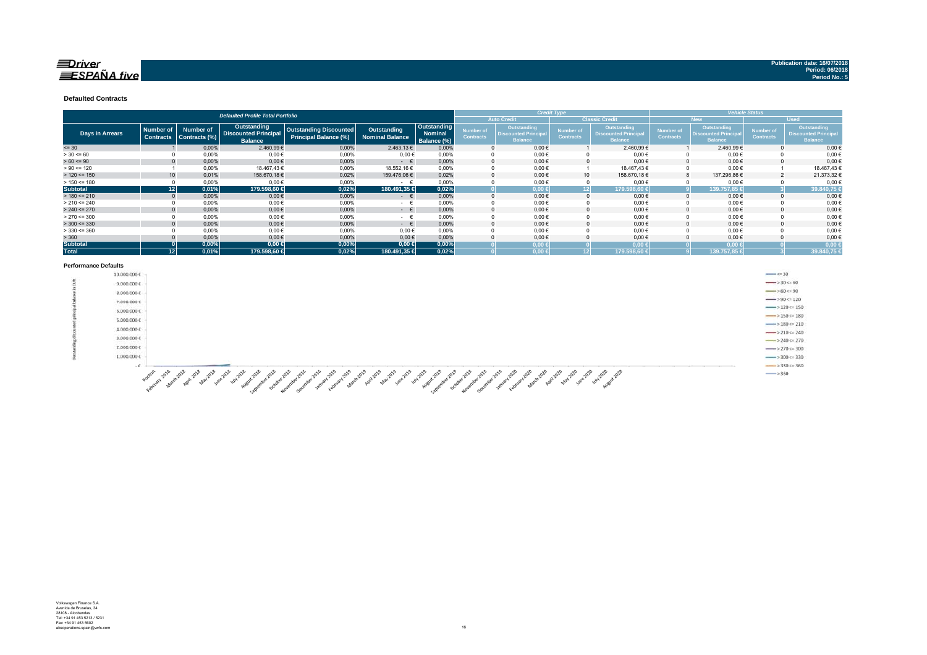#### $\equiv$ Driver  $\equiv$ SPAÑA five

#### **Defaulted Contracts**

|                        | <b>Defaulted Profile Total Portfolio</b> |                                   |                                                              |                                                        |                                       |                                              |                                             |                                                              | <b>Credit Type</b>            |                                                              |                                      |                                                                    | Vehicle Status                       |                                                                    |
|------------------------|------------------------------------------|-----------------------------------|--------------------------------------------------------------|--------------------------------------------------------|---------------------------------------|----------------------------------------------|---------------------------------------------|--------------------------------------------------------------|-------------------------------|--------------------------------------------------------------|--------------------------------------|--------------------------------------------------------------------|--------------------------------------|--------------------------------------------------------------------|
|                        |                                          |                                   |                                                              |                                                        |                                       |                                              | <b>Classic Credit</b><br><b>Auto Credit</b> |                                                              |                               |                                                              |                                      | New                                                                | <b>Used</b>                          |                                                                    |
| <b>Days in Arrears</b> | <b>Number of</b><br><b>Contracts</b>     | <b>Number of</b><br>Contracts (%) | Outstanding<br><b>Discounted Principal</b><br><b>Balance</b> | Outstanding Discounted<br><b>Principal Balance (%)</b> | Outstanding<br><b>Nominal Balance</b> | Outstanding<br><b>Nominal</b><br>Balance (%) | Number of<br><b>Contracts</b>               | Outstanding<br><b>Discounted Principal</b><br><b>Balance</b> | Number of<br><b>Contracts</b> | Outstanding<br><b>Discounted Principal</b><br><b>Balance</b> | <b>Number of</b><br><b>Contracts</b> | <b>Outstanding</b><br><b>Discounted Principa</b><br><b>Balance</b> | <b>Number of</b><br><b>Contracts</b> | <b>Outstanding</b><br><b>Discounted Principa</b><br><b>Balance</b> |
| $= 30$                 |                                          | 0,00%                             | 2.460,99 €                                                   | 0.00%                                                  | 2.463,13 €                            | 0.00%                                        |                                             | $0.00 \in$                                                   |                               | 2.460.99€                                                    |                                      | 2.460,99€                                                          |                                      | $0,00 \in$                                                         |
| $> 30 \le 60$          |                                          | 0,00%                             | 0.00€                                                        | 0.00%                                                  | $0.00 \in$                            | 0.00%                                        |                                             | $0.00 \in$                                                   |                               | $0.00 \in$                                                   |                                      | $0.00 \in$                                                         |                                      | 0,00€                                                              |
| $> 60 \le 90$          |                                          | 0,00%                             | $0,00$ €                                                     | 0,00%                                                  | $ \in$                                | 0.00%                                        |                                             | $0.00 \in$                                                   |                               | $0,00 \in$                                                   |                                      | 0.00€                                                              |                                      | $0,00 \in$                                                         |
| $> 90 \le 120$         |                                          | 0,00%                             | 18.467,43 €                                                  | 0,00%                                                  | 18.552,16€                            | 0.00%                                        |                                             | $0,00 \in$                                                   |                               | 18.467,43 €                                                  |                                      | $0,00 \in$                                                         |                                      | 18.467,43€                                                         |
| $> 120 \le 150$        | 10                                       | 0,01%                             | 158.670,18€                                                  | 0,02%                                                  | 159.476,06 €                          | 0.02%                                        |                                             | $0,00 \in$                                                   | 10 <sup>1</sup>               | 158.670,18€                                                  |                                      | 137.296,86 €                                                       |                                      | 21.373,32 €                                                        |
| $> 150 \le 180$        |                                          | 0,00%                             | $0,00$ €                                                     | 0,00%                                                  | - +                                   | 0,00%                                        |                                             | $0,00 \in$                                                   |                               | $0,00 \in$                                                   |                                      | $0,00 \in$                                                         |                                      | 0,00€                                                              |
| <b>Subtotal</b>        | 121                                      | 0,01%                             | 179.598,60 €                                                 | 0,02%                                                  | 180.491,35 €                          | 0,02%                                        |                                             | $0,00 \in$                                                   | 12 <sup>1</sup>               | 179.598.60 €                                                 |                                      | 139.757.85 €                                                       |                                      | 39.840,75                                                          |
| $> 180 \le 210$        |                                          | 0.00%                             | $0,00 \in$                                                   | 0,00%                                                  | $ \in$                                | 0.00%                                        |                                             | $0,00 \in$                                                   |                               | $0,00 \in$                                                   |                                      | $0,00 \in$                                                         |                                      | 0,00€                                                              |
| $> 210 \le 240$        |                                          | 0,00%                             | $0,00$ €                                                     | 0,00%                                                  | $ \pm$                                | 0.00%                                        |                                             | $0,00 \in$                                                   |                               | $0,00 \in$                                                   |                                      | $0.00 \in$                                                         |                                      | $0,00 \in$                                                         |
| $> 240 \le 270$        |                                          | 0,00%                             | $0,00$ €                                                     | 0,00%                                                  | $ \epsilon$                           | 0.00%                                        |                                             | $0,00 \in$                                                   |                               | $0,00 \in$                                                   |                                      | $0,00 \in$                                                         |                                      | $0,00 \in$                                                         |
| $> 270 \le 300$        |                                          | 0,00%                             | $0,00$ €                                                     | 0,00%                                                  | $ \epsilon$                           | 0.00%                                        |                                             | $0,00 \in$                                                   |                               | $0,00 \in$                                                   |                                      | $0,00 \in$                                                         |                                      | $0,00 \in$                                                         |
| $>$ 300 <= 330         |                                          | 0.00%                             | $0,00$ €                                                     | 0.00%                                                  | $ \in$                                | 0.00%                                        |                                             | $0,00 \in$                                                   |                               | $0.00 \in$                                                   |                                      | $0.00 \in$                                                         |                                      | $0,00 \in$                                                         |
| $>$ 330 <= 360         |                                          | 0,00%                             | $0,00$ €                                                     | 0,00%                                                  | $0,00 \in$                            | 0.00%                                        |                                             | $0,00 \in$                                                   |                               | $0,00 \in$                                                   |                                      | $0,00 \in$                                                         |                                      | $0,00 \in$                                                         |
| > 360                  |                                          | 0,00%                             | $0,00 \in$                                                   | 0,00%                                                  | $0,00 \in$                            | 0,00%                                        |                                             | $0,00 \in$                                                   |                               | $0,00 \in$                                                   |                                      | $0,00 \in$                                                         |                                      | $0,00 \in$                                                         |
| <b>Subtotal</b>        |                                          | 0,00%                             | $0,00 \in$                                                   | 0,00%                                                  | $0,00 \in$                            | 0,00%                                        |                                             | $0,00 \in$                                                   |                               | $0,00 \in$                                                   |                                      | $0,00 \in$                                                         |                                      | 0,00                                                               |
| <b>Total</b>           | 12 <sup>1</sup>                          | 0,01%                             | 179.598,60 €                                                 | 0,02%                                                  | 180.491,35 €                          | 0.02%                                        |                                             | $0.00 \in$                                                   | 121                           | 179.598,60 €                                                 |                                      | 139.757,85 €                                                       |                                      | 39.840,75                                                          |

#### **Performance Defaults**

| . |                                                                                                                                                                                                         |                                        |
|---|---------------------------------------------------------------------------------------------------------------------------------------------------------------------------------------------------------|----------------------------------------|
|   | 10.000.000€                                                                                                                                                                                             | $\longrightarrow$ $\leq$ 30            |
|   | 9.000.000C                                                                                                                                                                                              | $\rightarrow$ 30 < 60                  |
|   | 8.000.000 €                                                                                                                                                                                             | $\rightarrow 60 \leftarrow 90$         |
|   | 7.000.000€                                                                                                                                                                                              | $\rightarrow$ 90 <= 120                |
|   | 고인 동안 감상 없이<br>6.000.000C                                                                                                                                                                               | $\rightarrow$ 120 $\approx$ 150        |
|   | 5.000.000€                                                                                                                                                                                              | $\longrightarrow$ 150 <= 180           |
|   |                                                                                                                                                                                                         | $\longrightarrow$ 180 $\leftarrow$ 210 |
|   | 4.000.000€                                                                                                                                                                                              | $\rightarrow$ 210 $\leftarrow$ 240     |
|   | 3.000.000€                                                                                                                                                                                              | $\rightarrow$ 240 $\approx$ 270        |
|   | 2.000.000€                                                                                                                                                                                              | $\rightarrow$ 270 $\leftarrow$ 300     |
|   | 1,000,000€                                                                                                                                                                                              | $\rightarrow$ 300 $\leftarrow$ 330     |
|   | $+C$                                                                                                                                                                                                    | $\rightarrow$ 330 <= 360               |
|   | <b>0202-2020</b><br>goolcut<br>agni 201-<br>April 202<br><b>Alay</b><br>-Asy<br>$\alpha$<br>$M^*$<br><b>MAY</b><br>SUBJEC<br><b>Alay</b><br>кÉ<br>Febr.<br>$A^{\bullet}$<br>$\mathcal{O}_{\mathcal{C}}$ | $\longrightarrow$ 360                  |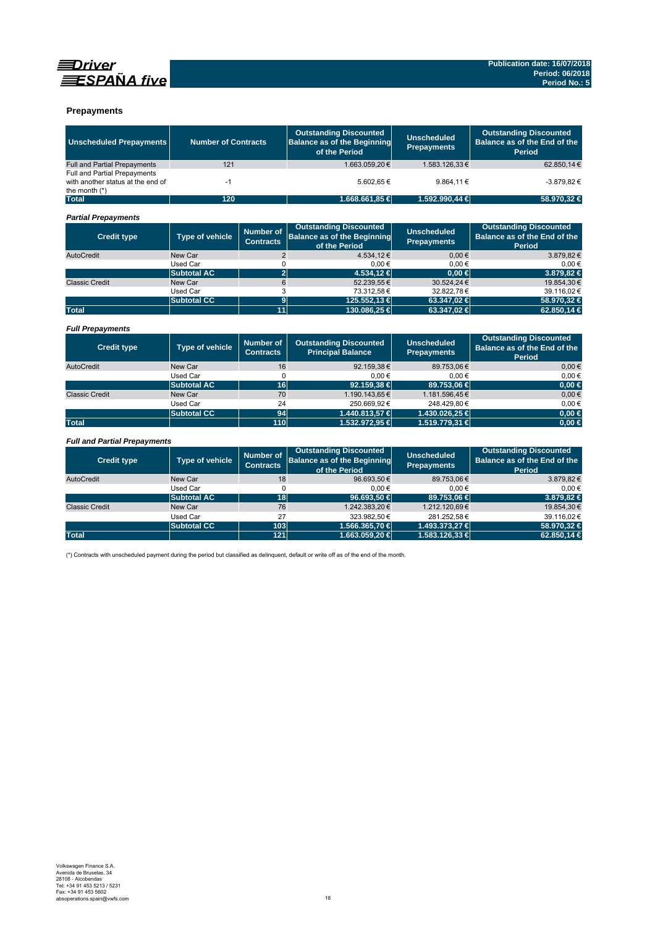



#### **Prepayments**

| <b>Unscheduled Prepayments</b>                                                       | <b>Number of Contracts</b> |                                      | <b>Outstanding Discounted</b><br><b>Balance as of the Beginning</b><br>of the Period | <b>Unscheduled</b><br><b>Prepayments</b> | <b>Outstanding Discounted</b><br>Balance as of the End of the<br><b>Period</b> |
|--------------------------------------------------------------------------------------|----------------------------|--------------------------------------|--------------------------------------------------------------------------------------|------------------------------------------|--------------------------------------------------------------------------------|
| <b>Full and Partial Prepayments</b>                                                  | 121                        |                                      | 1.663.059,20€                                                                        | 1.583.126,33€                            | 62.850,14€                                                                     |
| Full and Partial Prepayments<br>with another status at the end of<br>the month $(*)$ | $-1$                       |                                      | 5.602.65€                                                                            | 9.864,11€                                | $-3.879.82 \in$                                                                |
| <b>Total</b>                                                                         | 120                        |                                      | 1.668.661,85 €                                                                       | 1.592.990,44 €                           | 58.970,32 €                                                                    |
| <b>Partial Prepayments</b>                                                           |                            |                                      |                                                                                      |                                          |                                                                                |
| <b>Credit type</b>                                                                   | <b>Type of vehicle</b>     | <b>Number of</b><br><b>Contracts</b> | <b>Outstanding Discounted</b><br><b>Balance as of the Beginning</b><br>of the Period | <b>Unscheduled</b><br><b>Prepayments</b> | <b>Outstanding Discounted</b><br>Balance as of the End of the<br>Period        |
| AutoCredit                                                                           | New Car                    | $\overline{2}$                       | 4.534.12€                                                                            | $0.00 \in$                               | 3.879.82€                                                                      |
|                                                                                      | Used Car                   | 0                                    | $0.00 \in$                                                                           | $0.00 \in$                               | $0,00 \in$                                                                     |
|                                                                                      | <b>Subtotal AC</b>         | $\overline{2}$                       | 4.534,12€                                                                            | $0.00 \in$                               | 3.879,82 €                                                                     |
| <b>Classic Credit</b>                                                                | New Car                    | 6                                    | 52.239,55€                                                                           | 30.524.24 €                              | 19.854,30€                                                                     |
|                                                                                      | Used Car                   | 3                                    | 73.312,58€                                                                           | 32.822,78€                               | 39.116,02€                                                                     |
|                                                                                      | <b>Subtotal CC</b>         | $\overline{9}$                       | 125.552,13 €                                                                         | 63.347,02 €                              | 58.970,32 €                                                                    |
| <b>Total</b>                                                                         |                            | $\overline{11}$                      | 130.086,25 €                                                                         | 63.347,02 €                              | 62.850,14 €                                                                    |
| <b>Full Prepayments</b>                                                              |                            |                                      |                                                                                      |                                          |                                                                                |
| <b>Credit type</b>                                                                   | <b>Type of vehicle</b>     | <b>Number of</b><br><b>Contracts</b> | <b>Outstanding Discounted</b><br><b>Principal Balance</b>                            | <b>Unscheduled</b><br><b>Prepayments</b> | <b>Outstanding Discounted</b><br>Balance as of the End of the<br><b>Period</b> |
| AutoCredit                                                                           | New Car                    | 16                                   | 92.159.38€                                                                           | 89.753.06€                               | $0.00 \in$                                                                     |
|                                                                                      | Used Car                   | 0                                    | 0.00€                                                                                | $0.00 \in$                               | 0.00€                                                                          |
|                                                                                      | <b>Subtotal AC</b>         | 16                                   | 92.159,38 €                                                                          | 89.753,06 €                              | $0.00 \in$                                                                     |
| <b>Classic Credit</b>                                                                | New Car                    | 70                                   | 1.190.143.65€                                                                        | 1.181.596.45€                            | $0.00 \in$                                                                     |
|                                                                                      | Used Car                   | 24                                   | 250.669.92€                                                                          | 248.429.80€                              | $0,00 \in$                                                                     |
|                                                                                      | <b>Subtotal CC</b>         | 94                                   | 1.440.813,57 €                                                                       | 1.430.026,25 €                           | $0,00 \in$                                                                     |
| <b>Total</b>                                                                         |                            | 110                                  | 1.532.972,95 €                                                                       | 1.519.779,31 €                           | $0,00 \in$                                                                     |
| <b>Full and Partial Prepayments</b>                                                  |                            |                                      |                                                                                      |                                          |                                                                                |
| <b>Credit type</b>                                                                   | <b>Type of vehicle</b>     | <b>Number of</b>                     | <b>Outstanding Discounted</b><br><b>Balance as of the Beginning</b>                  | <b>Unscheduled</b><br><b>Designation</b> | <b>Outstanding Discounted</b><br>Balance as of the End of the                  |

| <b>Credit type</b>    | Type of vehicle    | Number of<br><b>Contracts</b> | <b>Outstanding Discounted</b><br><b>Balance as of the Beginning</b><br>of the Period | <b>Unscheduled</b><br><b>Prepayments</b> | <b>Outstanding Discounted</b><br>Balance as of the End of the<br>Period |
|-----------------------|--------------------|-------------------------------|--------------------------------------------------------------------------------------|------------------------------------------|-------------------------------------------------------------------------|
| AutoCredit            | New Car            | 18                            | 96.693,50€                                                                           | 89.753,06€                               | 3.879,82€                                                               |
|                       | Used Car           |                               | $0.00 \in$                                                                           | $0.00 \in$                               | 0.00€                                                                   |
|                       | <b>Subtotal AC</b> | 18                            | $96.693.50 \in$                                                                      | 89.753.06 €                              | 3.879.82 €                                                              |
| <b>Classic Credit</b> | New Car            | 76                            | 1.242.383,20€                                                                        | 1.212.120,69€                            | 19.854,30€                                                              |
|                       | Used Car           | 27                            | 323.982.50 €                                                                         | 281.252.58€                              | 39.116,02€                                                              |
|                       | <b>Subtotal CC</b> | 1031                          | 1.566.365.70 €                                                                       | 1.493.373.27 €                           | 58.970.32 €                                                             |
| <b>Total</b>          |                    | 121                           | 1.663.059.20 €                                                                       | 1.583.126.33 €                           | 62,850,14 €                                                             |

(\*) Contracts with unscheduled payment during the period but classified as delinquent, default or write off as of the end of the month.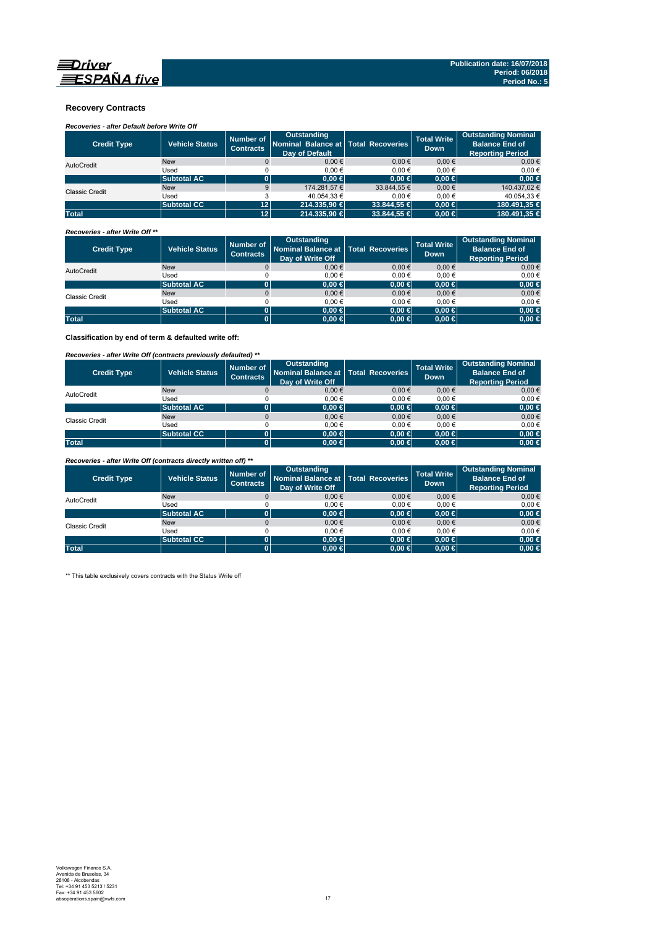#### **Recovery Contracts**

### *Recoveries - after Default before Write Off*

| <b>Credit Type</b>    | <b>Vehicle Status</b> | Number of<br><b>Contracts</b> | Outstanding<br>Nominal Balance at   Total Recoveries<br>Day of Default |                 | <b>Total Write</b><br><b>Down</b> | <b>Outstanding Nominal</b><br><b>Balance End of</b><br><b>Reporting Period</b> |
|-----------------------|-----------------------|-------------------------------|------------------------------------------------------------------------|-----------------|-----------------------------------|--------------------------------------------------------------------------------|
| AutoCredit            | <b>New</b>            |                               | $0.00 \in$                                                             | $0.00 \in$      | $0.00 \in$                        | $0.00 \in$                                                                     |
|                       | Used                  |                               | 0.00€                                                                  | 0.00€           | 0.00€                             | 0.00€                                                                          |
|                       | <b>Subtotal AC</b>    |                               | $0.00 \in$                                                             | $0.00 \in$      | $0.00 \in$                        | $0,00$ €                                                                       |
| <b>Classic Credit</b> | <b>New</b>            | 9                             | 174.281.57 €                                                           | 33.844.55 €     | $0.00 \in$                        | 140.437.02 €                                                                   |
|                       | Used                  |                               | 40.054.33 €                                                            | 0.00€           | 0.00€                             | 40.054.33 €                                                                    |
|                       | <b>Subtotal CC</b>    | 12 <sup>2</sup>               | 214.335.90 €                                                           | $33.844.55 \in$ | $0.00 \in$                        | 180.491.35 €                                                                   |
| <b>Total</b>          |                       | 12                            | 214,335,90 €                                                           | 33,844,55 €     | $0.00 \in$                        | 180.491.35 €                                                                   |

#### *Recoveries - after Write Off \*\**

| <b>Credit Type</b>    | <b>Vehicle Status</b> | Number of<br><b>Contracts</b> | Outstanding<br>Nominal Balance at Total Recoveries<br>Day of Write Off |            | <b>Total Write</b><br><b>Down</b> | <b>Outstanding Nominal</b><br><b>Balance End of</b><br><b>Reporting Period</b> |
|-----------------------|-----------------------|-------------------------------|------------------------------------------------------------------------|------------|-----------------------------------|--------------------------------------------------------------------------------|
| AutoCredit            | <b>New</b>            |                               | 0.00€                                                                  | $0.00 \in$ | 0.00€                             | $0.00 \in$                                                                     |
|                       | Used                  |                               | 0.00€                                                                  | $0.00 \in$ | 0.00€                             | $0,00 \in$                                                                     |
|                       | <b>Subtotal AC</b>    |                               | 0.00 ∈                                                                 | $0,00 \in$ | $0,00 \in$                        | $0,00 \in$                                                                     |
| <b>Classic Credit</b> | <b>New</b>            |                               | $0.00 \in$                                                             | $0.00 \in$ | 0.00€                             | $0,00 \in$                                                                     |
|                       | Used                  |                               | 0.00€                                                                  | $0.00 \in$ | 0.00€                             | 0.00€                                                                          |
|                       | <b>Subtotal AC</b>    |                               | 0.00 ∈                                                                 | $0,00 \in$ | $0,00 \in$                        | $0,00 \in$                                                                     |
| <b>Total</b>          |                       |                               | $0.00 \in$                                                             | $0,00 \in$ | $0.00 \in$                        | $0,00 \in$                                                                     |

**Classification by end of term & defaulted write off:**

#### *Recoveries - after Write Off (contracts previously defaulted) \*\**

| <b>Credit Type</b>    | <b>Vehicle Status</b> | Number of<br><b>Contracts</b> | <b>Outstanding</b><br>Nominal Balance at Total Recoveries<br>Day of Write Off |            | <b>Total Write</b><br><b>Down</b> | <b>Outstanding Nominal</b><br><b>Balance End of</b><br><b>Reporting Period</b> |
|-----------------------|-----------------------|-------------------------------|-------------------------------------------------------------------------------|------------|-----------------------------------|--------------------------------------------------------------------------------|
| AutoCredit            | <b>New</b>            |                               | 0.00€                                                                         | 0.00€      | $0,00 \in$                        | $0.00 \in$                                                                     |
|                       | Used                  |                               | 0.00€                                                                         | 0.00€      | 0.00€                             | 0,00€                                                                          |
|                       | <b>Subtotal AC</b>    | 0                             | $0.00 \in$                                                                    | $0,00 \in$ | $0.00 \in$                        | $0,00 \in$                                                                     |
| <b>Classic Credit</b> | <b>New</b>            |                               | 0.00€                                                                         | 0.00€      | 0.00€                             | $0,00 \in$                                                                     |
|                       | Used                  |                               | 0.00€                                                                         | $0.00 \in$ | 0.00€                             | 0,00€                                                                          |
|                       | <b>Subtotal CC</b>    | 0                             | 0.00 ∈                                                                        | $0,00$ ∈   | $0.00 \in$                        | $0,00 \in$                                                                     |
| <b>Total</b>          |                       | 0                             | $0.00 \in$                                                                    | $0,00 \in$ | $0.00 \in$                        | $0,00 \in$                                                                     |

*Recoveries - after Write Off (contracts directly written off) \*\**

| <b>Credit Type</b> | <b>Vehicle Status</b> | Number of<br><b>Contracts</b> | Outstanding<br>Nominal Balance at   Total Recoveries<br>Day of Write Off |            | <b>Total Write</b><br><b>Down</b> | <b>Outstanding Nominal</b><br><b>Balance End of</b><br><b>Reporting Period</b> |
|--------------------|-----------------------|-------------------------------|--------------------------------------------------------------------------|------------|-----------------------------------|--------------------------------------------------------------------------------|
| AutoCredit         | <b>New</b>            |                               | 0.00€                                                                    | $0.00 \in$ | 0.00€                             | $0,00 \in$                                                                     |
|                    | Used                  |                               | 0.00€                                                                    | 0.00€      | 0.00€                             | $0.00 \in$                                                                     |
|                    | <b>Subtotal AC</b>    |                               | $0.00 \in$                                                               | $0,00 \in$ | $0,00 \in$                        | $0,00 \in$                                                                     |
| Classic Credit     | <b>New</b>            |                               | 0.00€                                                                    | $0.00 \in$ | 0.00€                             | $0,00 \in$                                                                     |
|                    | Used                  |                               | 0.00€                                                                    | 0.00€      | 0.00€                             | 0.00€                                                                          |
|                    | <b>Subtotal CC</b>    | 01                            | $0.00 \in$                                                               | $0.00 \in$ | $0.00 \in$                        | $0,00 \in$                                                                     |
| <b>Total</b>       |                       | Юľ                            | $0.00 \in$                                                               | $0,00 \in$ | $0.00 \in$                        | $0,00 \in$                                                                     |

\*\* This table exclusively covers contracts with the Status Write off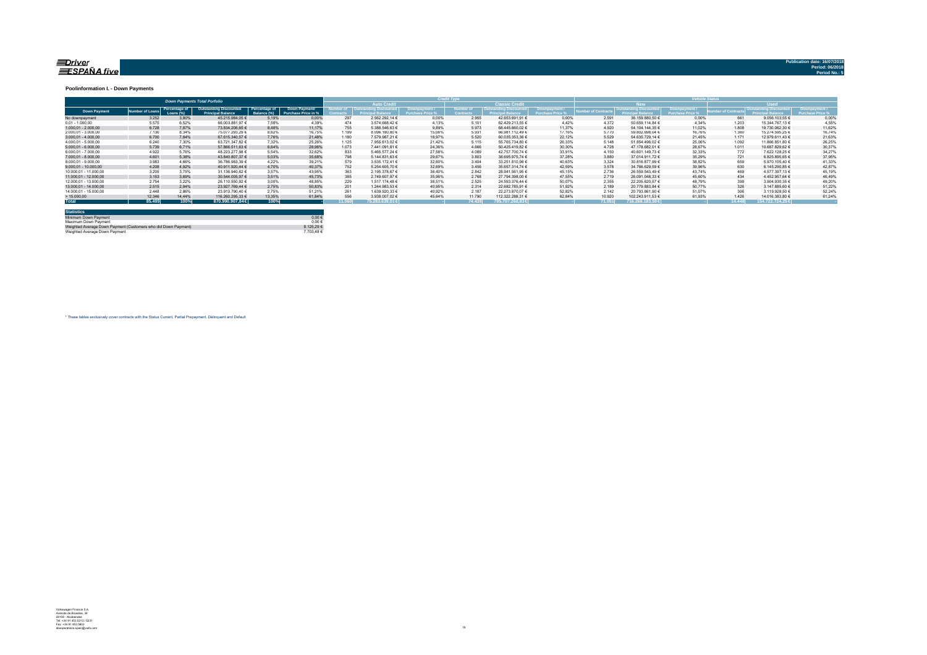#### <u>=Driver</u> ESPAÑA five

#### **Poolinformation I. - Down Payments**

|                       |                |                            | <b>Down Payments Total Porfolio</b>                       |                              |                                      |                 |                         |        |                       |                        |                                        |                          | Vehirle Stat                |              | <b>Hood</b><br>Downpayment /<br><b>Outstanding Discounted</b><br>Princing<br><b>Irchase Price %</b><br>0.00%<br>9.056.103.55 €<br>661<br>1.203<br>15.344.767.13 €<br>4,55% |                 |        |  |
|-----------------------|----------------|----------------------------|-----------------------------------------------------------|------------------------------|--------------------------------------|-----------------|-------------------------|--------|-----------------------|------------------------|----------------------------------------|--------------------------|-----------------------------|--------------|----------------------------------------------------------------------------------------------------------------------------------------------------------------------------|-----------------|--------|--|
|                       |                |                            |                                                           |                              |                                      |                 | <b>Auto Credit</b>      |        |                       | <b>Classic Credit</b>  |                                        |                          | lew                         |              |                                                                                                                                                                            |                 |        |  |
| <b>Down Payment</b>   | imber of Loan: | Percentage of<br>Loans (%) | <b>Outstanding Discounted</b><br><b>Principal Balance</b> | Percentage of<br>Balance (%) | Down Payment/<br>Purchase Price in % |                 | <i><b>ISCOUNTED</b></i> |        | lumber c<br>Contracts |                        | Downpayment<br><b>Purchase Price 9</b> | <b>Imber of Contract</b> | <b>Outstanding Discount</b> | Downpayment/ | mber of Contr                                                                                                                                                              |                 |        |  |
| No downpayment        | 3.252          | 3.80%                      | 45.215.984.05 €                                           | 5.19%                        | 0.00%                                | 297             | 2.562.292.14 €          | 0.00%  | 2.955                 | 42.653.691.91 €        | 0.00%                                  | 2.591                    | 36.159.880.50 €             | 0.00%        |                                                                                                                                                                            |                 |        |  |
| $0.01 - 1.000.00$     | 5.575          | 6.52%                      | 66.003.881,97 €                                           | 7.58%                        | 4.39%                                | 474             | 3.574.668.42 €          | 4.13%  | 5.101                 | 62.429.213.55 €        | 4.42%                                  | 4.372                    | 50.659.114.84 €             | 4.34%        |                                                                                                                                                                            |                 |        |  |
| $1.000.01 - 2.000.00$ | 6.728          | 7.87%                      | 73.834.206.65 €                                           | 8,48%                        | 11.17%                               | 755             | 5.388.546.63 €          | 9.89%  | 5.973                 | 68.445.660.02 €        | 11.37%                                 | 4.920                    | 54.104.144.35 €             | 11.02%       | 1.808                                                                                                                                                                      | 19.730.062.30 € | 11.62% |  |
| 2.000.01 - 3.000.00   | 7.130          | 8.34%                      | 75.077.293.29 €                                           | 8.62%                        | 16.75%                               | 1.199           | 8.096.180.80 €          | 15.06% | 5.931                 | 66.981.112.49 €        | 17.16%                                 | 5.770                    | 59.802.698.04 €             | 16.76%       | 1.360                                                                                                                                                                      | 15.274.595.25 € | 16.74% |  |
| $3.000.01 - 4.000.00$ | 6.700          | 7.84%                      | 67.615.340.57 €                                           | 7,76%                        | 21,48%                               | 1.180           | 7.579.987.21 €          | 18.97% | 5.520                 | 60.035.353.36 €        | 22.12%                                 | 5.529                    | 54.635.729.14 €             | 21.45%       | 1.171                                                                                                                                                                      | 12.979.611.43 € | 21,63% |  |
| 4.000.01 - 5.000.00   | 6.240          | 7.30%                      | 63.721.347.82 €                                           | 7.32%                        | 25.26%                               | 1.125           | 7.955.613.02 €          | 21.42% | 5.115                 | 55.765.734.80 €        | 26.33%                                 | 5.148                    | 51.854.496.02 €             | 25.06%       | 1.092                                                                                                                                                                      | 11.866.851.80 6 | 26,25% |  |
| $5.000.01 - 6.000.00$ | 5.739          | 6,71%                      | 57.866.511.63 €                                           | 6.64%                        | 28.96%                               | 1.073           | 7.441.091.81 €          | 24,36% | 4.666                 | 50.425.419.82 €        | 30.30%                                 | 4.728                    | 47.178.682.01 €             | 28.67%       | 1.011                                                                                                                                                                      | 10.687.829.62 € | 30,37% |  |
| 6.000.01 - 7.000.00   | 4.922          | 5.76%                      | 48.223.277.98 €                                           | 5.54%                        | 32.62%                               | 833             | 5.465.577.24 €          | 27.58% | 4.089                 | 42.757.700.74 €        | 33.91%                                 | 4.150                    | 40.601.149.73 €             | 32.33%       | 772                                                                                                                                                                        | 7.622.128.25 €  | 34.27% |  |
| 7.000.01 - 8.000.00   | 4.601          | 5.38%                      | 43.840.807.37 €                                           | 5,03%                        | 35.68%                               | 798             | 5.144.831.63 €          | 29.67% | 3.803                 | 38.695.975.74 €        | 37.28%                                 | 3,880                    | 37.014.911.72 €             | 35.29%       | 721                                                                                                                                                                        | 6.825.895.65 6  | 37,95% |  |
| 8.000.01 - 9.000.00   | 3.983          | 4.66%                      | 36.786.983.39 €                                           | 4.22%                        | 39.21%                               |                 | 3.535.172.41 €          | 32.60% | 3.404                 | 33.251.810.98 €        | 40.63%                                 | 3.324                    | 30.816.877.99 €             | 38.82%       | 659                                                                                                                                                                        | 5.970.105.40 €  | 41.33% |  |
| 9.000.01 - 10.000.00  | 4.208          | 4.92%                      | 40.911.920.44 €                                           | 4.70%                        | 40.37%                               | 752             | 5.254.605.70 €          | 32.69% | 3.456                 | 35.657.314.74 €        | 42.59%                                 | 3.578                    | 34.766.629.59 €             | 39.96%       | 630                                                                                                                                                                        | 6.145.290.85 €  | 42.87% |  |
| 10.000.01 - 11.000.00 | 3.205          | 3.75%                      | 31.136.940.62 €                                           | 3.57%                        | 43.95%                               | 363             | 2.195.378.67 €          | 36.40% | 2.842                 | 28.941.561.95 €        | 45.15%                                 | 2.736                    | 26.559.543.49 €             | 43.74%       | 469                                                                                                                                                                        | 4.577.397.13 €  | 45.19% |  |
| 11.000.01 - 12.000.00 | 3.153          | 3.69%                      | 30.544.005.97 €                                           | 3.51%                        | 45.73%                               | 385             | 2.749.607.97 €          | 35.96% | 2.768                 | 27.794.398.00 €        | 47.55%                                 | 2.719                    | 26.091.048.33 €             | 45.60%       | 434                                                                                                                                                                        | 4.452.957.64 €  | 46.49% |  |
| 12.000.01 - 13.000.00 | 2.754          | 3.22%                      | 26.110.550.92 €                                           | 3.00%                        | 48.85%                               | 229             | 1.517.174.48 €          | 38.51% | 2.525                 | 24.593.376.44 €        | 50.07%                                 | 2.355                    | 22.205.620.57 €             | 48.79%       | 399                                                                                                                                                                        | 3.904.930.35 €  | 49.20% |  |
| 13.000.01 - 14.000.00 | 2.515          | 2.94%                      | 23.927.769.44 €                                           | 2,75%                        | 50.83%                               | 20 <sup>1</sup> | 1.244.983.53 €          | 40.95% | 2.314                 | 22.682.785.91 €        | 51.92%                                 | 2.189                    | 20.779.883.84 €             | 50.77%       | 326                                                                                                                                                                        | 3.147.885.60 €  | 51,22% |  |
| 14.000.01 - 15.000.00 | 2.448          | 2.86%                      | 23.913.790.40 €                                           | 2.75%                        | 51.21%                               | 26'             | 1.639.920.33 €          | 40.92% | 2.187                 | 22.273.870.07 €        | 52.82%                                 | 2.142                    | 20.793.861.90 €             | 51.07%       | 306                                                                                                                                                                        | 3.119.928.50 €  | 52,24% |  |
| >15.000,00            | 12.346         | 14,44%                     | 116.260.295.33 €                                          | 13.35%                       | 61.84%                               | 55              | 3.938.007.02 €          | 45.64% | 11,790                | 112.322.288.31 €       | 62.84%                                 | 10.920                   | 102.243.911.53 €            | 61.93%       | 1.426                                                                                                                                                                      | 14.016.383.80 € | 61.24% |  |
| <b>Total</b>          | 85,499         | 100%                       | 870.990.907.84 €                                          | 100%                         |                                      | 11.060          | 75.283.639.01 €         |        | 74,439                | $-795.707.268.83 \div$ |                                        | 71.051                   | 716.268.183.59€             |              | 14,448                                                                                                                                                                     | 154.722.724.256 |        |  |

| <b>Statistics</b>                                              |            |
|----------------------------------------------------------------|------------|
| Minimum Down Payment                                           | $0.00 \in$ |
| Maximum Down Payment                                           | $0.00 \in$ |
| Weighted Average Down Payment (Customers who did Down Payment) | 8 125 29 € |
| Weighted Average Down Payment                                  | 7 703 48 6 |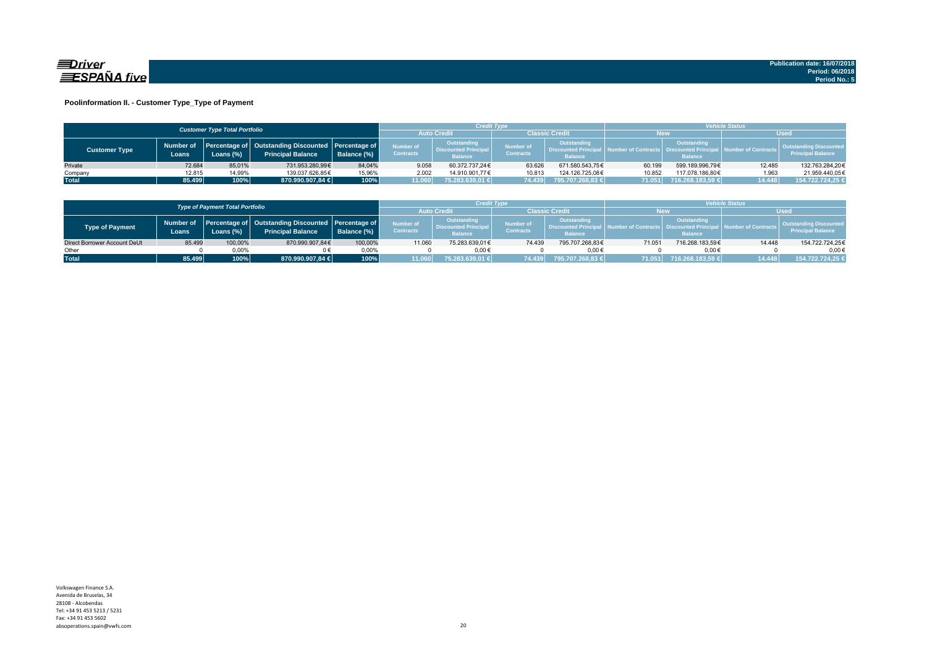

#### **Poolinformation II. - Customer Type\_Type of Payment**

|                      |                    | <b>Customer Type Total Portfolio</b> |                                                                                    |             |                               | <b>Vehicle Status</b><br>Credit Type                         |                               |                                                                    |        |                                                                          |                        |                                                           |
|----------------------|--------------------|--------------------------------------|------------------------------------------------------------------------------------|-------------|-------------------------------|--------------------------------------------------------------|-------------------------------|--------------------------------------------------------------------|--------|--------------------------------------------------------------------------|------------------------|-----------------------------------------------------------|
|                      |                    |                                      |                                                                                    |             |                               | <b>Auto Credi</b>                                            | Classic Credit<br><b>New</b>  |                                                                    |        |                                                                          | <b>Used</b>            |                                                           |
| <b>Customer Type</b> | Number of<br>Loans | Loans (%)                            | Percentage of   Outstanding Discounted   Percentage of<br><b>Principal Balance</b> | Balance (%) | Number of<br><b>Contracts</b> | Outstanding<br><b>Discounted Principal</b><br><b>Balance</b> | Number of<br><b>Contracts</b> | <b>Outstanding</b><br><b>Discounted Principa</b><br><b>Balance</b> |        | Outstanding<br>umber of Contracts丨 Discounted Principa<br><b>Balance</b> | al Number of Contracts | <b>Outstanding Discounted</b><br><b>Principal Balance</b> |
| Private              | 72.684             | 85.01%                               | 731.953.280.99€                                                                    | 84.04%      | 9.058                         | 60.372.737.24€                                               | 63.626                        | 671.580.543.75€                                                    | 60.199 | 599.189.996.79€                                                          | 12.485                 | 132.763.284.20€                                           |
| Company              | 12.815             | 14,99%                               | 139.037.626.85€                                                                    | 15,96%      | 2.002                         | 14.910.901.77€                                               | 10.813                        | 124.126.725.08€                                                    | 10.852 | 117.078.186.80€                                                          | 1.963                  | 21.959.440,05€                                            |
| <b>Total</b>         | 85.499             | 100%                                 | 870.990.907,84 €                                                                   | 100%        | 11.060                        | 75.283.639,01 €                                              | 74.439                        | 795.707.268,83 €                                                   | 71.051 | 716.268.183,59 €                                                         | 14.448                 | 154.722.724,25 €                                          |

|                              |        | <b>Type of Payment Total Portfolio</b> |                                                                                          |             |                                      | Credit Type                                                 |                               |                                                                    | <b>/ehicle Status</b> |                                                         |                     |                                                           |  |
|------------------------------|--------|----------------------------------------|------------------------------------------------------------------------------------------|-------------|--------------------------------------|-------------------------------------------------------------|-------------------------------|--------------------------------------------------------------------|-----------------------|---------------------------------------------------------|---------------------|-----------------------------------------------------------|--|
|                              |        |                                        |                                                                                          |             |                                      | <b>Auto Credi</b><br><b>Classic Credit</b><br><b>New</b>    |                               |                                                                    |                       | Used                                                    |                     |                                                           |  |
| <b>Type of Payment</b>       | Loans  | Loans $(\%)$                           | Number of Percentage of Outstanding Discounted Percentage of<br><b>Principal Balance</b> | Balance (%) | <b>Number of</b><br><b>Contracts</b> | Outstanding<br><b>Discounted Principa</b><br><b>Balance</b> | Number of<br><b>Contracts</b> | <b>Outstanding</b><br><b>Discounted Principa</b><br><b>Balance</b> |                       | Outstanding<br><b>Discounted Prin</b><br><b>Balance</b> | lumber of Contracts | <b>Outstanding Discounted</b><br><b>Principal Balance</b> |  |
| Direct Borrower Account DeUt | 85.499 | 100,00%                                | 870.990.907.84€                                                                          | 100.00%     | 11.060                               | 75.283.639.01€                                              | 74.439                        | 795.707.268.83€                                                    | 71.051                | 716.268.183.59€                                         | 14.448              | 154.722.724,25€                                           |  |
| Other                        |        | 0.00%                                  |                                                                                          | 0.00%       |                                      | $0.00 \in$                                                  |                               | $0.00 \in$                                                         |                       | $0.00 \in$                                              |                     | $0.00 \in$                                                |  |
| <b>Total</b>                 | 85.499 | $100\%$                                | 870.990.907.84 €                                                                         | 100%        | 11.060                               | 75.283.639.01 €                                             | 74.439                        | 795.707.268.83 €                                                   | 71.051                | 716.268.183.59 €                                        | 14 448              | 154.722.724.25 €                                          |  |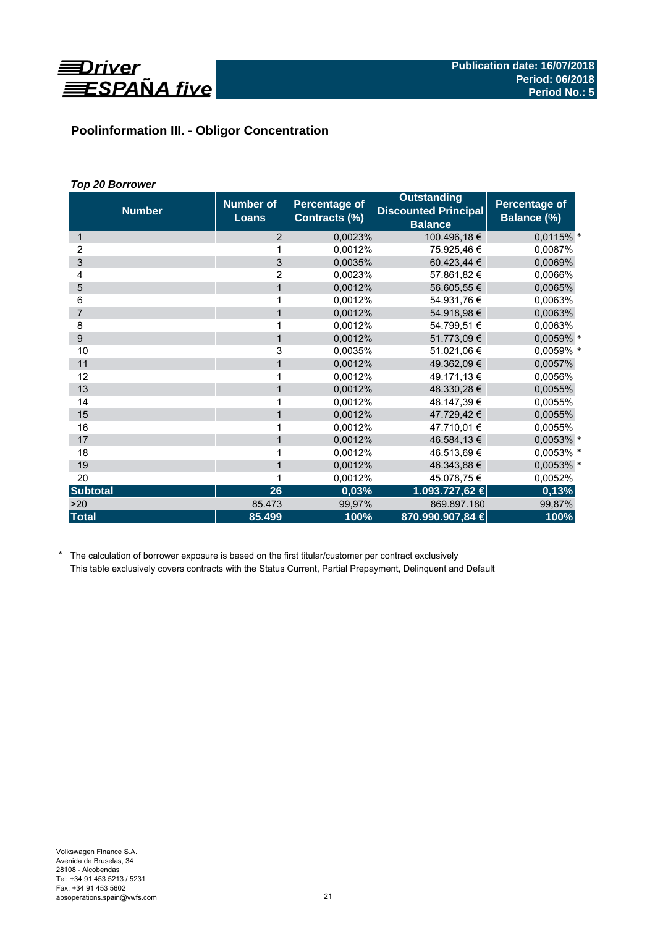

# **Poolinformation III. - Obligor Concentration**

# *Top 20 Borrower*

| <b>Number</b>   | <b>Number of</b><br><b>Loans</b> | <b>Percentage of</b><br>Contracts (%) | <b>Outstanding</b><br><b>Discounted Principal</b><br><b>Balance</b> | <b>Percentage of</b><br>Balance (%) |  |
|-----------------|----------------------------------|---------------------------------------|---------------------------------------------------------------------|-------------------------------------|--|
| 1               | 2                                | 0,0023%                               | 100.496,18€                                                         | 0,0115% *                           |  |
| 2               | 1                                | 0,0012%                               | 75.925,46 €                                                         | 0,0087%                             |  |
| 3               | $\overline{3}$                   | 0,0035%                               | 60.423,44 €                                                         | 0,0069%                             |  |
| 4               | $\overline{2}$                   | 0,0023%                               | 57.861,82 €                                                         | 0,0066%                             |  |
| 5               | 1                                | 0,0012%                               | 56.605,55 €                                                         | 0,0065%                             |  |
| 6               | 1                                | 0,0012%                               | 54.931,76 €                                                         | 0,0063%                             |  |
| $\overline{7}$  | $\mathbf{1}$                     | 0,0012%                               | 54.918,98 €                                                         | 0,0063%                             |  |
| 8               | 1                                | 0,0012%                               | 54.799,51 €                                                         | 0,0063%                             |  |
| 9               | $\mathbf{1}$                     | 0,0012%                               | 51.773,09€                                                          | 0,0059% *                           |  |
| 10              | 3                                | 0,0035%                               | 51.021,06 €                                                         | 0,0059% *                           |  |
| 11              | $\mathbf{1}$                     | 0,0012%                               | 49.362,09 €                                                         | 0,0057%                             |  |
| 12              | 1                                | 0,0012%                               | 49.171,13 €                                                         | 0,0056%                             |  |
| 13              | $\mathbf{1}$                     | 0,0012%                               | 48.330,28 €                                                         | 0,0055%                             |  |
| 14              | 1                                | 0,0012%                               | 48.147,39 €                                                         | 0,0055%                             |  |
| 15              | $\mathbf{1}$                     | 0,0012%                               | 47.729,42 €                                                         | 0,0055%                             |  |
| 16              |                                  | 0,0012%                               | 47.710.01 €                                                         | 0,0055%                             |  |
| 17              | $\mathbf{1}$                     | 0,0012%                               | 46.584,13 €                                                         | 0,0053% *                           |  |
| 18              | 1                                | 0,0012%                               | 46.513,69 €                                                         | 0,0053% *                           |  |
| 19              | $\mathbf{1}$                     | 0,0012%                               | 46.343,88 €                                                         | 0,0053% *                           |  |
| 20              | 1                                | 0,0012%                               | 45.078,75€                                                          | 0,0052%                             |  |
| <b>Subtotal</b> | 26                               | 0,03%                                 | 1.093.727,62 €                                                      | 0,13%                               |  |
| >20             | 85.473                           | 99,97%                                | 869.897.180                                                         | 99,87%                              |  |
| <b>Total</b>    | 85.499                           | 100%                                  | 870.990.907,84 €                                                    | 100%                                |  |

\* The calculation of borrower exposure is based on the first titular/customer per contract exclusively This table exclusively covers contracts with the Status Current, Partial Prepayment, Delinquent and Default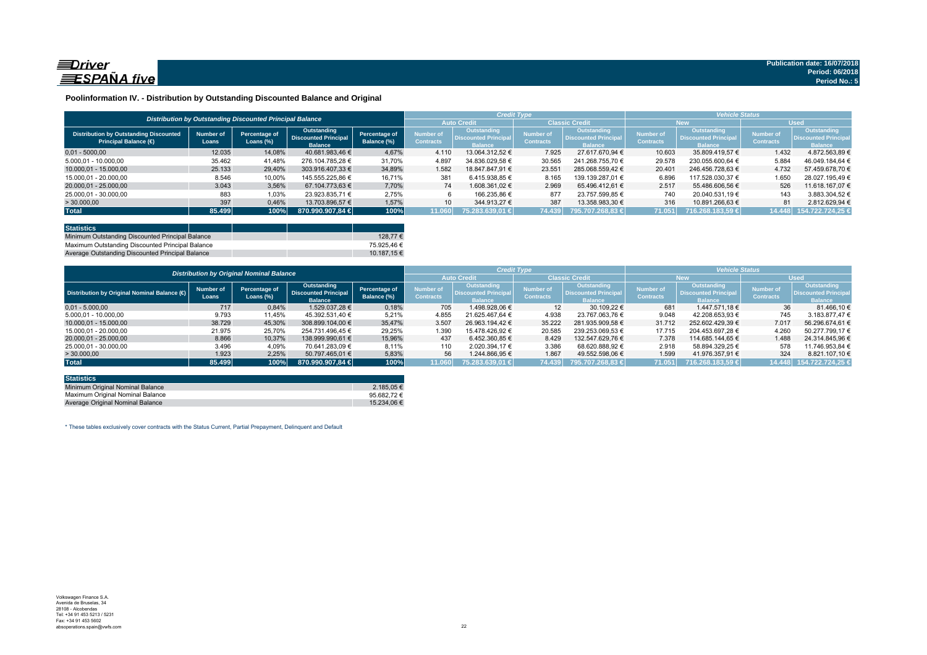

#### **Poolinformation IV. - Distribution by Outstanding Discounted Balance and Original**

|                                                                              |                    | Distribution by Outstanding Discounted Principal Balance |                                                                     |                              |                                             | <b>Credit Type</b>                                          |                                      |                                                                     | <b>Vehicle Status</b>                |                                                             |                                      |                                                                    |
|------------------------------------------------------------------------------|--------------------|----------------------------------------------------------|---------------------------------------------------------------------|------------------------------|---------------------------------------------|-------------------------------------------------------------|--------------------------------------|---------------------------------------------------------------------|--------------------------------------|-------------------------------------------------------------|--------------------------------------|--------------------------------------------------------------------|
|                                                                              |                    |                                                          |                                                                     |                              | <b>Classic Credit</b><br><b>Auto Credit</b> |                                                             |                                      | <b>New</b>                                                          |                                      |                                                             | <b>Used</b>                          |                                                                    |
| <b>Distribution by Outstanding Discounted</b><br><b>Principal Balance (€</b> | Number of<br>Loans | Percentage of<br>Loans $(\%)$                            | <b>Outstanding</b><br><b>Discounted Principal</b><br><b>Balance</b> | Percentage of<br>Balance (%) | Number of<br><b>Contracts</b>               | <b>Outstanding</b><br><b>Discounted Principa</b><br>Ralance | <b>Number of</b><br><b>Contracts</b> | <b>Outstanding</b><br><b>Discounted Principal</b><br><b>Ralance</b> | <b>Number of</b><br><b>Contracts</b> | Outstanding<br><b>Discounted Principa</b><br><b>Ralance</b> | <b>Number of</b><br><b>Contracts</b> | <b>Outstanding</b><br><b>Discounted Principa</b><br><b>Ralance</b> |
| $0.01 - 5000.00$                                                             | 12.035             | 14.08%                                                   | 40.681.983.46 €                                                     | 4.67%                        | 4.110                                       | 13.064.312.52 €                                             | 7.925                                | 27.617.670.94 €                                                     | 10.603                               | 35.809.419.57 €                                             | 1.432                                | 4.872.563.89 €                                                     |
| 5.000.01 - 10.000.00                                                         | 35.462             | 41.48%                                                   | 276.104.785.28 €                                                    | 31.70%                       | 4.897                                       | 34.836.029.58 €                                             | 30.565                               | 241.268.755.70 €                                                    | 29.578                               | 230.055.600.64 €                                            | 5.884                                | 46.049.184.64 €                                                    |
| 10.000.01 - 15.000.00                                                        | 25.133             | 29.40%                                                   | 303.916.407.33 €                                                    | 34.89%                       | 1.582                                       | 18.847.847.91 €                                             | 23.551                               | 285.068.559.42 €                                                    | 20.401                               | 246.456.728.63 €                                            | 4.732                                | 57.459.678.70 €                                                    |
| 15.000.01 - 20.000.00                                                        | 8.546              | 10,00%                                                   | 145.555.225.86 €                                                    | 16.71%                       | 381                                         | 6.415.938.85 €                                              | 8.165                                | 139.139.287.01 €                                                    | 6.896                                | 117.528.030.37 €                                            | 1.650                                | 28.027.195.49 €                                                    |
| 20.000,01 - 25.000,00                                                        | 3.043              | 3,56%                                                    | 67.104.773.63 €                                                     | 7.70%                        | 74                                          | 1.608.361.02 €                                              | 2.969                                | 65.496.412.61 €                                                     | 2.517                                | 55.486.606.56 €                                             | 526                                  | 11.618.167.07 €                                                    |
| 25.000.01 - 30.000.00                                                        | 883                | 1,03%                                                    | 23.923.835.71 €                                                     | 2,75%                        |                                             | 166.235.86 €                                                | 877                                  | 23.757.599.85 €                                                     | 740                                  | 20.040.531.19 €                                             | 143                                  | 3.883.304.52 €                                                     |
| > 30.000,00                                                                  | 397                | 0,46%                                                    | 13.703.896.57 €                                                     | 1.57%                        | 10                                          | 344.913.27 €                                                | 387                                  | 13.358.983.30 €                                                     | 316                                  | 10.891.266.63 €                                             | 81                                   | 2.812.629.94 €                                                     |
| <b>Total</b>                                                                 | 85.499             | 100%                                                     | 870.990.907.84 €                                                    | 100%                         | 11.060                                      | 75.283.639.01 €                                             | 74.439                               | 795.707.268.83 €                                                    | 71.051                               | 716.268.183.59 €                                            | 14.448                               | 154.722.724.25 €                                                   |

| <b>Statistics</b>                                |             |
|--------------------------------------------------|-------------|
| Minimum Outstanding Discounted Principal Balance | 128.77 €    |
| Maximum Outstanding Discounted Principal Balance | 75.925.46 € |
| Average Outstanding Discounted Principal Balance | 10.187.15 € |

|                                             | <b>Distribution by Original Nominal Balance</b> |                               |                                                              |                              |                               |                                                                     | <b>Credit Type</b>                   |                                                              | <b>Vehicle Status</b>         |                                                                     |                               |                                                             |  |
|---------------------------------------------|-------------------------------------------------|-------------------------------|--------------------------------------------------------------|------------------------------|-------------------------------|---------------------------------------------------------------------|--------------------------------------|--------------------------------------------------------------|-------------------------------|---------------------------------------------------------------------|-------------------------------|-------------------------------------------------------------|--|
|                                             |                                                 |                               |                                                              |                              |                               | <b>Auto Credit</b>                                                  |                                      | <b>Classic Credit</b>                                        |                               | <b>New</b>                                                          |                               | <b>Used</b>                                                 |  |
| Distribution by Original Nominal Balance (O | <b>Number of</b><br>Loans                       | Percentage of<br>Loans $(\%)$ | Outstanding<br><b>Discounted Principal</b><br><b>Balance</b> | Percentage of<br>Balance (%) | Number of<br><b>Contracts</b> | <b>Outstanding</b><br><b>Discounted Principal</b><br><b>Balance</b> | <b>Number of</b><br><b>Contracts</b> | Outstanding<br><b>Discounted Principal</b><br><b>Balance</b> | Number of<br><b>Contracts</b> | <b>Outstanding</b><br><b>Discounted Principal</b><br><b>Balance</b> | Number of<br><b>Contracts</b> | <b>Outstanding</b><br>Discounted Principa<br><b>Balance</b> |  |
| $0.01 - 5.000.00$                           | 717                                             | 0,84%                         | 1.529.037.28 €                                               | 0,18%                        | 705                           | 1.498.928.06 €                                                      | 12                                   | 30.109.22 €                                                  | 681                           | 1.447.571.18 €                                                      | 36                            | 81.466.10 €                                                 |  |
| 5.000,01 - 10.000,00                        | 9.793                                           | 11,45%                        | 45.392.531,40 €                                              | 5,21%                        | 4.855                         | 21.625.467.64 €                                                     | 4.938                                | 23.767.063.76 €                                              | 9.048                         | 42.208.653.93 €                                                     | 745                           | 3.183.877.47 €                                              |  |
| 10.000.01 - 15.000.00                       | 38.729                                          | 45,30%                        | 308.899.104,00 €                                             | 35,47%                       | 3.507                         | 26.963.194.42 €                                                     | 35.222                               | 281.935.909,58 €                                             | 31.712                        | 252.602.429.39 €                                                    | 7.017                         | 56.296.674,61 €                                             |  |
| 15.000.01 - 20.000.00                       | 21.975                                          | 25,70%                        | 254.731.496.45 €                                             | 29,25%                       | 1.390                         | 15.478.426.92 €                                                     | 20.585                               | 239.253.069.53 €                                             | 17.715                        | 204.453.697.28 €                                                    | 4.260                         | 50.277.799.17 €                                             |  |
| 20.000.01 - 25.000.00                       | 8.866                                           | 10.37%                        | 138.999.990.61 €                                             | 15.96%                       | 437                           | 6.452.360.85 €                                                      | 8.429                                | 132.547.629.76 €                                             | 7.378                         | 114.685.144.65 €                                                    | 1.488                         | 24.314.845.96 €                                             |  |
| 25.000.01 - 30.000.00                       | 3.496                                           | 4,09%                         | 70.641.283.09 €                                              | 8,11%                        | 110                           | 2.020.394.17 €                                                      | 3.386                                | 68.620.888.92 €                                              | 2.918                         | 58.894.329.25 €                                                     | 578                           | 11.746.953.84 €                                             |  |
| >30.000,00                                  | 1.923                                           | 2,25%                         | 50.797.465.01 €                                              | 5,83%                        | 56                            | 1.244.866.95 €                                                      | 1.867                                | 49.552.598.06 €                                              | 1.599                         | 41.976.357.91 €                                                     | 324                           | 8.821.107.10 €                                              |  |
| <b>Total</b>                                | 85.499                                          | 100%                          | 870.990.907.84 €                                             | 100%                         | 11.060                        | 75.283.639.01 €                                                     | 74.439                               | 795.707.268.83 €                                             | 71.051                        | 716.268.183.59 €                                                    |                               | 14.448 154.722.724,25                                       |  |

| <b>Statistics</b>                |                 |
|----------------------------------|-----------------|
| Minimum Original Nominal Balance | 2.185.05 €      |
| Maximum Original Nominal Balance | 95.682.72 $\in$ |
| Average Original Nominal Balance | 15.234.06 €     |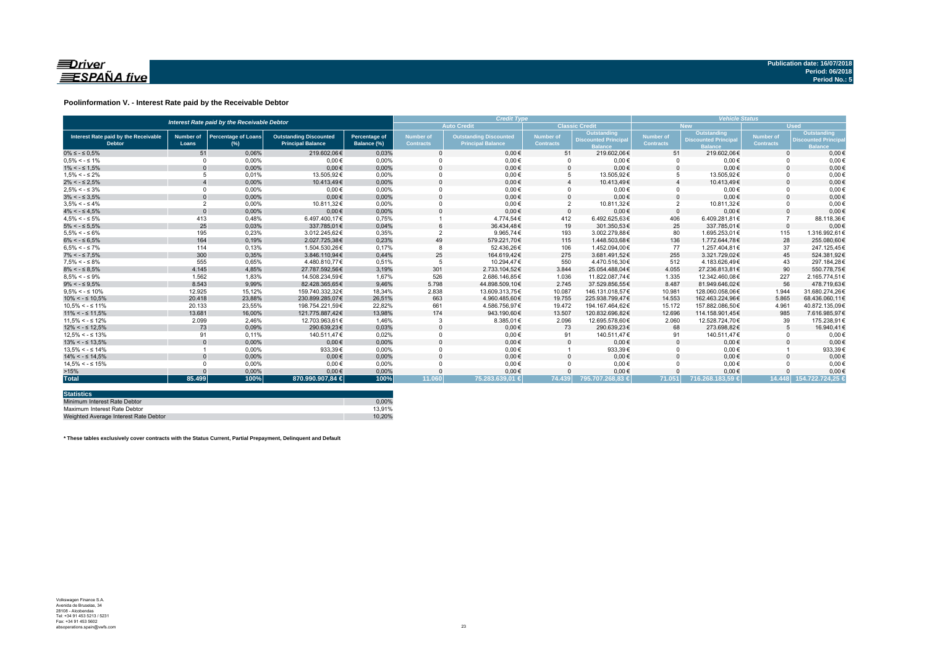

#### **Poolinformation V. - Interest Rate paid by the Receivable Debtor**

| Interest Rate paid by the Receivable Debtor           |                           |                                      |                                                           |                                     |                                      | <b>Credit Type</b>                                        | <b>Vehicle Status</b>         |                                                                    |                               |                                                             |                               |                                                            |
|-------------------------------------------------------|---------------------------|--------------------------------------|-----------------------------------------------------------|-------------------------------------|--------------------------------------|-----------------------------------------------------------|-------------------------------|--------------------------------------------------------------------|-------------------------------|-------------------------------------------------------------|-------------------------------|------------------------------------------------------------|
|                                                       |                           |                                      |                                                           |                                     |                                      | <b>Auto Credit</b>                                        |                               | <b>Classic Credit</b>                                              |                               | <b>New</b>                                                  | <b>Used</b>                   |                                                            |
| Interest Rate paid by the Receivable<br><b>Debtor</b> | <b>Number of</b><br>Loans | <b>Percentage of Loans</b><br>$(\%)$ | <b>Outstanding Discounted</b><br><b>Principal Balance</b> | <b>Percentage of</b><br>Balance (%) | <b>Number of</b><br><b>Contracts</b> | <b>Outstanding Discounted</b><br><b>Principal Balance</b> | Number of<br><b>Contracts</b> | <b>Outstanding</b><br><b>Discounted Principa</b><br><b>Balance</b> | Number of<br><b>Contracts</b> | Outstanding<br><b>Discounted Principa</b><br><b>Ralance</b> | Number of<br><b>Contracts</b> | Outstanding<br><b>Discounted Princip</b><br><b>Balance</b> |
| $0\% \leq -\leq 0.5\%$                                | 51                        | 0.06%                                | 219.602.06€                                               | 0.03%                               |                                      | $0.00 \in$                                                | 51                            | 219.602.06€                                                        | 51                            | 219.602.06€                                                 | $\Omega$                      | $0.00 \in$                                                 |
| $0.5\% < -5.1\%$                                      | $\Omega$                  | 0.00%                                | $0.00 \in$                                                | 0.00%                               |                                      | $0.00 \in$                                                |                               | $0.00 \in$                                                         |                               | $0.00 \in$                                                  |                               | $0.00 \in$                                                 |
| $1\% < - \leq 1.5\%$                                  |                           | 0,00%                                | $0.00 \in$                                                | 0,00%                               |                                      | $0,00 \in$                                                |                               | $0,00 \in$                                                         | $\Omega$                      | $0,00 \in$                                                  |                               | $0,00 \in$                                                 |
| $1.5\% < -5.2\%$                                      |                           | 0.01%                                | 13.505.92€                                                | 0.00%                               |                                      | $0,00 \in$                                                | 5                             | 13.505.92€                                                         | 5                             | 13.505,92€                                                  |                               | $0,00 \in$                                                 |
| $2\% < - \leq 2.5\%$                                  |                           | 0,00%                                | 10.413.49€                                                | 0,00%                               |                                      | $0.00 \in$                                                |                               | 10.413,49€                                                         |                               | 10.413,49€                                                  |                               | $0.00 \in$                                                 |
| $2.5\% < -5.3\%$                                      | $\Omega$                  | 0.00%                                | $0.00 \in$                                                | 0.00%                               |                                      | $0.00 \in$                                                |                               | $0.00 \in$                                                         | $\Omega$                      | $0.00 \in$                                                  |                               | $0.00 \in$                                                 |
| $3\% < - \leq 3.5\%$                                  | $\Omega$                  | 0,00%                                | $0.00 \in$                                                | 0,00%                               |                                      | $0.00 \in$                                                |                               | $0.00 \in$                                                         | $\Omega$                      | $0,00 \in$                                                  |                               | $0.00 \in$                                                 |
| $3.5\% < -5.4\%$                                      | $\overline{2}$            | 0.00%                                | 10.811.32€                                                | 0.00%                               |                                      | $0.00 \in$                                                | $\overline{2}$                | 10.811.32€                                                         | $\overline{2}$                | 10.811.32€                                                  |                               | $0.00 \in$                                                 |
| $4\% < - \leq 4.5\%$                                  | $\Omega$                  | 0.00%                                | $0.00 \in$                                                | 0.00%                               |                                      | $0.00 \in$                                                | $\Omega$                      | $0.00 \in$                                                         | $\Omega$                      | $0.00 \in$                                                  |                               | $0,00 \in$                                                 |
| $4.5\% < -5\%$                                        | 413                       | 0.48%                                | 6.497.400.17€                                             | 0.75%                               |                                      | 4.774.54€                                                 | 412                           | 6.492.625.63€                                                      | 406                           | 6.409.281.81€                                               |                               | 88.118.36€                                                 |
| $5\% < - \leq 5.5\%$                                  | 25                        | 0,03%                                | 337.785,01€                                               | 0,04%                               |                                      | 36.434,48€                                                | 19                            | 301.350.53€                                                        | 25                            | 337.785,01€                                                 | $\Omega$                      | $0,00 \in$                                                 |
| $5.5\% < -5.6\%$                                      | 195                       | 0,23%                                | 3.012.245.62€                                             | 0,35%                               |                                      | 9.965,74€                                                 | 193                           | 3.002.279,88€                                                      | 80                            | 1.695.253,01€                                               | 115                           | 1.316.992,61€                                              |
| $6\% < - \leq 6.5\%$                                  | 164                       | 0,19%                                | 2.027.725.38€                                             | 0,23%                               | 49                                   | 579.221,70€                                               | 115                           | 1.448.503.68€                                                      | 136                           | 1.772.644.78€                                               | 28                            | 255.080,60€                                                |
| $6.5\% < -5.7\%$                                      | 114                       | 0.13%                                | 1.504.530.26€                                             | 0.17%                               |                                      | 52.436.26€                                                | 106                           | 1.452.094.00€                                                      | 77                            | 1.257.404.81€                                               | 37                            | 247.125.45€                                                |
| $7\% < - \leq 7.5\%$                                  | 300                       | 0,35%                                | 3.846.110,94€                                             | 0,44%                               | 25                                   | 164.619.42€                                               | 275                           | 3.681.491,52€                                                      | 255                           | 3.321.729.02€                                               | 45                            | 524.381,92€                                                |
| $7.5\% < -5.8\%$                                      | 555                       | 0.65%                                | 4.480.810.77€                                             | 0.51%                               |                                      | 10.294.47€                                                | 550                           | 4.470.516.30€                                                      | 512                           | 4.183.626.49€                                               | 43                            | 297.184.28€                                                |
| $8\% < - \leq 8.5\%$                                  | 4.145                     | 4,85%                                | 27.787.592.56€                                            | 3,19%                               | 301                                  | 2.733.104.52€                                             | 3.844                         | 25.054.488.04€                                                     | 4.055                         | 27.236.813.81€                                              | 90                            | 550.778.75€                                                |
| $8.5\% < -5.9\%$                                      | 1.562                     | 1.83%                                | 14.508.234.59€                                            | 1.67%                               | 526                                  | 2.686.146.85€                                             | 1.036                         | 11.822.087.74€                                                     | 1.335                         | 12.342.460.08€                                              | 227                           | 2.165.774.51€                                              |
| $9\% < - \leq 9.5\%$                                  | 8.543                     | 9,99%                                | 82.428.365.65€                                            | 9,46%                               | 5.798                                | 44.898.509.10€                                            | 2.745                         | 37.529.856.55€                                                     | 8.487                         | 81.949.646.02€                                              | 56                            | 478.719.63€                                                |
| $9.5\% < -5.10\%$                                     | 12.925                    | 15.12%                               | 159.740.332.32€                                           | 18.34%                              | 2.838                                | 13.609.313.75€                                            | 10.087                        | 146.131.018.57€                                                    | 10.981                        | 128.060.058.06€                                             | 1.944                         | 31.680.274.26€                                             |
| $10\% < -\leq 10.5\%$                                 | 20,418                    | 23,88%                               | 230.899.285.07€                                           | 26,51%                              | 663                                  | 4.960.485,60€                                             | 19.755                        | 225.938.799.47€                                                    | 14.553                        | 162.463.224.96€                                             | 5.865                         | 68.436.060,11€                                             |
| $10.5\% < -5.11\%$                                    | 20.133                    | 23,55%                               | 198.754.221.59€                                           | 22,82%                              | 661                                  | 4.586.756,97€                                             | 19.472                        | 194.167.464,62€                                                    | 15.172                        | 157.882.086,50€                                             | 4.961                         | 40.872.135,09€                                             |
| $11\% < - \leq 11.5\%$                                | 13.681                    | 16,00%                               | 121.775.887,42€                                           | 13,98%                              | 174                                  | 943.190,60€                                               | 13.507                        | 120.832.696.82€                                                    | 12.696                        | 114.158.901,45€                                             | 985                           | 7.616.985,97€                                              |
| $11.5\% < -5.12\%$                                    | 2.099                     | 2.46%                                | 12.703.963.61€                                            | 1.46%                               |                                      | 8.385,01€                                                 | 2.096                         | 12.695.578.60€                                                     | 2.060                         | 12.528.724.70€                                              | 39                            | 175.238.91€                                                |
| $12\% < -512.5\%$                                     | 73                        | 0,09%                                | 290.639,23€                                               | 0,03%                               |                                      | $0,00 \in$                                                | 73                            | 290.639,23€                                                        | 68                            | 273.698,82€                                                 |                               | 16.940,41€                                                 |
| $12.5\% < -5.13\%$                                    | 91                        | 0.11%                                | 140.511.47€                                               | 0.02%                               |                                      | $0.00 \in$                                                | 91                            | 140.511.47€                                                        | 91                            | 140.511.47€                                                 |                               | $0,00 \in$                                                 |
| $13\% < -513.5\%$                                     |                           | 0,00%                                | $0,00 \in$                                                | 0,00%                               |                                      | $0,00 \in$                                                |                               | $0,00 \in$                                                         | $\mathbf{0}$                  | $0,00 \in$                                                  |                               | $0,00 \in$                                                 |
| $13.5\% < -5.14\%$                                    |                           | 0.00%                                | 933.39€                                                   | 0.00%                               |                                      | $0.00 \in$                                                |                               | 933,39€                                                            | $\Omega$                      | $0.00 \in$                                                  |                               | 933,39€                                                    |
| $14\% < -5.14.5\%$                                    |                           | 0.00%                                | $0.00 \in$                                                | 0.00%                               |                                      | $0.00 \in$                                                |                               | $0.00 \in$                                                         | $\Omega$                      | $0.00 \in$                                                  |                               | $0,00 \in$                                                 |
| $14.5\% < -5.15\%$                                    |                           | 0.00%                                | $0.00 \in$                                                | 0.00%                               |                                      | $0.00 \in$                                                |                               | $0.00 \in$                                                         | $\Omega$                      | $0.00 \in$                                                  |                               | $0.00 \in$                                                 |
| >15%                                                  |                           | 0,00%                                | $0.00 \in$                                                | 0,00%                               |                                      | $0,00 \in$                                                |                               | $0,00 \in$                                                         |                               | $0.00 \in$                                                  |                               | $0,00 \in$                                                 |
| <b>Total</b>                                          | 85.499                    | 100%                                 | 870.990.907.84 €                                          | 100%                                | 11.060                               | 75.283.639.01 €                                           | 74.439                        | 795.707.268.83 €                                                   | 71.051                        | 716.268.183.59 €                                            |                               | 14.448 154.722.724.25 €                                    |

| <b>Statistics</b>                     |        |
|---------------------------------------|--------|
| Minimum Interest Rate Debtor          | 0.00%  |
| Maximum Interest Rate Debtor          | 13.91% |
| Weighted Average Interest Rate Debtor | 10.20% |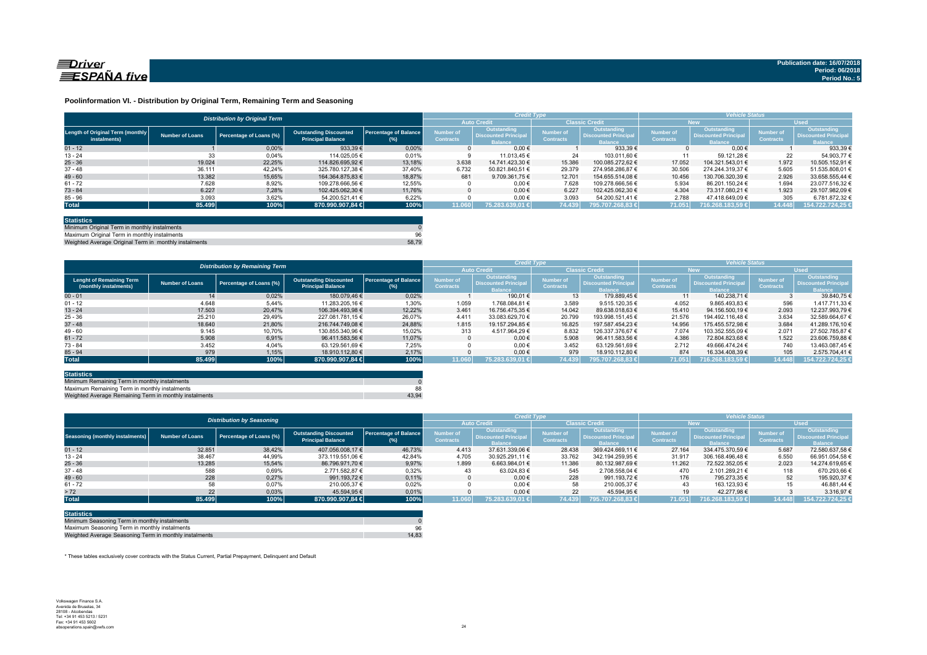

#### **Poolinformation VI. - Distribution by Original Term, Remaining Term and Seasoning**

|                                                  | <b>Distribution by Original Term</b> |                         |                                                           |                                 |                               |                                                             | <b>Credit Type</b>            |                                                      | <b>Vehicle Status</b>                |                                                             |                                      |                                                              |
|--------------------------------------------------|--------------------------------------|-------------------------|-----------------------------------------------------------|---------------------------------|-------------------------------|-------------------------------------------------------------|-------------------------------|------------------------------------------------------|--------------------------------------|-------------------------------------------------------------|--------------------------------------|--------------------------------------------------------------|
|                                                  |                                      |                         |                                                           |                                 |                               | <b>Auto Credit</b>                                          | <b>Classic Credit</b>         |                                                      | <b>New</b>                           |                                                             | <b>Used</b>                          |                                                              |
| Length of Original Term (monthly<br>instalments) | Number of Loans                      | Percentage of Loans (%) | <b>Outstanding Discounted</b><br><b>Principal Balance</b> | Percentage of Balance<br>$(\%)$ | Number of<br><b>Contracts</b> | Outstanding<br><b>Discounted Principa</b><br><b>Balance</b> | Number of<br><b>Contracts</b> | Outstanding<br><b>Discounted Principa</b><br>Ralance | <b>Number of</b><br><b>Contracts</b> | Outstanding<br><b>Discounted Principa</b><br><b>Balance</b> | <b>Number of</b><br><b>Contracts</b> | Outstanding<br><b>Discounted Principal</b><br><b>Balance</b> |
| $01 - 12$                                        |                                      | 0,00%                   | 933.39€                                                   | 0.00%                           |                               | $0.00 \in$                                                  |                               | 933.39 €                                             |                                      | $0.00 \in$                                                  |                                      | 933.39 €                                                     |
| $13 - 24$                                        | 33                                   | 0,04%                   | 114.025.05 €                                              | 0.01%                           |                               | 11.013.45 €                                                 | 24                            | 103.011.60 €                                         |                                      | 59.121.28 €                                                 | 22                                   | 54.903.77 €                                                  |
| $25 - 36$                                        | 19.024                               | 22.25%                  | 114.826.695.92 €                                          | 13.18%                          | 3.638                         | 14.741.423.30 €                                             | 15.386                        | 100.085.272.62 €                                     | 17.052                               | 104.321.543.01 €                                            | 1.972                                | 10.505.152,91 €                                              |
| $37 - 48$                                        | 36.111                               | 42.24%                  | 325.780.127.38 €                                          | 37,40%                          | 6.732                         | 50.821.840.51 €                                             | 29.379                        | 274.958.286.87 €                                     | 30.506                               | 274.244.319.37 €                                            | 5.605                                | 51.535.808.01 6                                              |
| $49 - 60$                                        | 13.382                               | 15,65%                  | 164.364.875.83 €                                          | 18.87%                          | 681                           | 9.709.361.75 €                                              | 12.701                        | 154.655.514.08 €                                     | 10.456                               | 130.706.320.39 €                                            | 2.926                                | 33.658.555,44 €                                              |
| $61 - 72$                                        | 7.628                                | 8,92%                   | 109.278.666.56 €                                          | 12,55%                          |                               | $0.00 \in$                                                  | 7.628                         | 109.278.666.56 €                                     | 5.934                                | 86.201.150.24 €                                             | 1.694                                | 23.077.516.32 6                                              |
| $73 - 84$                                        | 6.227                                | 7.28%                   | 102.425.062.30 €                                          | 11.76%                          |                               | $0.00 \in$                                                  | 6.227                         | 102.425.062.30 €                                     | 4.304                                | 73.317.080.21 €                                             | 1.923                                | 29.107.982.09 €                                              |
| $85 - 96$                                        | 3.093                                | 3,62%                   | 54.200.521,41 €                                           | 6.22%                           |                               | $0,00 \in$                                                  | 3.093                         | 54.200.521,41 €                                      | 2.788                                | 47.418.649,09 €                                             | 305                                  | 6.781.872,32 €                                               |
| <b>Total</b>                                     | 85.499                               | 100%                    | 870.990.907,84 €                                          | 100%                            | 11.060                        | 75.283.639,01 €                                             | 74.439                        |                                                      | 71.051                               | 1716.268.183.59 € <sup>1</sup>                              | 14.448                               | 154.722.724,25                                               |

| <b>Statistics</b>                                     |       |
|-------------------------------------------------------|-------|
| Minimum Original Term in monthly instalments          |       |
| Maximum Original Term in monthly instalments          | 96    |
| Weighted Average Original Term in monthly instalments | 58.79 |

Weighted Average Original Term in monthly install

|                                                          |                        | <b>Distribution by Remaining Term</b> |                                                           |                                     | <b>Credit Type</b>            |                                                             |                                      |                                                              | <b>Vehicle Status</b>                |                                                                    |                                      |                                                              |
|----------------------------------------------------------|------------------------|---------------------------------------|-----------------------------------------------------------|-------------------------------------|-------------------------------|-------------------------------------------------------------|--------------------------------------|--------------------------------------------------------------|--------------------------------------|--------------------------------------------------------------------|--------------------------------------|--------------------------------------------------------------|
|                                                          |                        |                                       |                                                           |                                     |                               | <b>Auto Credit</b>                                          | <b>Classic Credit</b>                |                                                              | <b>New</b>                           |                                                                    | <b>Used</b>                          |                                                              |
| <b>Lenght of Remaining Term</b><br>(monthly instalments) | <b>Number of Loans</b> | Percentage of Loans (%)               | <b>Outstanding Discounted</b><br><b>Principal Balance</b> | <b>Percentage of Balance</b><br>(%) | Number of<br><b>Contracts</b> | Outstanding<br><b>Discounted Principa</b><br><b>Balance</b> | <b>Number</b> of<br><b>Contracts</b> | Outstanding<br><b>Discounted Principal</b><br><b>Balance</b> | <b>Number of</b><br><b>Contracts</b> | <b>Outstanding</b><br><b>Discounted Principa</b><br><b>Balance</b> | <b>Number of</b><br><b>Contracts</b> | Outstanding<br><b>Discounted Principal</b><br><b>Balance</b> |
| $00 - 01$                                                | 14                     | 0,02%                                 | 180.079.46 €                                              | 0.02%                               |                               | 190.01 €                                                    | 13                                   | 179.889.45 €                                                 | 11                                   | 140.238.71 €                                                       |                                      | 39.840.75 €                                                  |
| $01 - 12$                                                | 4.648                  | 5.44%                                 | 11.283.205.16 €                                           | 1,30%                               | 1.059                         | 1.768.084.81 €                                              | 3.589                                | 9.515.120.35 €                                               | 4.052                                | 9.865.493.83 €                                                     | 596                                  | 1.417.711.33 €                                               |
| $13 - 24$                                                | 17.503                 | 20.47%                                | 106.394.493.98 €                                          | 12.22%                              | 3.461                         | 16.756.475.35 €                                             | 14.042                               | 89.638.018.63 €                                              | 15.410                               | 94.156.500.19 €                                                    | 2.093                                | 12.237.993.79 €                                              |
| $25 - 36$                                                | 25.210                 | 29,49%                                | 227.081.781.15 €                                          | 26,07%                              | 4.411                         | 33.083.629.70 €                                             | 20.799                               | 193.998.151.45 €                                             | 21.576                               | 194.492.116.48 €                                                   | 3.634                                | 32.589.664.67                                                |
| $37 - 48$                                                | 18.640                 | 21,80%                                | 216.744.749.08 €                                          | 24.88%                              | 1.815                         | 19.157.294.85 €                                             | 16.825                               | 197.587.454.23 €                                             | 14.956                               | 175.455.572.98 €                                                   | 3.684                                | 41.289.176.10 €                                              |
| $49 - 60$                                                | 9.145                  | 10,70%                                | 130.855.340.96 €                                          | 15,02%                              | 313                           | 4.517.964.29 €                                              | 8.832                                | 126.337.376.67 €                                             | 7.074                                | 103.352.555.09 €                                                   | 2.071                                | 27.502.785.87 6                                              |
| $61 - 72$                                                | 5.908                  | 6,91%                                 | 96.411.583.56 €                                           | 11.07%                              |                               | $0.00 \in$                                                  | 5.908                                | 96.411.583.56 €                                              | 4.386                                | 72.804.823.68 €                                                    | 1.522                                | 23.606.759.88                                                |
| $73 - 84$                                                | 3.452                  | 4.04%                                 | 63.129.561.69 €                                           | 7.25%                               |                               | $0.00 \in$                                                  | 3.452                                | 63.129.561.69 €                                              | 2.712                                | 49.666.474.24 €                                                    | 740                                  | 13.463.087.45 €                                              |
| $85 - 94$                                                | 979                    | 1,15%                                 | 18.910.112.80 €                                           | 2.17%                               |                               | $0.00 \in$                                                  | 979                                  | 18.910.112.80 €                                              | 874                                  | 16.334.408.39 €                                                    | 105                                  | 2.575.704.41 6                                               |
| <b>Total</b>                                             | 85.499                 | 100%                                  | 870.990.907,84 €                                          | 100%                                | 11.060                        | 75.283.639.01 €                                             | 74.439                               | 795.707.268.83 €                                             | 71.051                               | 1716.268.183,59 €                                                  | 14.448                               | 154.722.724,25                                               |

| <b>Statistics</b>                                      |       |
|--------------------------------------------------------|-------|
| Minimum Remaining Term in monthly instalments          |       |
| Maximum Remaining Term in monthly instalments          | 88    |
| Weighted Average Remaining Term in monthly instalments | 43.94 |

|                                 |                        | <b>Distribution by Seasoning</b> |                                                           |                                     |                               | <b>Credit Type</b>                                           |                                      |                                                              | <b>Vehicle Status</b>                |                                                              |                                      |                                                                     |
|---------------------------------|------------------------|----------------------------------|-----------------------------------------------------------|-------------------------------------|-------------------------------|--------------------------------------------------------------|--------------------------------------|--------------------------------------------------------------|--------------------------------------|--------------------------------------------------------------|--------------------------------------|---------------------------------------------------------------------|
|                                 |                        |                                  |                                                           |                                     | <b>Auto Credit</b>            |                                                              |                                      | <b>Classic Credit</b>                                        |                                      | <b>New</b>                                                   | <b>Used</b>                          |                                                                     |
| Seasoning (monthly instalments) | <b>Number of Loans</b> | Percentage of Loans (%)          | <b>Outstanding Discounted</b><br><b>Principal Balance</b> | <b>Percentage of Balance</b><br>(%) | Number of<br><b>Contracts</b> | Outstanding<br><b>Discounted Principal</b><br><b>Balance</b> | <b>Number of</b><br><b>Contracts</b> | Outstanding<br><b>Discounted Principal</b><br><b>Balance</b> | <b>Number of</b><br><b>Contracts</b> | Outstanding<br><b>Oiscounted Principal</b><br><b>Balance</b> | <b>Number of</b><br><b>Contracts</b> | <b>Outstanding</b><br><b>Discounted Principal</b><br><b>Balance</b> |
| $01 - 12$                       | 32.851                 | 38.42%                           | 407.056.008.17 €                                          | 46.73%                              | 4.413                         | 37.631.339.06 €                                              | 28.438                               | 369.424.669.11 €                                             | 27.164                               | 334.475.370.59 €                                             | 5.687                                | 72.580.637.58 €                                                     |
| $13 - 24$                       | 38.467                 | 44,99%                           | 373.119.551,06 €                                          | 42,84%                              | 4.705                         | 30.925.291.11 €                                              | 33.762                               | 342.194.259.95 €                                             | 31.917                               | 306.168.496.48 €                                             | 6.550                                | 66.951.054,58 €                                                     |
| $25 - 36$                       | 13.285                 | 15,54%                           | 86.796.971.70 €                                           | 9,97%                               | 1.899                         | 6.663.984.01 €                                               | 11.386                               | 80.132.987.69 €                                              | 11.262                               | 72.522.352.05 €                                              | 2.023                                | 14.274.619.65 €                                                     |
| $37 - 48$                       | 588                    | 0,69%                            | 2.771.582.87 €                                            | 0.32%                               | 43                            | 63.024,83 €                                                  | 545                                  | 2.708.558.04 €                                               | 470                                  | 2.101.289.21 €                                               | 118                                  | 670.293.66 6                                                        |
| $49 - 60$                       | 228                    | 0.27%                            | 991.193.72 €                                              | 0.11%                               |                               | $0.00 \in$                                                   | 228                                  | 991.193.72 €                                                 | 176                                  | 795.273.35 €                                                 | 52                                   | 195.920,37 €                                                        |
| $61 - 72$                       | 58                     | 0.07%                            | 210.005.37 €                                              | 0.02%                               |                               | $0.00 \in$                                                   | 58                                   | 210.005.37 €                                                 | 43                                   | 163.123.93 €                                                 |                                      | 46.881.44 €                                                         |
| > 72                            | 22                     | 0,03%                            | 45.594.95 €                                               | 0,01%                               |                               | $0.00 \in$                                                   | 22                                   | 45.594.95 €                                                  |                                      | 42.277.98 €                                                  |                                      | 3.316.97 €                                                          |
| <b>Total</b>                    | 85.499                 | 100%                             | 870.990.907.84 €                                          | 100%                                | 11.060                        | 75.283.639.01 €                                              | 74.439                               | 795.707.268.83 €                                             | 71.051                               | 716.268.183.59 €                                             | 14.448                               | 154.722.724.25                                                      |

| <b>Statistics</b>                                      |       |
|--------------------------------------------------------|-------|
| Minimum Seasoning Term in monthly instalments          |       |
| Maximum Seasoning Term in monthly instalments          | 96    |
| Weighted Average Seasoning Term in monthly instalments | 14.83 |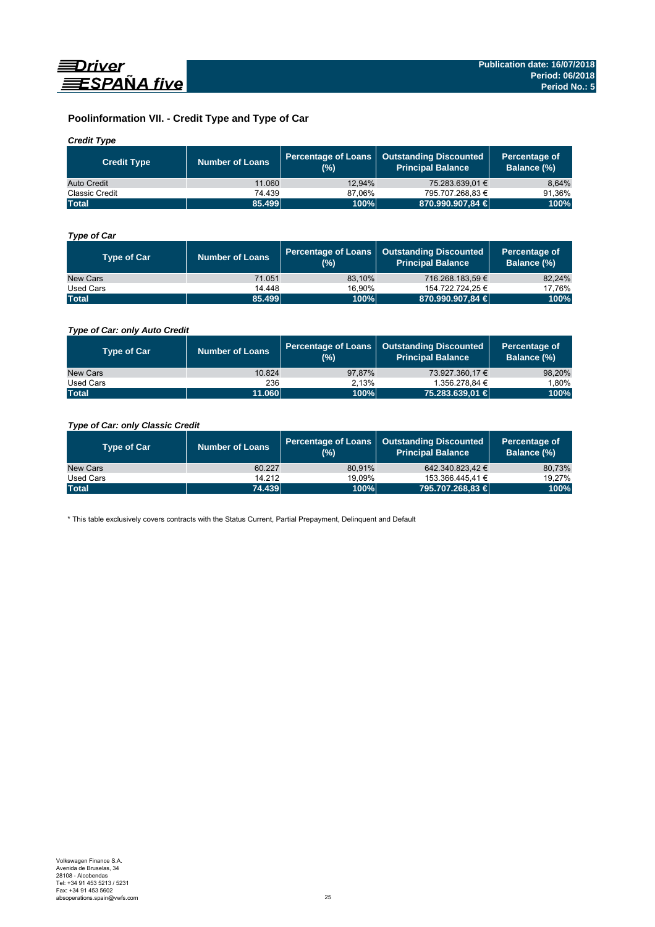

# **Poolinformation VII. - Credit Type and Type of Car**

### *Credit Type*

| <b>Credit Type</b> | Number of Loans | (%)    | Percentage of Loans   Outstanding Discounted<br>Principal Balance <sup>'</sup> | Percentage of<br>Balance (%) |
|--------------------|-----------------|--------|--------------------------------------------------------------------------------|------------------------------|
| Auto Credit        | 11.060          | 12.94% | 75.283.639.01 €                                                                | 8.64%                        |
| Classic Credit     | 74.439          | 87.06% | 795.707.268,83 €                                                               | 91.36%                       |
| <b>Total</b>       | 85.499          | 100%   | 870.990.907,84 €                                                               | 100%                         |

### *Type of Car*

| <b>Type of Car</b> | <b>Number of Loans</b> | (%)    | Percentage of Loans   Outstanding Discounted<br><b>Principal Balance</b> | Percentage of<br>Balance (%) |
|--------------------|------------------------|--------|--------------------------------------------------------------------------|------------------------------|
| New Cars           | 71.051                 | 83.10% | 716.268.183.59 €                                                         | 82,24%                       |
| Used Cars          | 14.448                 | 16.90% | 154.722.724.25 €                                                         | 17,76%                       |
| <b>Total</b>       | 85.499                 | 100%   | 870.990.907,84 €                                                         | 100%                         |

### *Type of Car: only Auto Credit*

| <b>Type of Car</b> | <b>Number of Loans</b> | (%)    | Percentage of Loans   Outstanding Discounted<br><b>Principal Balance</b> | Percentage of<br><b>Balance (%)</b> |
|--------------------|------------------------|--------|--------------------------------------------------------------------------|-------------------------------------|
| New Cars           | 10.824                 | 97.87% | 73.927.360.17 €                                                          | 98,20%                              |
| Used Cars          | 236                    | 2.13%  | 1.356.278.84 €                                                           | 1,80%                               |
| <b>Total</b>       | 11.060                 | 100%   | 75.283.639,01 €                                                          | 100%                                |

### *Type of Car: only Classic Credit*

| <b>Type of Car</b> | <b>Number of Loans</b> | (%)    | Percentage of Loans   Outstanding Discounted<br><b>Principal Balance</b> | Percentage of<br>Balance (%) |
|--------------------|------------------------|--------|--------------------------------------------------------------------------|------------------------------|
| New Cars           | 60.227                 | 80.91% | 642.340.823.42 €                                                         | 80,73%                       |
| Used Cars          | 14.212                 | 19.09% | 153.366.445.41 €                                                         | 19,27%                       |
| <b>Total</b>       | 74.439                 | 100%   | 795.707.268,83 €                                                         | 100%                         |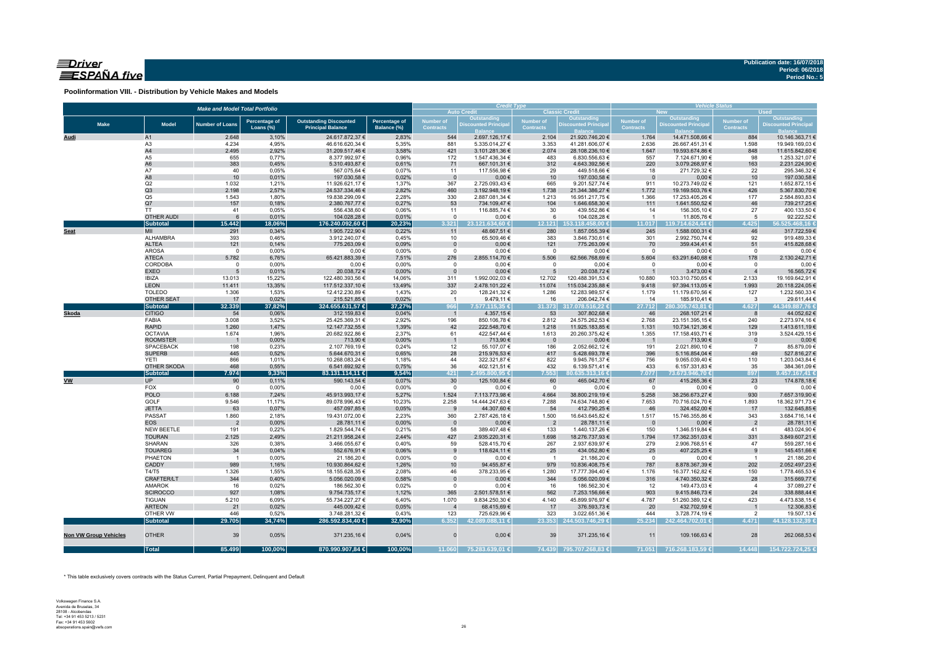### $\equiv$ Driver ESPAÑA five

**Poolinformation VIII. - Distribution by Vehicle Makes and Models**

|                              |                            | <b>Make and Model Total Portfolio</b> |                |                                   | <b>Credit Type</b> |                  |                                   | <b>Vehicle Status</b>    |                                           |                          |                                   |                  |                                |
|------------------------------|----------------------------|---------------------------------------|----------------|-----------------------------------|--------------------|------------------|-----------------------------------|--------------------------|-------------------------------------------|--------------------------|-----------------------------------|------------------|--------------------------------|
|                              |                            |                                       |                |                                   |                    |                  | <b>Auto Credit</b><br>Outstanding |                          | <b>Classic Credit</b>                     |                          | <b>New</b><br>Outstanding         |                  | <b>Used</b><br>Outstanding     |
| <b>Make</b>                  | <b>Model</b>               | <b>Number of Loans</b>                | Percentage of  | <b>Outstanding Discounted</b>     | Percentage of      | <b>Number of</b> | <b>Discounted Principa</b>        | <b>Number of</b>         | Outstanding<br><b>Discounted Principa</b> | Number of                | <b>Discounted Principa</b>        | Number of        | <b>Discounted Principal</b>    |
|                              |                            |                                       | Loans (%)      | <b>Principal Balance</b>          | Balance (%)        | <b>Contracts</b> |                                   | <b>Contracts</b>         |                                           | <b>Contracts</b>         |                                   | <b>Contracts</b> |                                |
| Audi                         | A1                         | 2.648                                 | 3,10%          | 24.617.872,37 €                   | 2,83%              | 544              | 2.697.126,17 €                    | 2.104                    | 21.920.746,20 €                           | 1.764                    | 14.471.508,66 €                   | 884              | 10.146.363,71 €                |
|                              | A3                         | 4.234                                 | 4,95%          | 46.616.620,34 €                   | 5,35%              | 881              | 5.335.014,27 €                    | 3.353                    | 41.281.606,07 €                           | 2.636                    | 26.667.451,31 €                   | 1.598            | 19.949.169,03 €                |
|                              | A4                         | 2.495                                 | 2,92%          | 31.209.517,46 €                   | 3,58%              | 421              | 3.101.281,36 €                    | 2.074                    | 28.108.236,10 €                           | 1.647                    | 19.593.674,86 €                   | 848              | 11.615.842,60 €                |
|                              | A5                         | 655                                   | 0,77%          | 8.377.992,97 €                    | 0,96%              | 172              | 1.547.436,34 €                    | 483                      | 6.830.556,63 €                            | 557                      | 7.124.671,90 €                    | 98               | 1.253.321,07 €                 |
|                              | A <sub>6</sub>             | 383                                   | 0,45%          | 5.310.493,87 €                    | 0,61%              | 71               | 667.101,31 €                      | 312                      | 4.643.392,56 €                            | 220                      | 3.079.268,97 €                    | 163              | 2.231.224,90 €                 |
|                              | A7                         | 40                                    | 0,05%          | 567.075,64 €                      | 0,07%              | 11               | 117.556,98 €                      | 29                       | 449.518,66 €                              | 18                       | 271.729,32 €                      | 22               | 295.346,32 €                   |
|                              | A8                         | 10                                    | 0,01%          | 197.030,58 €                      | 0,02%              | $\overline{0}$   | $0,00 \in$                        | 10                       | 197.030,58 €                              | $\overline{0}$           | $0,00 \in$                        | 10               | 197.030,58 €                   |
|                              | Q2                         | 1.032                                 | 1,21%          | 11.926.621,17 €                   | 1,37%              | 367              | 2.725.093,43 €                    | 665                      | 9.201.527,74 €                            | 911                      | 10.273.749,02 €                   | 121              | 1.652.872,15 €                 |
|                              | Q3<br>Q <sub>5</sub>       | 2.198                                 | 2,57%          | 24.537.334,46 €                   | 2,82%              | 460              | 3.192.948,19 €                    | 1.738                    | 21.344.386,27 €                           | 1.772                    | 19.169.503,76 €                   | 426              | 5.367.830,70 €                 |
|                              | Q7                         | 1.543<br>157                          | 1,80%<br>0,18% | 19.838.299,09 €<br>2.380.767,77 € | 2,28%<br>0,27%     | 330<br>53        | 2.887.081,34 €<br>734.109,47 €    | 1.213<br>104             | 16.951.217,75 €<br>1.646.658,30 €         | 1.366<br>111             | 17.253.405,26 €<br>1.641.550,52 € | 177<br>46        | 2.584.893,83 €<br>739.217,25 € |
|                              | <b>TT</b>                  | 41                                    | 0,05%          | 556.438,60 €                      | 0,06%              | 11               | 116.885,74 €                      | 30                       | 439.552,86 €                              | 14                       | 156.305,10 €                      | 27               | 400.133,50 €                   |
|                              | <b>OTHER AUDI</b>          | 6                                     | 0,01%          | 104.028,28 €                      | 0,01%              | $\mathbf{0}$     | $0,00 \in$                        | 6                        | 104.028,28 €                              | $\overline{1}$           | 11.805,76 €                       | 5                | 92.222,52 €                    |
|                              | <b>Subtotal</b>            | 15.442                                | 18,06%         | 176.240.092,60 €                  | 20,23%             | 3.321            | 23.121.634.60 €                   | 12.121                   | 153.118.458.00 €                          | 11.017                   | 119.714.624.44 €                  | 4.425            | 56.525.468,16 €                |
| <b>Seat</b>                  | MII                        | 291                                   | 0,34%          | 1.905.722,90 €                    | 0,22%              | 11               | 48.667,51 €                       | 280                      | 1.857.055,39 €                            | 245                      | 1.588.000,31 €                    | 46               | 317.722,59 €                   |
|                              | ALHAMBRA                   | 393                                   | 0,46%          | 3.912.240,07 €                    | 0,45%              | 10               | 65.509,46 €                       | 383                      | 3.846.730,61 €                            | 301                      | 2.992.750,74 €                    | 92               | 919.489,33 €                   |
|                              | <b>ALTEA</b>               | 121                                   | 0,14%          | 775.263,09 €                      | 0,09%              | $\mathbf{0}$     | $0,00 \in$                        | 121                      | 775.263,09 €                              | 70                       | 359.434,41 €                      | 51               | 415.828,68 €                   |
|                              | <b>AROSA</b>               | $\mathbf 0$                           | 0,00%          | $0,00 \in$                        | 0,00%              | $\Omega$         | $0,00 \in$                        | $\mathbf 0$              | $0,00 \in$                                | $\overline{0}$           | $0,00 \in$                        | $\circ$          | $0,00 \in$                     |
|                              | <b>ATECA</b>               | 5.782                                 | 6,76%          | 65.421.883,39 €                   | 7,51%              | 276              | 2.855.114,70 €                    | 5.506                    | 62.566.768,69 €                           | 5.604                    | 63.291.640,68 €                   | 178              | 2.130.242,71 €                 |
|                              | CORDOBA                    | $\mathbf 0$                           | 0,00%          | $0,00 \in$                        | 0,00%              | $\mathsf 0$      | $0,00 \in$                        | $\mathbf 0$              | $0,00 \in$                                | $\overline{\mathbf{0}}$  | $0,00 \in$                        | $\mathbf 0$      | $0,00 \in$                     |
|                              | <b>EXEO</b>                | 5                                     | 0,01%          | 20.038,72 €                       | 0,00%              | $\Omega$         | $0,00 \in$                        | 5                        | 20.038,72€                                |                          | 3.473,00 €                        | $\overline{4}$   | 16.565,72 €                    |
|                              | <b>IBIZA</b>               | 13.013                                | 15,22%         | 122.480.393,56 €                  | 14,06%             | 311              | 1.992.002,03 €                    | 12.702                   | 120.488.391,53 €                          | 10.880                   | 103.310.750,65 €                  | 2.133            | 19.169.642,91 €                |
|                              | <b>LEON</b>                | 11.411                                | 13,35%         | 117.512.337,10 €                  | 13,49%             | 337              | 2.478.101,22 €                    | 11.074                   | 115.034.235,88 €                          | 9.418                    | 97.394.113,05 €                   | 1.993            | 20.118.224,05 €                |
|                              | <b>TOLEDO</b>              | 1.306                                 | 1,53%          | 12.412.230,89 €                   | 1,43%              | 20               | 128.241,32 €                      | 1.286                    | 12.283.989,57 €                           | 1.179                    | 11.179.670,56 €                   | 127              | 1.232.560,33 €                 |
|                              | OTHER SEAT                 | 17                                    | 0,02%          | 215.521,85 €                      | 0,02%              | $\overline{1}$   | 9.479,11 €                        | 16                       | 206.042,74 €                              | 14                       | 185.910,41 €                      | $\mathbf{3}$     | 29.611,44 €                    |
|                              | <b>Subtotal</b>            | 32.339                                | 37,82%         | 324.655.631,57 €                  | 37,27%             | 966              | 7.577.115,35 €                    | 31.373                   | 317.078.516,22 €                          | 27.712                   | 280.305.743,81 €                  | 4.627            | 44.349.887,76 €                |
| Skoda                        | <b>CITIGO</b>              | 54                                    | 0,06%          | 312.159,83 €                      | 0,04%              | $\overline{1}$   | 4.357,15€                         | 53                       | 307.802,68 €                              | 46                       | 268.107,21 €                      | 8                | 44.052,62 €                    |
|                              | FABIA                      | 3.008                                 | 3,52%          | 25.425.369,31 €                   | 2,92%              | 196              | 850.106,78 €                      | 2.812                    | 24.575.262,53 €                           | 2.768                    | 23.151.395,15 €                   | 240              | 2.273.974,16 €                 |
|                              | <b>RAPID</b>               | 1.260                                 | 1,47%          | 12.147.732,55 €                   | 1,39%              | 42               | 222.548,70 €                      | 1.218                    | 11.925.183,85 €                           | 1.131                    | 10.734.121,36 €                   | 129              | 1.413.611,19 €                 |
|                              | <b>OCTAVIA</b>             | 1.674                                 | 1,96%          | 20.682.922,86 €                   | 2,37%              | 61               | 422.547,44 €                      | 1.613                    | 20.260.375,42 €                           | 1.355                    | 17.158.493,71 €                   | 319              | 3.524.429,15 €                 |
|                              | <b>ROOMSTER</b>            |                                       | 0,00%          | 713,90 €                          | 0,00%              | $\mathbf{1}$     | 713,90 €                          | - 0                      | $0,00 \in$                                | $\overline{\phantom{0}}$ | 713,90 €                          | $\overline{0}$   | $0,00 \in$                     |
|                              | <b>SPACEBACK</b>           | 198                                   | 0,23%          | 2.107.769,19 €                    | 0,24%              | 12               | 55.107,07€                        | 186                      | 2.052.662,12 €                            | 191                      | 2.021.890,10 €                    | $\overline{7}$   | 85.879,09€                     |
|                              | <b>SUPERB</b>              | 445                                   | 0,52%          | 5.644.670,31 €                    | 0,65%              | 28               | 215.976,53€                       | 417                      | 5.428.693,78 €                            | 396                      | 5.116.854,04 €                    | 49               | 527.816,27 €                   |
|                              | <b>YETI</b><br>OTHER SKODA | 866<br>468                            | 1,01%<br>0,55% | 10.268.083,24 €                   | 1,18%<br>0,75%     | 44<br>36         | 322.321,87 €                      | 822<br>432               | 9.945.761,37 €<br>6.139.571,41 €          | 756<br>433               | 9.065.039,40 €                    | 110<br>35        | 1.203.043,84 €                 |
|                              | <b>Subtotal</b>            | 7.974                                 | 9,33%          | 6.541.692,92 €<br>83.131.114,11 € | 9,54%              | 421              | 402.121,51 €<br>2.495.800,95 €    | 7.553                    | $0.635.313,16 \in$                        | 7.077                    | 6.157.331,83 €<br>73.673.946,70 € | 897              | 384.361,09 €<br>9.457.167,41 € |
| <b>VW</b>                    | <b>UP</b>                  | 90                                    | 0,11%          | 590.143,54 €                      | 0,07%              | 30               | 125.100,84 €                      | 60                       | 465.042,70 €                              | 67                       | 415.265,36 €                      | 23               | 174.878,18 €                   |
|                              | <b>FOX</b>                 | $\overline{0}$                        | 0,00%          |                                   | 0,00%              | $^{\circ}$       | $0,00 \in$                        | $\Omega$                 | $0,00 \in$                                | $\overline{0}$           |                                   | $\overline{0}$   |                                |
|                              | <b>POLO</b>                | 6.188                                 | 7,24%          | $0,00 \in$<br>45.913.993,17 €     | 5,27%              | 1.524            | 7.113.773,98 €                    | 4.664                    | 38.800.219,19 €                           | 5.258                    | $0,00 \in$<br>38.256.673,27 €     | 930              | $0,00 \in$<br>7.657.319,90 €   |
|                              | <b>GOLF</b>                | 9.546                                 | 11,17%         | 89.078.996,43 €                   | 10,23%             | 2.258            | 14.444.247,63 €                   | 7.288                    | 74.634.748,80 €                           | 7.653                    | 70.716.024,70 €                   | 1.893            | 18.362.971,73 €                |
|                              | <b>JETTA</b>               | 63                                    | 0,07%          | 457.097,85 €                      | 0,05%              | 9                | 44.307,60 €                       | 54                       | 412.790,25 €                              | 46                       | 324.452,00 €                      | 17               | 132.645,85 €                   |
|                              | <b>PASSAT</b>              | 1.860                                 | 2,18%          | 19.431.072,00 €                   | 2,23%              | 360              | 2.787.426,18 €                    | 1.500                    | 16.643.645,82 €                           | 1.517                    | 15.746.355,86 €                   | 343              | 3.684.716,14 €                 |
|                              | <b>EOS</b>                 | $\overline{2}$                        | 0,00%          | 28.781,11 €                       | 0,00%              | $\mathbf{0}$     | $0,00 \in$                        | $\overline{2}$           | 28.781,11 €                               | $\overline{0}$           | $0,00 \in$                        | $\overline{2}$   | 28.781,11 €                    |
|                              | NEW BEETLE                 | 191                                   | 0,22%          | 1.829.544,74 €                    | 0,21%              | 58               | 389.407,48 €                      | 133                      | 1.440.137,26 €                            | 150                      | 1.346.519,84 €                    | 41               | 483.024,90 €                   |
|                              | <b>TOURAN</b>              | 2.125                                 | 2,49%          | 21.211.958,24 €                   | 2,44%              | 427              | 2.935.220,31 €                    | 1.698                    | 18.276.737,93 €                           | 1.794                    | 17.362.351,03 €                   | 331              | 3.849.607,21 €                 |
|                              | SHARAN                     | 326                                   | 0,38%          | 3.466.055,67 €                    | 0,40%              | 59               | 528.415,70 €                      | 267                      | 2.937.639,97 €                            | 279                      | 2.906.768,51 €                    | 47               | 559.287,16€                    |
|                              | <b>TOUAREG</b>             | 34                                    | 0,04%          | 552.676,91 €                      | 0,06%              | 9                | 118.624,11 €                      | 25                       | 434.052,80 €                              | 25                       | 407.225,25 €                      | 9                | 145.451,66 €                   |
|                              | PHAETON                    | $\overline{1}$                        | 0,00%          | 21.186,20 €                       | 0,00%              | 0                | $0,00 \in$                        | $\overline{\phantom{0}}$ | 21.186,20 €                               | $\overline{\mathbf{0}}$  | $0,00 \in$                        | $\overline{1}$   | 21.186,20 €                    |
|                              | CADDY                      | 989                                   | 1,16%          | 10.930.864,62 €                   | 1,26%              | 10               | 94.455,87 €                       | 979                      | 10.836.408,75 €                           | 787                      | 8.878.367,39 €                    | 202              | 2.052.497,23 €                 |
|                              | T4/T5                      | 1.326                                 | 1,55%          | 18.155.628,35 €                   | 2,08%              | 46               | 378.233,95 €                      | 1.280                    | 17.777.394,40 €                           | 1.176                    | 16.377.162,82 €                   | 150              | 1.778.465,53 €                 |
|                              | CRAFTER/LT                 | 344                                   | 0,40%          | 5.056.020,09 €                    | 0,58%              | $\mathbf 0$      | $0,00 \in$                        | 344                      | 5.056.020,09 €                            | 316                      | 4.740.350,32 €                    | 28               | 315.669,77 €                   |
|                              | AMAROK                     | 16                                    | 0,02%          | 186.562,30 €                      | 0,02%              | $\mathsf 0$      | $0,00 \in$                        | 16                       | 186.562,30 €                              | 12                       | 149.473,03 €                      | $\overline{4}$   | 37.089,27 €                    |
|                              | <b>SCIROCCO</b>            | 927                                   | 1,08%          | 9.754.735,17 €                    | 1,12%              | 365              | 2.501.578,51 €                    | 562                      | 7.253.156,66 €                            | 903                      | 9.415.846,73 €                    | 24               | 338.888,44 €                   |
|                              | <b>TIGUAN</b>              | 5.210                                 | 6,09%          | 55.734.227,27 €                   | 6,40%              | 1.070            | 9.834.250,30 €                    | 4.140                    | 45.899.976,97 €                           | 4.787                    | 51.260.389,12€                    | 423              | 4.473.838,15€                  |
|                              | <b>ARTEON</b>              | 21                                    | 0,02%          | 445.009,42 €                      | 0,05%              | $\overline{4}$   | 68.415,69€                        | 17                       | 376.593,73 €                              | 20                       | 432.702,59 €                      | $\overline{1}$   | 12.306,83 €                    |
|                              | OTHER VW                   | 446                                   | 0,52%          | 3.748.281,32 €                    | 0,43%              | 123              | 725.629,96 €                      | 323                      | 3.022.651,36 €                            | 444                      | 3.728.774,19 €                    | 2                | 19.507,13 €                    |
|                              | Subtotal                   | 29.705                                | 34,74%         | 286.592.834,40 €                  | 32,90%             | 6.352            | 42.089.088.11 €                   | 23.353                   | 244.503.746.29 €                          | 25.234                   | 242.464.702,01 €                  | 4.471            | 44.128.132.39 €                |
|                              |                            |                                       |                |                                   |                    |                  |                                   |                          |                                           |                          |                                   |                  |                                |
| <b>Non VW Group Vehicles</b> | <b>OTHER</b>               | 39                                    | 0,05%          | 371.235,16€                       | 0,04%              | $\mathbf{0}$     | $0,00 \in$                        | 39                       | 371.235,16€                               | 11                       | 109.166,63 €                      | 28               | 262.068,53 €                   |
|                              | <b>Total</b>               | 85.499                                | 100,00%        | 870.990.907,84 €                  | 100,00%            | 11.060           | 75.283.639,01 €                   | 74.439                   | 795.707.268,83 €                          |                          | 71.051 716.268.183,59 €           | 14.448           | 154.722.724,25 €               |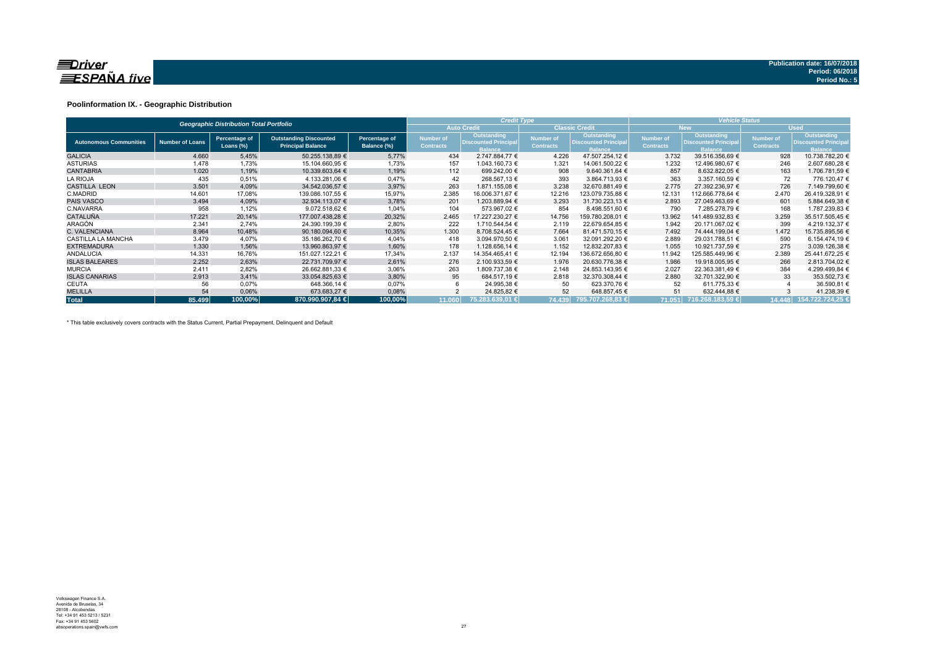

#### **Poolinformation IX. - Geographic Distribution**

|                               |                        | <b>Geographic Distribution Total Portfolio</b> |                                                           |                              |                               | <b>Credit Type</b>                                           |                                      |                                                              | <b>Vehicle Status</b>                |                                                                     |                               |                                                             |  |
|-------------------------------|------------------------|------------------------------------------------|-----------------------------------------------------------|------------------------------|-------------------------------|--------------------------------------------------------------|--------------------------------------|--------------------------------------------------------------|--------------------------------------|---------------------------------------------------------------------|-------------------------------|-------------------------------------------------------------|--|
|                               |                        |                                                |                                                           |                              |                               | <b>Auto Credit</b>                                           |                                      | <b>Classic Credit</b>                                        |                                      | <b>New</b>                                                          |                               | <b>Used</b>                                                 |  |
| <b>Autonomous Communities</b> | <b>Number of Loans</b> | Percentage of<br>Loans $(\%)$                  | <b>Outstanding Discounted</b><br><b>Principal Balance</b> | Percentage of<br>Balance (%) | Number of<br><b>Contracts</b> | Outstanding<br><b>Discounted Principal</b><br><b>Balance</b> | <b>Number of</b><br><b>Contracts</b> | Outstanding<br><b>Discounted Principal</b><br><b>Balance</b> | <b>Number of</b><br><b>Contracts</b> | <b>Outstanding</b><br><b>Discounted Principal</b><br><b>Balance</b> | Number of<br><b>Contracts</b> | Outstanding<br><b>Discounted Principa</b><br><b>Balance</b> |  |
| <b>GALICIA</b>                | 4.660                  | 5,45%                                          | 50.255.138.89 €                                           | 5,77%                        | 434                           | 2.747.884.77 €                                               | 4.226                                | 47.507.254.12 €                                              | 3.732                                | 39.516.356.69 €                                                     | 928                           | 10.738.782.20 €                                             |  |
| <b>ASTURIAS</b>               | 1.478                  | 1,73%                                          | 15.104.660,95 €                                           | 1,73%                        | 157                           | 1.043.160,73 €                                               | 1.321                                | 14.061.500,22 €                                              | 1.232                                | 12.496.980,67 €                                                     | 246                           | 2.607.680,28 €                                              |  |
| <b>CANTABRIA</b>              | 1.020                  | 1,19%                                          | 10.339.603.64 €                                           | 1,19%                        | 112                           | 699.242.00 €                                                 | 908                                  | 9.640.361,64 €                                               | 857                                  | 8.632.822.05 €                                                      | 163                           | 1.706.781,59 €                                              |  |
| <b>LA RIOJA</b>               | 435                    | 0,51%                                          | 4.133.281,06 €                                            | 0,47%                        | 42                            | 268.567.13 €                                                 | 393                                  | 3.864.713,93 €                                               | 363                                  | 3.357.160.59 €                                                      | 72                            | 776.120,47 €                                                |  |
| <b>CASTILLA LEON</b>          | 3.501                  | 4,09%                                          | 34.542.036.57 €                                           | 3,97%                        | 263                           | 1.871.155.08 €                                               | 3.238                                | 32.670.881.49 €                                              | 2.775                                | 27.392.236.97 €                                                     | 726                           | 7.149.799,60 €                                              |  |
| C.MADRID                      | 14.601                 | 17,08%                                         | 139.086.107.55 €                                          | 15,97%                       | 2.385                         | 16.006.371.67 €                                              | 12.216                               | 123.079.735.88 €                                             | 12.131                               | 112.666.778.64 €                                                    | 2.470                         | 26.419.328,91 €                                             |  |
| <b>PAIS VASCO</b>             | 3.494                  | 4,09%                                          | 32.934.113.07 €                                           | 3,78%                        | 201                           | 1.203.889.94 €                                               | 3.293                                | 31.730.223.13 €                                              | 2.893                                | 27.049.463.69 €                                                     | 601                           | 5.884.649.38 €                                              |  |
| C.NAVARRA                     | 958                    | 1,12%                                          | 9.072.518,62 €                                            | 1,04%                        | 104                           | 573.967,02 €                                                 | 854                                  | 8.498.551,60 €                                               | 790                                  | 7.285.278.79 €                                                      | 168                           | 1.787.239,83 €                                              |  |
| <b>CATALUÑA</b>               | 17.221                 | 20,14%                                         | 177.007.438.28 €                                          | 20,32%                       | 2.465                         | 17.227.230.27 €                                              | 14.756                               | 159.780.208,01 €                                             | 13.962                               | 141.489.932,83 €                                                    | 3.259                         | 35.517.505,45 €                                             |  |
| <b>ARAGÓN</b>                 | 2.341                  | 2,74%                                          | 24.390.199,39 €                                           | 2,80%                        | 222                           | 1.710.544,54 €                                               | 2.119                                | 22.679.654,85 €                                              | 1.942                                | 20.171.067,02 €                                                     | 399                           | 4.219.132,37 €                                              |  |
| C. VALENCIANA                 | 8.964                  | 10,48%                                         | 90.180.094.60 €                                           | 10,35%                       | 1.300                         | 8.708.524.45 €                                               | 7.664                                | 81.471.570.15 €                                              | 7.492                                | 74.444.199.04 €                                                     | 1.472                         | 15.735.895,56 €                                             |  |
| CASTILLA LA MANCHA            | 3.479                  | 4.07%                                          | 35.186.262.70 €                                           | 4,04%                        | 418                           | 3.094.970.50 €                                               | 3.061                                | 32.091.292.20 €                                              | 2.889                                | 29.031.788.51 €                                                     | 590                           | 6.154.474.19 €                                              |  |
| <b>EXTREMADURA</b>            | 1.330                  | 1,56%                                          | 13.960.863.97 €                                           | 1,60%                        | 178                           | 1.128.656.14 €                                               | 1.152                                | 12.832.207,83 €                                              | 1.055                                | 10.921.737.59 €                                                     | 275                           | 3.039.126.38 €                                              |  |
| <b>ANDALUCIA</b>              | 14.331                 | 16,76%                                         | 151.027.122,21 €                                          | 17,34%                       | 2.137                         | 14.354.465,41 €                                              | 12.194                               | 136.672.656,80 €                                             | 11.942                               | 125.585.449,96 €                                                    | 2.389                         | 25.441.672,25 €                                             |  |
| <b>ISLAS BALEARES</b>         | 2.252                  | 2,63%                                          | 22.731.709,97 €                                           | 2,61%                        | 276                           | 2.100.933,59 €                                               | 1.976                                | 20.630.776,38 €                                              | 1.986                                | 19.918.005,95 €                                                     | 266                           | 2.813.704,02 €                                              |  |
| <b>MURCIA</b>                 | 2.411                  | 2,82%                                          | 26.662.881,33 €                                           | 3,06%                        | 263                           | 1.809.737,38 €                                               | 2.148                                | 24.853.143.95 €                                              | 2.027                                | 22.363.381.49 €                                                     | 384                           | 4.299.499,84 €                                              |  |
| <b>ISLAS CANARIAS</b>         | 2.913                  | 3,41%                                          | 33.054.825.63 €                                           | 3,80%                        | 95                            | 684.517.19 €                                                 | 2.818                                | 32.370.308.44 €                                              | 2.880                                | 32.701.322.90 €                                                     | 33                            | 353.502,73 €                                                |  |
| <b>CEUTA</b>                  | 56                     | 0,07%                                          | 648.366,14 €                                              | 0,07%                        |                               | 24.995,38 €                                                  | 50                                   | 623.370,76 €                                                 | 52                                   | 611.775.33 €                                                        |                               | 36.590,81 €                                                 |  |
| <b>MELILLA</b>                | 54                     | 0,06%                                          | 673.683,27 €                                              | 0,08%                        |                               | 24.825,82 €                                                  | 52                                   | 648.857,45 €                                                 | 51                                   | 632.444.88 €                                                        |                               | 41.238,39 €                                                 |  |
| <b>Total</b>                  | 85.499                 | 100.00%                                        | 870.990.907.84 €                                          | 100.00%                      | 11.060                        | 75.283.639.01 €                                              | 74.439                               | 795.707.268.83 €                                             |                                      | 71.051 716.268.183.59 €                                             | 14.448                        | 154.722.724.25 €                                            |  |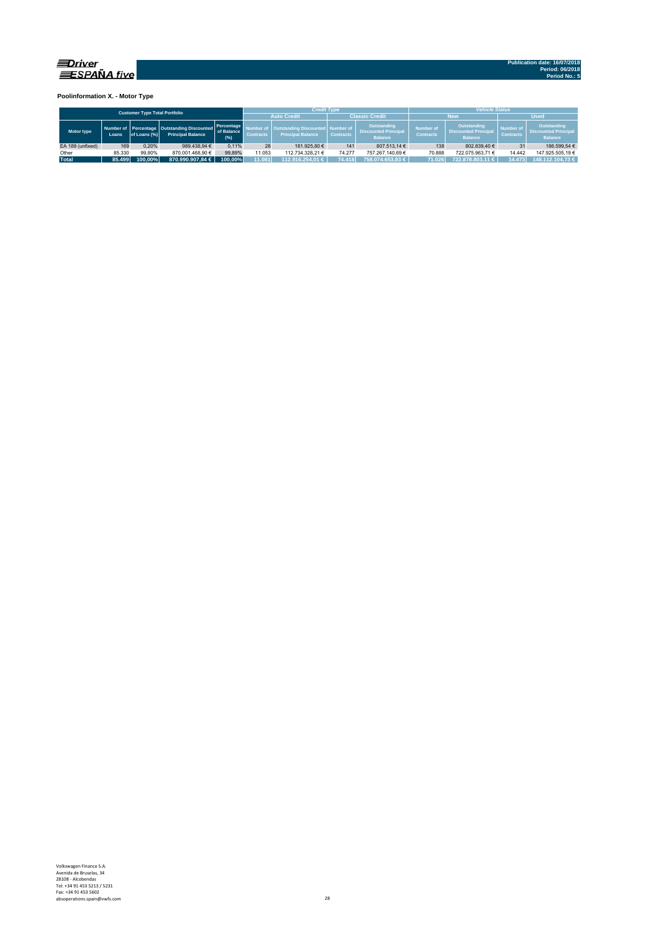

**Poolinformation X. - Motor Type**

|                                      |        |              |                                                                           |                                   |                                      | <b>Credit Type</b>                                             |                  |                                                              | <b>Vehicle Status</b>                                                                                       |                  |                                      |                                                              |  |  |
|--------------------------------------|--------|--------------|---------------------------------------------------------------------------|-----------------------------------|--------------------------------------|----------------------------------------------------------------|------------------|--------------------------------------------------------------|-------------------------------------------------------------------------------------------------------------|------------------|--------------------------------------|--------------------------------------------------------------|--|--|
| <b>Customer Type Total Portfolio</b> |        |              |                                                                           |                                   |                                      | <b>Auto Credit</b>                                             |                  | <b>Classic Credit</b>                                        |                                                                                                             | <b>New</b>       | <b>Used</b>                          |                                                              |  |  |
| Motor type                           | Loans. | of Loans (%) | Number of Percentage   Outstanding Discounted<br><b>Principal Balance</b> | Percentage<br>of Balance<br>(9/6) | <b>Number of</b><br><b>Contracts</b> | Outstanding Discounted   Number of<br><b>Principal Balance</b> | <b>Contracts</b> | Outstanding<br><b>Discounted Principal</b><br><b>Balance</b> | <b>Outstanding</b><br><b>Number of</b><br><b>Discounted Principal</b><br><b>Contracts</b><br><b>Balance</b> |                  | <b>Number of</b><br><b>Contracts</b> | Outstanding<br><b>Discounted Principal</b><br><b>Balance</b> |  |  |
| EA 189 (unfixed)                     | 169    | 0.20%        | 989.438.94 €                                                              | 0.11%                             | 28                                   | 181.925.80 €                                                   | 141              | 807.513.14 €                                                 | 138                                                                                                         | 802.839.40 €     | 31                                   | 186.599.54 €                                                 |  |  |
| Other                                | 85.330 | 99.80%       | 870.001.468.90 €                                                          | 99.89%                            | 11.053                               | 112.734.328.21 €                                               | 74.277           | 757.267.140.69 €                                             | 70.888                                                                                                      | 722.075.963.71 € | 14.442                               | 147.925.505.19 €                                             |  |  |
| <b>Total</b>                         | 85.499 | 100.00%      | 870.990.907.84 €                                                          | 100.00%                           | 11.081                               | 112.916.254.01 €                                               | 74.418           | 758.074.653.83 €                                             | 71.026                                                                                                      | 722.878.803.11 € | 14.473                               | 148.112.104.73 €                                             |  |  |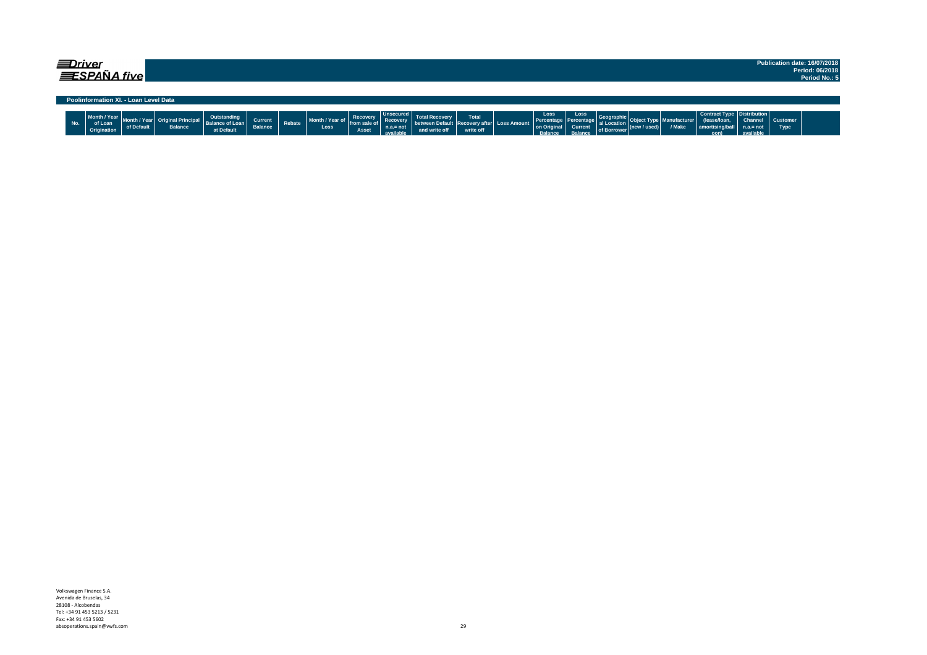| <i>=Driver</i>                        | Publication date: 16/07/2018 |
|---------------------------------------|------------------------------|
|                                       | Period: 06/2018              |
| <b>ESPAÑA five</b>                    | Period No.: 5                |
|                                       |                              |
|                                       |                              |
| Poolinformation XI. - Loan Level Data |                              |

|     |                                  |            |                |                 |                |        |                           |          |                 | <b>The Contract Contract Contract Contract Contract Contract Contract Contract Contract Contract Contract Contract Contract Contract Contract Contract Contract Contract Contract Contract Contract Contract Contract Contract C</b> |           |                                                       | Loss    | Loss                    |                      |                                                                 | <b>Contract Type   Dist</b>           |           |      |  |
|-----|----------------------------------|------------|----------------|-----------------|----------------|--------|---------------------------|----------|-----------------|--------------------------------------------------------------------------------------------------------------------------------------------------------------------------------------------------------------------------------------|-----------|-------------------------------------------------------|---------|-------------------------|----------------------|-----------------------------------------------------------------|---------------------------------------|-----------|------|--|
|     | Month / Year Month / Year Ungman |            |                |                 | <b>Current</b> |        | Month / Year of from sale | Recovery | <b>Recovery</b> |                                                                                                                                                                                                                                      |           |                                                       |         | Percentage   Percentage |                      | <b>Example 2008</b> Geographic Object Type Manufacturer (IBason | (lease/loan, Channel Customer         |           |      |  |
| No. | of Loan                          | of Default | <b>Balance</b> | Balance of Loan | <b>Balance</b> | Rebate | Loss                      |          | not             | between Default   Recovery after   Loss Amount                                                                                                                                                                                       |           | <b>Excess Annount on Original</b> Current of Borrower |         |                         | al Location (now the | / Make                                                          | $ $ amortising/ball $ $ n.a.= not $ $ |           | Type |  |
|     | Origination                      |            |                | at Default      |                |        |                           | Asset    | available       |                                                                                                                                                                                                                                      | write off |                                                       | Ralance | Ralance                 |                      |                                                                 | oon)                                  | available |      |  |